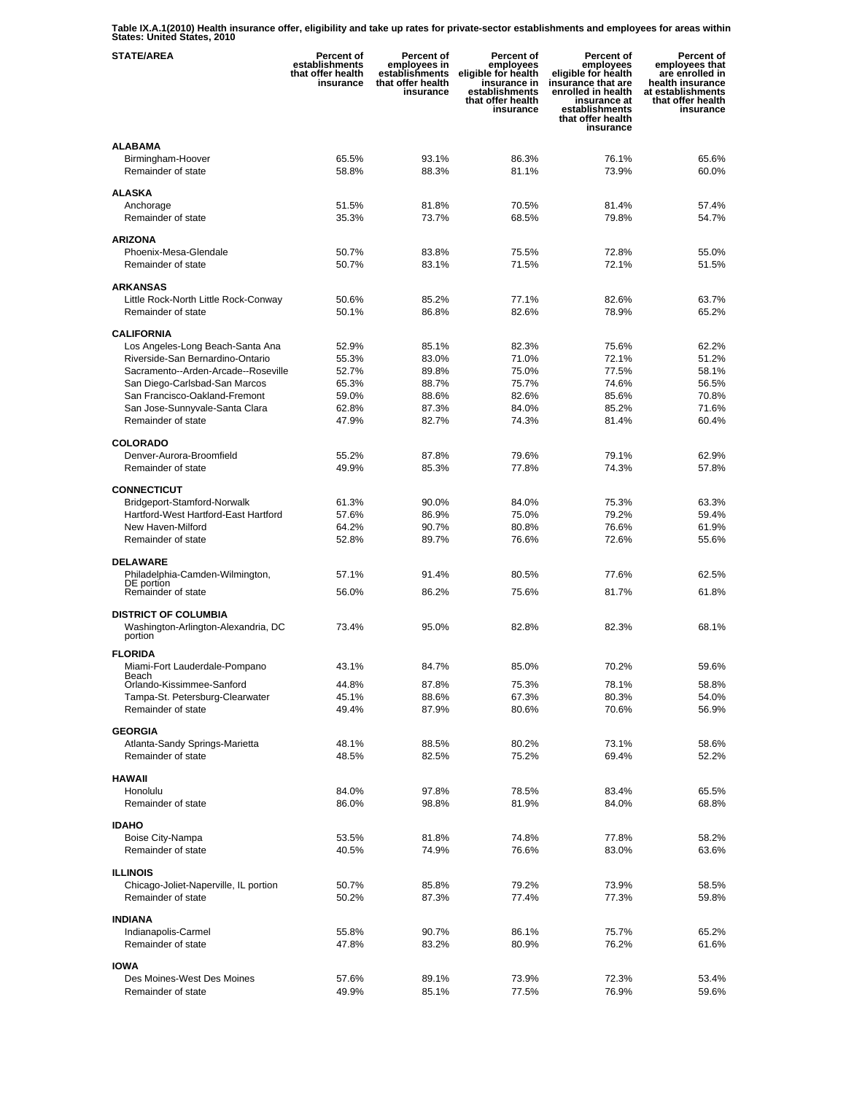**Table IX.A.1(2010) Health insurance offer, eligibility and take up rates for private-sector establishments and employees for areas within States: United States, 2010** 

| <b>STATE/AREA</b>                                                             | Percent of<br>establishments<br>that offer health<br>insurance | Percent of<br>employees in<br>establishments<br>that offer health<br>insurance | Percent of<br>employees<br>eligible for health<br>insurance in<br>establishments<br>that offer health<br>insurance | Percent of<br>employees<br>eligible for health<br>insurance that are<br>enrolled in health<br>insurance at<br>establishments<br>that offer health<br>insurance | Percent of<br>employees that<br>are enrolled in<br>health insurance<br>at establishments<br>that offer health<br>insurance |
|-------------------------------------------------------------------------------|----------------------------------------------------------------|--------------------------------------------------------------------------------|--------------------------------------------------------------------------------------------------------------------|----------------------------------------------------------------------------------------------------------------------------------------------------------------|----------------------------------------------------------------------------------------------------------------------------|
| <b>ALABAMA</b><br>Birmingham-Hoover<br>Remainder of state                     | 65.5%<br>58.8%                                                 | 93.1%<br>88.3%                                                                 | 86.3%<br>81.1%                                                                                                     | 76.1%<br>73.9%                                                                                                                                                 | 65.6%<br>60.0%                                                                                                             |
| <b>ALASKA</b>                                                                 |                                                                |                                                                                |                                                                                                                    |                                                                                                                                                                |                                                                                                                            |
| Anchorage<br>Remainder of state                                               | 51.5%<br>35.3%                                                 | 81.8%<br>73.7%                                                                 | 70.5%<br>68.5%                                                                                                     | 81.4%<br>79.8%                                                                                                                                                 | 57.4%<br>54.7%                                                                                                             |
| <b>ARIZONA</b>                                                                |                                                                |                                                                                |                                                                                                                    |                                                                                                                                                                |                                                                                                                            |
| Phoenix-Mesa-Glendale                                                         | 50.7%                                                          | 83.8%                                                                          | 75.5%                                                                                                              | 72.8%                                                                                                                                                          | 55.0%                                                                                                                      |
| Remainder of state                                                            | 50.7%                                                          | 83.1%                                                                          | 71.5%                                                                                                              | 72.1%                                                                                                                                                          | 51.5%                                                                                                                      |
| <b>ARKANSAS</b>                                                               |                                                                |                                                                                |                                                                                                                    |                                                                                                                                                                |                                                                                                                            |
| Little Rock-North Little Rock-Conway                                          | 50.6%                                                          | 85.2%                                                                          | 77.1%                                                                                                              | 82.6%                                                                                                                                                          | 63.7%                                                                                                                      |
| Remainder of state                                                            | 50.1%                                                          | 86.8%                                                                          | 82.6%                                                                                                              | 78.9%                                                                                                                                                          | 65.2%                                                                                                                      |
| <b>CALIFORNIA</b>                                                             |                                                                |                                                                                |                                                                                                                    |                                                                                                                                                                |                                                                                                                            |
| Los Angeles-Long Beach-Santa Ana                                              | 52.9%                                                          | 85.1%                                                                          | 82.3%                                                                                                              | 75.6%                                                                                                                                                          | 62.2%                                                                                                                      |
| Riverside-San Bernardino-Ontario                                              | 55.3%                                                          | 83.0%                                                                          | 71.0%                                                                                                              | 72.1%                                                                                                                                                          | 51.2%                                                                                                                      |
| Sacramento--Arden-Arcade--Roseville                                           | 52.7%<br>65.3%                                                 | 89.8%<br>88.7%                                                                 | 75.0%<br>75.7%                                                                                                     | 77.5%<br>74.6%                                                                                                                                                 | 58.1%<br>56.5%                                                                                                             |
| San Diego-Carlsbad-San Marcos<br>San Francisco-Oakland-Fremont                | 59.0%                                                          | 88.6%                                                                          | 82.6%                                                                                                              | 85.6%                                                                                                                                                          | 70.8%                                                                                                                      |
| San Jose-Sunnyvale-Santa Clara                                                | 62.8%                                                          | 87.3%                                                                          | 84.0%                                                                                                              | 85.2%                                                                                                                                                          | 71.6%                                                                                                                      |
| Remainder of state                                                            | 47.9%                                                          | 82.7%                                                                          | 74.3%                                                                                                              | 81.4%                                                                                                                                                          | 60.4%                                                                                                                      |
| <b>COLORADO</b>                                                               |                                                                |                                                                                |                                                                                                                    |                                                                                                                                                                |                                                                                                                            |
| Denver-Aurora-Broomfield                                                      | 55.2%                                                          | 87.8%                                                                          | 79.6%                                                                                                              | 79.1%                                                                                                                                                          | 62.9%                                                                                                                      |
| Remainder of state                                                            | 49.9%                                                          | 85.3%                                                                          | 77.8%                                                                                                              | 74.3%                                                                                                                                                          | 57.8%                                                                                                                      |
| <b>CONNECTICUT</b>                                                            |                                                                |                                                                                |                                                                                                                    |                                                                                                                                                                |                                                                                                                            |
| Bridgeport-Stamford-Norwalk                                                   | 61.3%                                                          | 90.0%                                                                          | 84.0%                                                                                                              | 75.3%                                                                                                                                                          | 63.3%                                                                                                                      |
| Hartford-West Hartford-East Hartford                                          | 57.6%                                                          | 86.9%                                                                          | 75.0%                                                                                                              | 79.2%                                                                                                                                                          | 59.4%                                                                                                                      |
| New Haven-Milford                                                             | 64.2%                                                          | 90.7%                                                                          | 80.8%                                                                                                              | 76.6%                                                                                                                                                          | 61.9%                                                                                                                      |
| Remainder of state                                                            | 52.8%                                                          | 89.7%                                                                          | 76.6%                                                                                                              | 72.6%                                                                                                                                                          | 55.6%                                                                                                                      |
| <b>DELAWARE</b>                                                               |                                                                |                                                                                |                                                                                                                    |                                                                                                                                                                |                                                                                                                            |
| Philadelphia-Camden-Wilmington,                                               | 57.1%                                                          | 91.4%                                                                          | 80.5%                                                                                                              | 77.6%                                                                                                                                                          | 62.5%                                                                                                                      |
| DE portion<br>Remainder of state                                              | 56.0%                                                          | 86.2%                                                                          | 75.6%                                                                                                              | 81.7%                                                                                                                                                          | 61.8%                                                                                                                      |
|                                                                               |                                                                |                                                                                |                                                                                                                    |                                                                                                                                                                |                                                                                                                            |
| <b>DISTRICT OF COLUMBIA</b><br>Washington-Arlington-Alexandria, DC<br>portion | 73.4%                                                          | 95.0%                                                                          | 82.8%                                                                                                              | 82.3%                                                                                                                                                          | 68.1%                                                                                                                      |
| <b>FLORIDA</b>                                                                |                                                                |                                                                                |                                                                                                                    |                                                                                                                                                                |                                                                                                                            |
| Miami-Fort Lauderdale-Pompano                                                 | 43.1%                                                          | 84.7%                                                                          | 85.0%                                                                                                              | 70.2%                                                                                                                                                          | 59.6%                                                                                                                      |
| Beach<br>Orlando-Kissimmee-Sanford                                            | 44.8%                                                          | 87.8%                                                                          | 75.3%                                                                                                              | 78.1%                                                                                                                                                          | 58.8%                                                                                                                      |
| Tampa-St. Petersburg-Clearwater                                               | 45.1%                                                          | 88.6%                                                                          | 67.3%                                                                                                              | 80.3%                                                                                                                                                          | 54.0%                                                                                                                      |
| Remainder of state                                                            | 49.4%                                                          | 87.9%                                                                          | 80.6%                                                                                                              | 70.6%                                                                                                                                                          | 56.9%                                                                                                                      |
| <b>GEORGIA</b>                                                                |                                                                |                                                                                |                                                                                                                    |                                                                                                                                                                |                                                                                                                            |
| Atlanta-Sandy Springs-Marietta                                                | 48.1%                                                          | 88.5%                                                                          | 80.2%                                                                                                              | 73.1%                                                                                                                                                          | 58.6%                                                                                                                      |
| Remainder of state                                                            | 48.5%                                                          | 82.5%                                                                          | 75.2%                                                                                                              | 69.4%                                                                                                                                                          | 52.2%                                                                                                                      |
| <b>HAWAII</b>                                                                 |                                                                |                                                                                |                                                                                                                    |                                                                                                                                                                |                                                                                                                            |
| Honolulu                                                                      | 84.0%                                                          | 97.8%                                                                          | 78.5%                                                                                                              | 83.4%                                                                                                                                                          | 65.5%                                                                                                                      |
| Remainder of state                                                            | 86.0%                                                          | 98.8%                                                                          | 81.9%                                                                                                              | 84.0%                                                                                                                                                          | 68.8%                                                                                                                      |
| <b>IDAHO</b>                                                                  |                                                                |                                                                                |                                                                                                                    |                                                                                                                                                                |                                                                                                                            |
| Boise City-Nampa                                                              | 53.5%                                                          | 81.8%                                                                          | 74.8%                                                                                                              | 77.8%                                                                                                                                                          | 58.2%                                                                                                                      |
| Remainder of state                                                            | 40.5%                                                          | 74.9%                                                                          | 76.6%                                                                                                              | 83.0%                                                                                                                                                          | 63.6%                                                                                                                      |
| <b>ILLINOIS</b>                                                               |                                                                |                                                                                |                                                                                                                    |                                                                                                                                                                |                                                                                                                            |
| Chicago-Joliet-Naperville, IL portion                                         | 50.7%                                                          | 85.8%                                                                          | 79.2%                                                                                                              | 73.9%                                                                                                                                                          | 58.5%                                                                                                                      |
| Remainder of state                                                            | 50.2%                                                          | 87.3%                                                                          | 77.4%                                                                                                              | 77.3%                                                                                                                                                          | 59.8%                                                                                                                      |
|                                                                               |                                                                |                                                                                |                                                                                                                    |                                                                                                                                                                |                                                                                                                            |
| <b>INDIANA</b><br>Indianapolis-Carmel                                         | 55.8%                                                          | 90.7%                                                                          | 86.1%                                                                                                              | 75.7%                                                                                                                                                          | 65.2%                                                                                                                      |
| Remainder of state                                                            | 47.8%                                                          | 83.2%                                                                          | 80.9%                                                                                                              | 76.2%                                                                                                                                                          | 61.6%                                                                                                                      |
|                                                                               |                                                                |                                                                                |                                                                                                                    |                                                                                                                                                                |                                                                                                                            |
| <b>IOWA</b><br>Des Moines-West Des Moines                                     | 57.6%                                                          | 89.1%                                                                          | 73.9%                                                                                                              | 72.3%                                                                                                                                                          | 53.4%                                                                                                                      |
| Remainder of state                                                            | 49.9%                                                          | 85.1%                                                                          | 77.5%                                                                                                              | 76.9%                                                                                                                                                          | 59.6%                                                                                                                      |
|                                                                               |                                                                |                                                                                |                                                                                                                    |                                                                                                                                                                |                                                                                                                            |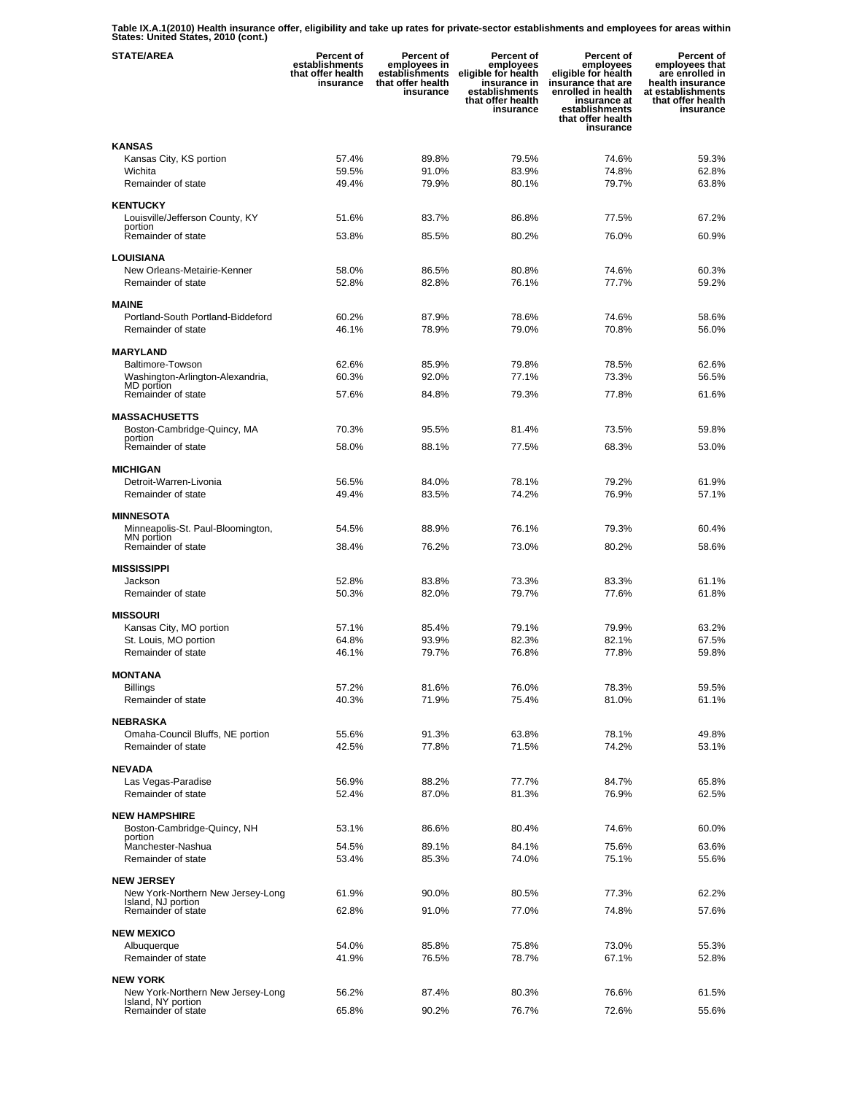**Table IX.A.1(2010) Health insurance offer, eligibility and take up rates for private-sector establishments and employees for areas within States: United States, 2010 (cont.)** 

| <b>STATE/AREA</b>                                       | Percent of<br>establishments<br>that offer health<br>insurance | Percent of<br>employees in<br>establishments<br>that offer health<br>insurance | Percent of<br>employees<br>eligible for health<br>insurance in<br>establishments<br>that offer health<br>insurance | <b>Percent of</b><br>employees<br>eligible for health<br>insurance that are<br>enrolled in health<br>insurance at<br>establishments<br>that offer health<br>insurance | Percent of<br>employees that<br>are enrolled in<br>health insurance<br>at establishments<br>that offer health<br>insurance |
|---------------------------------------------------------|----------------------------------------------------------------|--------------------------------------------------------------------------------|--------------------------------------------------------------------------------------------------------------------|-----------------------------------------------------------------------------------------------------------------------------------------------------------------------|----------------------------------------------------------------------------------------------------------------------------|
| <b>KANSAS</b>                                           |                                                                |                                                                                |                                                                                                                    |                                                                                                                                                                       |                                                                                                                            |
| Kansas City, KS portion                                 | 57.4%                                                          | 89.8%                                                                          | 79.5%                                                                                                              | 74.6%                                                                                                                                                                 | 59.3%                                                                                                                      |
| Wichita                                                 | 59.5%                                                          | 91.0%                                                                          | 83.9%                                                                                                              | 74.8%                                                                                                                                                                 | 62.8%                                                                                                                      |
| Remainder of state                                      | 49.4%                                                          | 79.9%                                                                          | 80.1%                                                                                                              | 79.7%                                                                                                                                                                 | 63.8%                                                                                                                      |
| <b>KENTUCKY</b>                                         |                                                                |                                                                                |                                                                                                                    |                                                                                                                                                                       |                                                                                                                            |
| Louisville/Jefferson County, KY                         | 51.6%                                                          | 83.7%                                                                          | 86.8%                                                                                                              | 77.5%                                                                                                                                                                 | 67.2%                                                                                                                      |
| portion<br>Remainder of state                           | 53.8%                                                          | 85.5%                                                                          | 80.2%                                                                                                              | 76.0%                                                                                                                                                                 | 60.9%                                                                                                                      |
|                                                         |                                                                |                                                                                |                                                                                                                    |                                                                                                                                                                       |                                                                                                                            |
| <b>LOUISIANA</b>                                        |                                                                |                                                                                |                                                                                                                    |                                                                                                                                                                       |                                                                                                                            |
| New Orleans-Metairie-Kenner<br>Remainder of state       | 58.0%<br>52.8%                                                 | 86.5%<br>82.8%                                                                 | 80.8%<br>76.1%                                                                                                     | 74.6%<br>77.7%                                                                                                                                                        | 60.3%<br>59.2%                                                                                                             |
|                                                         |                                                                |                                                                                |                                                                                                                    |                                                                                                                                                                       |                                                                                                                            |
| <b>MAINE</b>                                            |                                                                |                                                                                |                                                                                                                    |                                                                                                                                                                       |                                                                                                                            |
| Portland-South Portland-Biddeford                       | 60.2%                                                          | 87.9%                                                                          | 78.6%                                                                                                              | 74.6%                                                                                                                                                                 | 58.6%                                                                                                                      |
| Remainder of state                                      | 46.1%                                                          | 78.9%                                                                          | 79.0%                                                                                                              | 70.8%                                                                                                                                                                 | 56.0%                                                                                                                      |
| <b>MARYLAND</b>                                         |                                                                |                                                                                |                                                                                                                    |                                                                                                                                                                       |                                                                                                                            |
| <b>Baltimore-Towson</b>                                 | 62.6%                                                          | 85.9%                                                                          | 79.8%                                                                                                              | 78.5%                                                                                                                                                                 | 62.6%                                                                                                                      |
| Washington-Arlington-Alexandria,<br>MD portion          | 60.3%                                                          | 92.0%                                                                          | 77.1%                                                                                                              | 73.3%                                                                                                                                                                 | 56.5%                                                                                                                      |
| Remainder of state                                      | 57.6%                                                          | 84.8%                                                                          | 79.3%                                                                                                              | 77.8%                                                                                                                                                                 | 61.6%                                                                                                                      |
| <b>MASSACHUSETTS</b>                                    |                                                                |                                                                                |                                                                                                                    |                                                                                                                                                                       |                                                                                                                            |
| Boston-Cambridge-Quincy, MA                             | 70.3%                                                          | 95.5%                                                                          | 81.4%                                                                                                              | 73.5%                                                                                                                                                                 | 59.8%                                                                                                                      |
| portion<br>Remainder of state                           | 58.0%                                                          | 88.1%                                                                          | 77.5%                                                                                                              | 68.3%                                                                                                                                                                 | 53.0%                                                                                                                      |
|                                                         |                                                                |                                                                                |                                                                                                                    |                                                                                                                                                                       |                                                                                                                            |
| <b>MICHIGAN</b>                                         |                                                                |                                                                                |                                                                                                                    |                                                                                                                                                                       |                                                                                                                            |
| Detroit-Warren-Livonia                                  | 56.5%                                                          | 84.0%                                                                          | 78.1%                                                                                                              | 79.2%                                                                                                                                                                 | 61.9%                                                                                                                      |
| Remainder of state                                      | 49.4%                                                          | 83.5%                                                                          | 74.2%                                                                                                              | 76.9%                                                                                                                                                                 | 57.1%                                                                                                                      |
| <b>MINNESOTA</b>                                        |                                                                |                                                                                |                                                                                                                    |                                                                                                                                                                       |                                                                                                                            |
| Minneapolis-St. Paul-Bloomington,<br>MN portion         | 54.5%                                                          | 88.9%                                                                          | 76.1%                                                                                                              | 79.3%                                                                                                                                                                 | 60.4%                                                                                                                      |
| Remainder of state                                      | 38.4%                                                          | 76.2%                                                                          | 73.0%                                                                                                              | 80.2%                                                                                                                                                                 | 58.6%                                                                                                                      |
|                                                         |                                                                |                                                                                |                                                                                                                    |                                                                                                                                                                       |                                                                                                                            |
| <b>MISSISSIPPI</b><br>Jackson                           | 52.8%                                                          | 83.8%                                                                          | 73.3%                                                                                                              | 83.3%                                                                                                                                                                 | 61.1%                                                                                                                      |
| Remainder of state                                      | 50.3%                                                          | 82.0%                                                                          | 79.7%                                                                                                              | 77.6%                                                                                                                                                                 | 61.8%                                                                                                                      |
|                                                         |                                                                |                                                                                |                                                                                                                    |                                                                                                                                                                       |                                                                                                                            |
| <b>MISSOURI</b><br>Kansas City, MO portion              | 57.1%                                                          | 85.4%                                                                          | 79.1%                                                                                                              | 79.9%                                                                                                                                                                 | 63.2%                                                                                                                      |
| St. Louis, MO portion                                   | 64.8%                                                          | 93.9%                                                                          | 82.3%                                                                                                              | 82.1%                                                                                                                                                                 | 67.5%                                                                                                                      |
| Remainder of state                                      | 46.1%                                                          | 79.7%                                                                          | 76.8%                                                                                                              | 77.8%                                                                                                                                                                 | 59.8%                                                                                                                      |
|                                                         |                                                                |                                                                                |                                                                                                                    |                                                                                                                                                                       |                                                                                                                            |
| <b>MONTANA</b><br>Billings                              | 57.2%                                                          | 81.6%                                                                          | 76.0%                                                                                                              | 78.3%                                                                                                                                                                 | 59.5%                                                                                                                      |
| Remainder of state                                      | 40.3%                                                          | 71.9%                                                                          | 75.4%                                                                                                              | 81.0%                                                                                                                                                                 | 61.1%                                                                                                                      |
|                                                         |                                                                |                                                                                |                                                                                                                    |                                                                                                                                                                       |                                                                                                                            |
| <b>NEBRASKA</b><br>Omaha-Council Bluffs, NE portion     | 55.6%                                                          | 91.3%                                                                          | 63.8%                                                                                                              | 78.1%                                                                                                                                                                 | 49.8%                                                                                                                      |
| Remainder of state                                      | 42.5%                                                          | 77.8%                                                                          | 71.5%                                                                                                              | 74.2%                                                                                                                                                                 | 53.1%                                                                                                                      |
|                                                         |                                                                |                                                                                |                                                                                                                    |                                                                                                                                                                       |                                                                                                                            |
| <b>NEVADA</b>                                           |                                                                |                                                                                |                                                                                                                    |                                                                                                                                                                       |                                                                                                                            |
| Las Vegas-Paradise<br>Remainder of state                | 56.9%<br>52.4%                                                 | 88.2%<br>87.0%                                                                 | 77.7%<br>81.3%                                                                                                     | 84.7%<br>76.9%                                                                                                                                                        | 65.8%<br>62.5%                                                                                                             |
|                                                         |                                                                |                                                                                |                                                                                                                    |                                                                                                                                                                       |                                                                                                                            |
| <b>NEW HAMPSHIRE</b>                                    |                                                                |                                                                                |                                                                                                                    |                                                                                                                                                                       |                                                                                                                            |
| Boston-Cambridge-Quincy, NH<br>portion                  | 53.1%                                                          | 86.6%                                                                          | 80.4%                                                                                                              | 74.6%                                                                                                                                                                 | 60.0%                                                                                                                      |
| Manchester-Nashua                                       | 54.5%                                                          | 89.1%                                                                          | 84.1%                                                                                                              | 75.6%                                                                                                                                                                 | 63.6%                                                                                                                      |
| Remainder of state                                      | 53.4%                                                          | 85.3%                                                                          | 74.0%                                                                                                              | 75.1%                                                                                                                                                                 | 55.6%                                                                                                                      |
| <b>NEW JERSEY</b>                                       |                                                                |                                                                                |                                                                                                                    |                                                                                                                                                                       |                                                                                                                            |
| New York-Northern New Jersey-Long                       | 61.9%                                                          | 90.0%                                                                          | 80.5%                                                                                                              | 77.3%                                                                                                                                                                 | 62.2%                                                                                                                      |
| Island, NJ portion<br>Remainder of state                | 62.8%                                                          | 91.0%                                                                          | 77.0%                                                                                                              | 74.8%                                                                                                                                                                 | 57.6%                                                                                                                      |
|                                                         |                                                                |                                                                                |                                                                                                                    |                                                                                                                                                                       |                                                                                                                            |
| <b>NEW MEXICO</b><br>Albuquerque                        | 54.0%                                                          | 85.8%                                                                          | 75.8%                                                                                                              | 73.0%                                                                                                                                                                 | 55.3%                                                                                                                      |
| Remainder of state                                      | 41.9%                                                          | 76.5%                                                                          | 78.7%                                                                                                              | 67.1%                                                                                                                                                                 | 52.8%                                                                                                                      |
|                                                         |                                                                |                                                                                |                                                                                                                    |                                                                                                                                                                       |                                                                                                                            |
| <b>NEW YORK</b>                                         |                                                                |                                                                                |                                                                                                                    |                                                                                                                                                                       |                                                                                                                            |
| New York-Northern New Jersey-Long<br>Island, NY portion | 56.2%                                                          | 87.4%                                                                          | 80.3%                                                                                                              | 76.6%                                                                                                                                                                 | 61.5%                                                                                                                      |
| Remainder of state                                      | 65.8%                                                          | 90.2%                                                                          | 76.7%                                                                                                              | 72.6%                                                                                                                                                                 | 55.6%                                                                                                                      |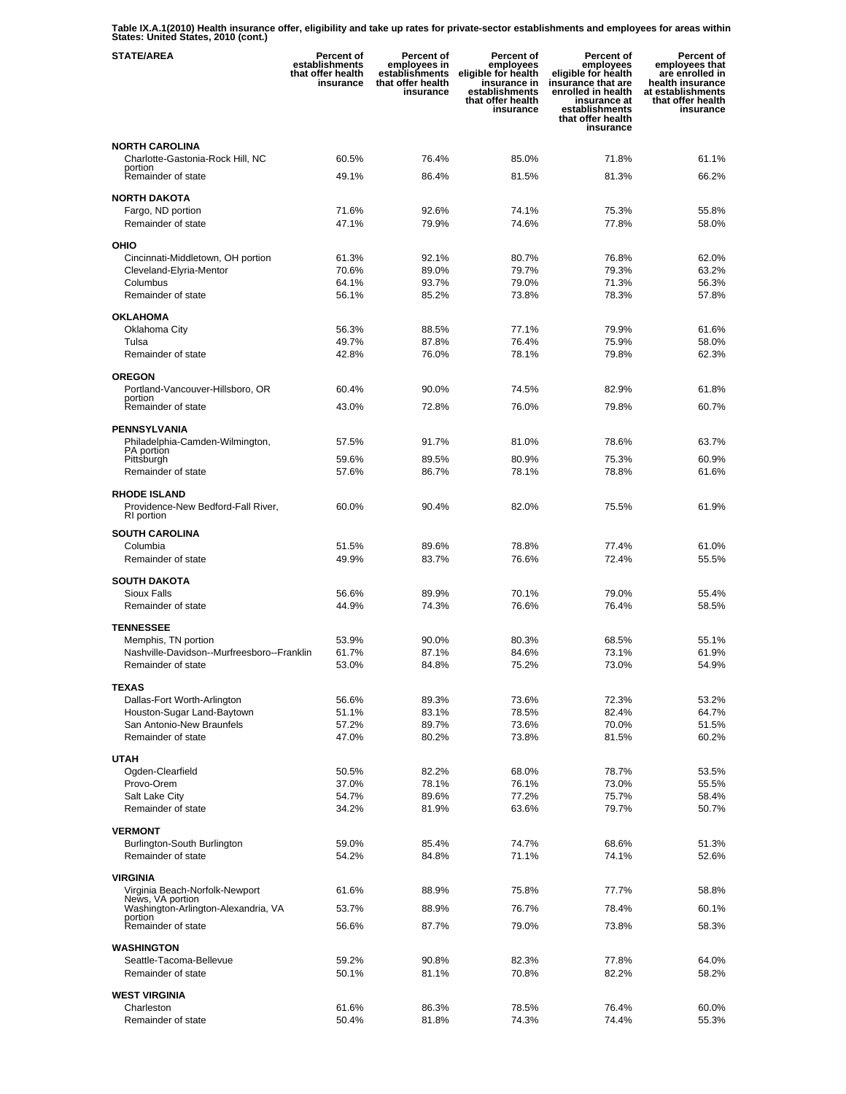**Table IX.A.1(2010) Health insurance offer, eligibility and take up rates for private-sector establishments and employees for areas within States: United States, 2010 (cont.)** 

| <b>STATE/AREA</b>                                                 | Percent of<br>establishments<br>that offer health<br>insurance | <b>Percent of</b><br>employees in<br>establishments<br>that offer health<br>insurance | Percent of<br>employees<br>eligible for health<br>insurance in<br>establishments<br>that offer health<br>insurance | <b>Percent of</b><br>employees<br>eligible for health<br>insurance that are<br>enrolled in health<br>insurance at<br>establishments<br>that offer health<br>insurance | Percent of<br>employees that<br>are enrolled in<br>health insurance<br>at establishments<br>that offer health<br>insurance |
|-------------------------------------------------------------------|----------------------------------------------------------------|---------------------------------------------------------------------------------------|--------------------------------------------------------------------------------------------------------------------|-----------------------------------------------------------------------------------------------------------------------------------------------------------------------|----------------------------------------------------------------------------------------------------------------------------|
| <b>NORTH CAROLINA</b>                                             |                                                                |                                                                                       |                                                                                                                    |                                                                                                                                                                       |                                                                                                                            |
| Charlotte-Gastonia-Rock Hill, NC                                  | 60.5%                                                          | 76.4%                                                                                 | 85.0%                                                                                                              | 71.8%                                                                                                                                                                 | 61.1%                                                                                                                      |
| portion<br>Remainder of state                                     | 49.1%                                                          | 86.4%                                                                                 | 81.5%                                                                                                              | 81.3%                                                                                                                                                                 | 66.2%                                                                                                                      |
| <b>NORTH DAKOTA</b>                                               |                                                                |                                                                                       |                                                                                                                    |                                                                                                                                                                       |                                                                                                                            |
| Fargo, ND portion                                                 | 71.6%                                                          | 92.6%                                                                                 | 74.1%                                                                                                              | 75.3%                                                                                                                                                                 | 55.8%                                                                                                                      |
| Remainder of state                                                | 47.1%                                                          | 79.9%                                                                                 | 74.6%                                                                                                              | 77.8%                                                                                                                                                                 | 58.0%                                                                                                                      |
| OHIO                                                              |                                                                |                                                                                       |                                                                                                                    |                                                                                                                                                                       |                                                                                                                            |
| Cincinnati-Middletown, OH portion                                 | 61.3%                                                          | 92.1%                                                                                 | 80.7%                                                                                                              | 76.8%                                                                                                                                                                 | 62.0%                                                                                                                      |
| Cleveland-Elyria-Mentor                                           | 70.6%                                                          | 89.0%                                                                                 | 79.7%                                                                                                              | 79.3%                                                                                                                                                                 | 63.2%                                                                                                                      |
| Columbus                                                          | 64.1%                                                          | 93.7%                                                                                 | 79.0%                                                                                                              | 71.3%                                                                                                                                                                 | 56.3%                                                                                                                      |
| Remainder of state                                                | 56.1%                                                          | 85.2%                                                                                 | 73.8%                                                                                                              | 78.3%                                                                                                                                                                 | 57.8%                                                                                                                      |
| <b>OKLAHOMA</b>                                                   |                                                                |                                                                                       |                                                                                                                    |                                                                                                                                                                       |                                                                                                                            |
| Oklahoma City                                                     | 56.3%                                                          | 88.5%                                                                                 | 77.1%                                                                                                              | 79.9%                                                                                                                                                                 | 61.6%                                                                                                                      |
| Tulsa<br>Remainder of state                                       | 49.7%<br>42.8%                                                 | 87.8%<br>76.0%                                                                        | 76.4%<br>78.1%                                                                                                     | 75.9%<br>79.8%                                                                                                                                                        | 58.0%<br>62.3%                                                                                                             |
|                                                                   |                                                                |                                                                                       |                                                                                                                    |                                                                                                                                                                       |                                                                                                                            |
| <b>OREGON</b>                                                     |                                                                |                                                                                       |                                                                                                                    |                                                                                                                                                                       |                                                                                                                            |
| Portland-Vancouver-Hillsboro, OR<br>portion                       | 60.4%                                                          | 90.0%                                                                                 | 74.5%                                                                                                              | 82.9%                                                                                                                                                                 | 61.8%                                                                                                                      |
| Remainder of state                                                | 43.0%                                                          | 72.8%                                                                                 | 76.0%                                                                                                              | 79.8%                                                                                                                                                                 | 60.7%                                                                                                                      |
| <b>PENNSYLVANIA</b>                                               |                                                                |                                                                                       |                                                                                                                    |                                                                                                                                                                       |                                                                                                                            |
| Philadelphia-Camden-Wilmington,                                   | 57.5%                                                          | 91.7%                                                                                 | 81.0%                                                                                                              | 78.6%                                                                                                                                                                 | 63.7%                                                                                                                      |
| PA portion<br>Pittsburgh                                          | 59.6%                                                          | 89.5%                                                                                 | 80.9%                                                                                                              | 75.3%                                                                                                                                                                 | 60.9%                                                                                                                      |
| Remainder of state                                                | 57.6%                                                          | 86.7%                                                                                 | 78.1%                                                                                                              | 78.8%                                                                                                                                                                 | 61.6%                                                                                                                      |
| <b>RHODE ISLAND</b>                                               |                                                                |                                                                                       |                                                                                                                    |                                                                                                                                                                       |                                                                                                                            |
| Providence-New Bedford-Fall River,                                | 60.0%                                                          | 90.4%                                                                                 | 82.0%                                                                                                              | 75.5%                                                                                                                                                                 | 61.9%                                                                                                                      |
| RI portion                                                        |                                                                |                                                                                       |                                                                                                                    |                                                                                                                                                                       |                                                                                                                            |
| <b>SOUTH CAROLINA</b>                                             |                                                                |                                                                                       |                                                                                                                    |                                                                                                                                                                       |                                                                                                                            |
| Columbia<br>Remainder of state                                    | 51.5%<br>49.9%                                                 | 89.6%<br>83.7%                                                                        | 78.8%<br>76.6%                                                                                                     | 77.4%<br>72.4%                                                                                                                                                        | 61.0%<br>55.5%                                                                                                             |
|                                                                   |                                                                |                                                                                       |                                                                                                                    |                                                                                                                                                                       |                                                                                                                            |
| <b>SOUTH DAKOTA</b>                                               | 56.6%                                                          |                                                                                       |                                                                                                                    |                                                                                                                                                                       |                                                                                                                            |
| <b>Sioux Falls</b><br>Remainder of state                          | 44.9%                                                          | 89.9%<br>74.3%                                                                        | 70.1%<br>76.6%                                                                                                     | 79.0%<br>76.4%                                                                                                                                                        | 55.4%<br>58.5%                                                                                                             |
|                                                                   |                                                                |                                                                                       |                                                                                                                    |                                                                                                                                                                       |                                                                                                                            |
| <b>TENNESSEE</b>                                                  | 53.9%                                                          | 90.0%                                                                                 | 80.3%                                                                                                              | 68.5%                                                                                                                                                                 | 55.1%                                                                                                                      |
| Memphis, TN portion<br>Nashville-Davidson--Murfreesboro--Franklin | 61.7%                                                          | 87.1%                                                                                 | 84.6%                                                                                                              | 73.1%                                                                                                                                                                 | 61.9%                                                                                                                      |
| Remainder of state                                                | 53.0%                                                          | 84.8%                                                                                 | 75.2%                                                                                                              | 73.0%                                                                                                                                                                 | 54.9%                                                                                                                      |
| <b>TEXAS</b>                                                      |                                                                |                                                                                       |                                                                                                                    |                                                                                                                                                                       |                                                                                                                            |
| Dallas-Fort Worth-Arlington                                       | 56.6%                                                          | 89.3%                                                                                 | 73.6%                                                                                                              | 72.3%                                                                                                                                                                 | 53.2%                                                                                                                      |
| Houston-Sugar Land-Baytown                                        | 51.1%                                                          | 83.1%                                                                                 | 78.5%                                                                                                              | 82.4%                                                                                                                                                                 | 64.7%                                                                                                                      |
| San Antonio-New Braunfels                                         | 57.2%                                                          | 89.7%                                                                                 | 73.6%                                                                                                              | 70.0%                                                                                                                                                                 | 51.5%                                                                                                                      |
| Remainder of state                                                | 47.0%                                                          | 80.2%                                                                                 | 73.8%                                                                                                              | 81.5%                                                                                                                                                                 | 60.2%                                                                                                                      |
| <b>UTAH</b>                                                       |                                                                |                                                                                       |                                                                                                                    |                                                                                                                                                                       |                                                                                                                            |
| Ogden-Clearfield                                                  | 50.5%                                                          | 82.2%                                                                                 | 68.0%                                                                                                              | 78.7%                                                                                                                                                                 | 53.5%                                                                                                                      |
| Provo-Orem<br>Salt Lake City                                      | 37.0%<br>54.7%                                                 | 78.1%<br>89.6%                                                                        | 76.1%<br>77.2%                                                                                                     | 73.0%<br>75.7%                                                                                                                                                        | 55.5%<br>58.4%                                                                                                             |
| Remainder of state                                                | 34.2%                                                          | 81.9%                                                                                 | 63.6%                                                                                                              | 79.7%                                                                                                                                                                 | 50.7%                                                                                                                      |
|                                                                   |                                                                |                                                                                       |                                                                                                                    |                                                                                                                                                                       |                                                                                                                            |
| <b>VERMONT</b><br>Burlington-South Burlington                     | 59.0%                                                          | 85.4%                                                                                 | 74.7%                                                                                                              | 68.6%                                                                                                                                                                 | 51.3%                                                                                                                      |
| Remainder of state                                                | 54.2%                                                          | 84.8%                                                                                 | 71.1%                                                                                                              | 74.1%                                                                                                                                                                 | 52.6%                                                                                                                      |
|                                                                   |                                                                |                                                                                       |                                                                                                                    |                                                                                                                                                                       |                                                                                                                            |
| <b>VIRGINIA</b><br>Virginia Beach-Norfolk-Newport                 | 61.6%                                                          | 88.9%                                                                                 | 75.8%                                                                                                              | 77.7%                                                                                                                                                                 | 58.8%                                                                                                                      |
| News, VA portion<br>Washington-Arlington-Alexandria, VA           | 53.7%                                                          | 88.9%                                                                                 | 76.7%                                                                                                              | 78.4%                                                                                                                                                                 | 60.1%                                                                                                                      |
| portion                                                           |                                                                |                                                                                       |                                                                                                                    |                                                                                                                                                                       |                                                                                                                            |
| Remainder of state                                                | 56.6%                                                          | 87.7%                                                                                 | 79.0%                                                                                                              | 73.8%                                                                                                                                                                 | 58.3%                                                                                                                      |
| <b>WASHINGTON</b>                                                 |                                                                |                                                                                       |                                                                                                                    |                                                                                                                                                                       |                                                                                                                            |
| Seattle-Tacoma-Bellevue                                           | 59.2%                                                          | 90.8%                                                                                 | 82.3%                                                                                                              | 77.8%                                                                                                                                                                 | 64.0%                                                                                                                      |
| Remainder of state                                                | 50.1%                                                          | 81.1%                                                                                 | 70.8%                                                                                                              | 82.2%                                                                                                                                                                 | 58.2%                                                                                                                      |
| <b>WEST VIRGINIA</b>                                              |                                                                |                                                                                       |                                                                                                                    |                                                                                                                                                                       |                                                                                                                            |
| Charleston<br>Remainder of state                                  | 61.6%<br>50.4%                                                 | 86.3%<br>81.8%                                                                        | 78.5%<br>74.3%                                                                                                     | 76.4%<br>74.4%                                                                                                                                                        | 60.0%<br>55.3%                                                                                                             |
|                                                                   |                                                                |                                                                                       |                                                                                                                    |                                                                                                                                                                       |                                                                                                                            |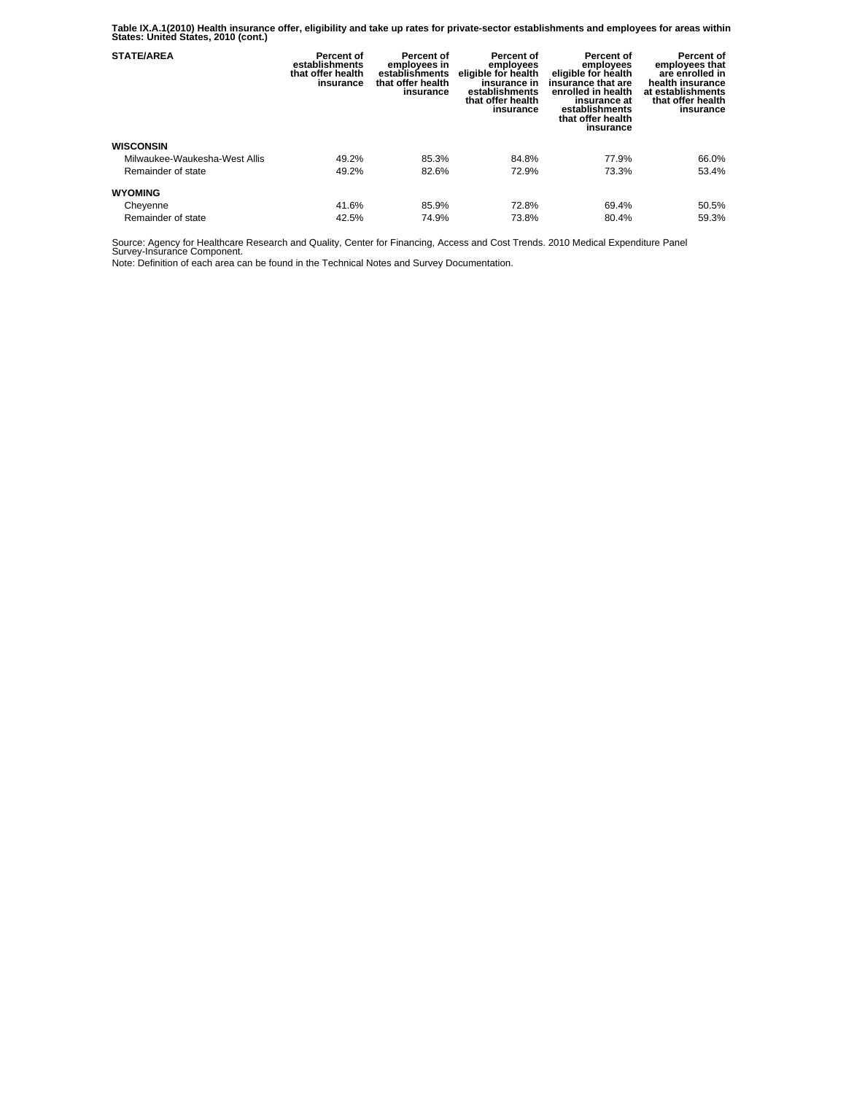**Table IX.A.1(2010) Health insurance offer, eligibility and take up rates for private-sector establishments and employees for areas within States: United States, 2010 (cont.)** 

| <b>STATE/AREA</b>             | Percent of<br>establishments<br>that offer health<br>insurance | Percent of<br>employees in<br>establishments<br>that offer health<br>insurance | Percent of<br>employees<br>eligible for health<br>insurance in<br>establishments<br>that offer health<br>insurance | Percent of<br>employees<br>eligible for health<br>insurance that are<br>enrolled in health<br>insurance at<br>establishments<br>that offer health<br>insurance | Percent of<br>employees that<br>are enrolled in<br>health insurance<br>at establishments<br>that offer health<br>insurance |
|-------------------------------|----------------------------------------------------------------|--------------------------------------------------------------------------------|--------------------------------------------------------------------------------------------------------------------|----------------------------------------------------------------------------------------------------------------------------------------------------------------|----------------------------------------------------------------------------------------------------------------------------|
| <b>WISCONSIN</b>              |                                                                |                                                                                |                                                                                                                    |                                                                                                                                                                |                                                                                                                            |
| Milwaukee-Waukesha-West Allis | 49.2%                                                          | 85.3%                                                                          | 84.8%                                                                                                              | 77.9%                                                                                                                                                          | 66.0%                                                                                                                      |
| Remainder of state            | 49.2%                                                          | 82.6%                                                                          | 72.9%                                                                                                              | 73.3%                                                                                                                                                          | 53.4%                                                                                                                      |
| <b>WYOMING</b>                |                                                                |                                                                                |                                                                                                                    |                                                                                                                                                                |                                                                                                                            |
| Cheyenne                      | 41.6%                                                          | 85.9%                                                                          | 72.8%                                                                                                              | 69.4%                                                                                                                                                          | 50.5%                                                                                                                      |
| Remainder of state            | 42.5%                                                          | 74.9%                                                                          | 73.8%                                                                                                              | 80.4%                                                                                                                                                          | 59.3%                                                                                                                      |

Source: Agency for Healthcare Research and Quality, Center for Financing, Access and Cost Trends. 2010 Medical Expenditure Panel Survey-Insurance Component.

Note: Definition of each area can be found in the Technical Notes and Survey Documentation.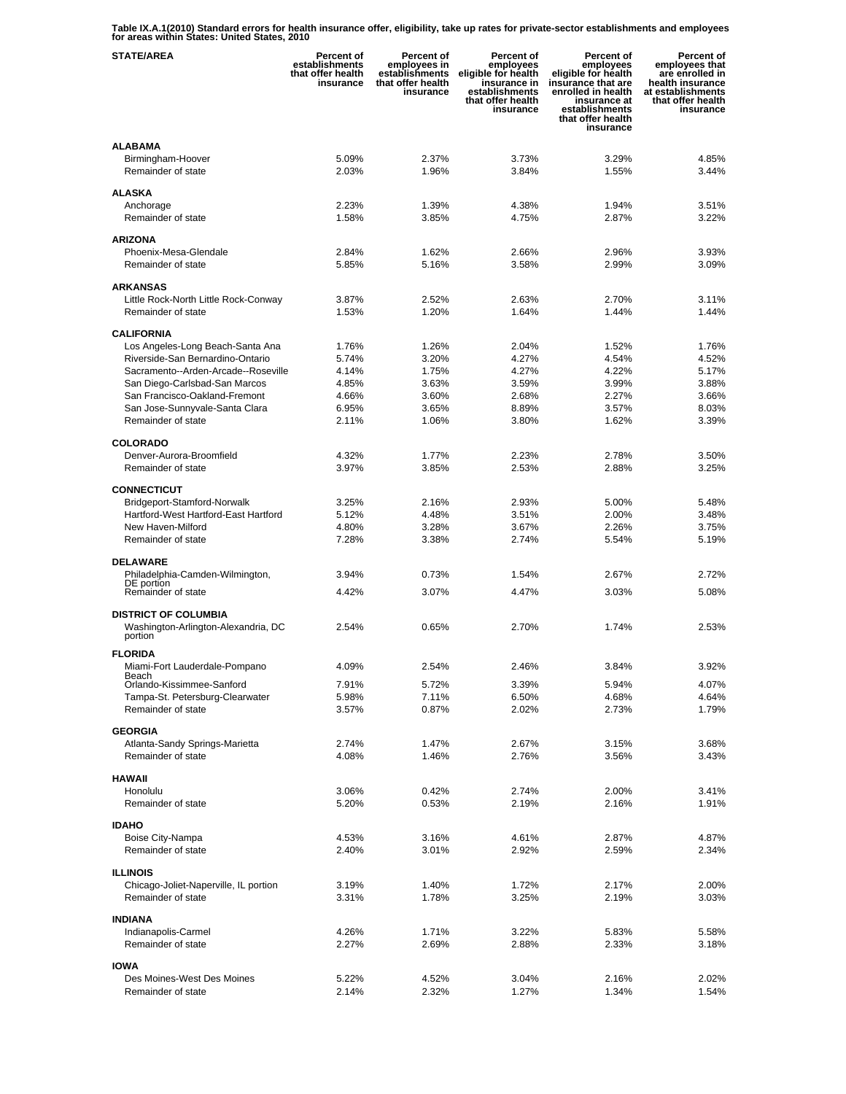**Table IX.A.1(2010) Standard errors for health insurance offer, eligibility, take up rates for private-sector establishments and employees for areas within States: United States, 2010** 

| <b>STATE/AREA</b>                                     | <b>Percent of</b><br>establishments<br>that offer health<br>insurance | Percent of<br>employees in<br>establishments<br>that offer health<br>insurance | Percent of<br>employees<br>eligible for health<br>insurance in<br>establishments<br>that offer health<br>insurance | <b>Percent of</b><br>employees<br>eligible for health<br>insurance that are<br>enrolled in health<br>insurance at<br>establishments<br>that offer health<br>insurance | Percent of<br>employees that<br>are enrolled in<br>health insurance<br>at establishments<br>that offer health<br>insurance |
|-------------------------------------------------------|-----------------------------------------------------------------------|--------------------------------------------------------------------------------|--------------------------------------------------------------------------------------------------------------------|-----------------------------------------------------------------------------------------------------------------------------------------------------------------------|----------------------------------------------------------------------------------------------------------------------------|
| <b>ALABAMA</b>                                        |                                                                       |                                                                                |                                                                                                                    |                                                                                                                                                                       |                                                                                                                            |
| Birmingham-Hoover                                     | 5.09%                                                                 | 2.37%                                                                          | 3.73%                                                                                                              | 3.29%                                                                                                                                                                 | 4.85%                                                                                                                      |
| Remainder of state                                    | 2.03%                                                                 | 1.96%                                                                          | 3.84%                                                                                                              | 1.55%                                                                                                                                                                 | 3.44%                                                                                                                      |
|                                                       |                                                                       |                                                                                |                                                                                                                    |                                                                                                                                                                       |                                                                                                                            |
| <b>ALASKA</b><br>Anchorage                            | 2.23%                                                                 | 1.39%                                                                          | 4.38%                                                                                                              | 1.94%                                                                                                                                                                 | 3.51%                                                                                                                      |
| Remainder of state                                    | 1.58%                                                                 | 3.85%                                                                          | 4.75%                                                                                                              | 2.87%                                                                                                                                                                 | 3.22%                                                                                                                      |
|                                                       |                                                                       |                                                                                |                                                                                                                    |                                                                                                                                                                       |                                                                                                                            |
| <b>ARIZONA</b>                                        |                                                                       |                                                                                |                                                                                                                    |                                                                                                                                                                       |                                                                                                                            |
| Phoenix-Mesa-Glendale                                 | 2.84%                                                                 | 1.62%                                                                          | 2.66%                                                                                                              | 2.96%                                                                                                                                                                 | 3.93%                                                                                                                      |
| Remainder of state                                    | 5.85%                                                                 | 5.16%                                                                          | 3.58%                                                                                                              | 2.99%                                                                                                                                                                 | 3.09%                                                                                                                      |
| <b>ARKANSAS</b>                                       |                                                                       |                                                                                |                                                                                                                    |                                                                                                                                                                       |                                                                                                                            |
| Little Rock-North Little Rock-Conway                  | 3.87%                                                                 | 2.52%                                                                          | 2.63%                                                                                                              | 2.70%                                                                                                                                                                 | 3.11%                                                                                                                      |
| Remainder of state                                    | 1.53%                                                                 | 1.20%                                                                          | 1.64%                                                                                                              | 1.44%                                                                                                                                                                 | 1.44%                                                                                                                      |
|                                                       |                                                                       |                                                                                |                                                                                                                    |                                                                                                                                                                       |                                                                                                                            |
| <b>CALIFORNIA</b><br>Los Angeles-Long Beach-Santa Ana | 1.76%                                                                 | 1.26%                                                                          | 2.04%                                                                                                              | 1.52%                                                                                                                                                                 | 1.76%                                                                                                                      |
| Riverside-San Bernardino-Ontario                      | 5.74%                                                                 | 3.20%                                                                          | 4.27%                                                                                                              | 4.54%                                                                                                                                                                 | 4.52%                                                                                                                      |
| Sacramento--Arden-Arcade--Roseville                   | 4.14%                                                                 | 1.75%                                                                          | 4.27%                                                                                                              | 4.22%                                                                                                                                                                 | 5.17%                                                                                                                      |
| San Diego-Carlsbad-San Marcos                         | 4.85%                                                                 | 3.63%                                                                          | 3.59%                                                                                                              | 3.99%                                                                                                                                                                 | 3.88%                                                                                                                      |
| San Francisco-Oakland-Fremont                         | 4.66%                                                                 | 3.60%                                                                          | 2.68%                                                                                                              | 2.27%                                                                                                                                                                 | 3.66%                                                                                                                      |
| San Jose-Sunnyvale-Santa Clara                        | 6.95%                                                                 | 3.65%                                                                          | 8.89%                                                                                                              | 3.57%                                                                                                                                                                 | 8.03%                                                                                                                      |
| Remainder of state                                    | 2.11%                                                                 | 1.06%                                                                          | 3.80%                                                                                                              | 1.62%                                                                                                                                                                 | 3.39%                                                                                                                      |
|                                                       |                                                                       |                                                                                |                                                                                                                    |                                                                                                                                                                       |                                                                                                                            |
| <b>COLORADO</b>                                       |                                                                       |                                                                                |                                                                                                                    |                                                                                                                                                                       |                                                                                                                            |
| Denver-Aurora-Broomfield<br>Remainder of state        | 4.32%<br>3.97%                                                        | 1.77%<br>3.85%                                                                 | 2.23%<br>2.53%                                                                                                     | 2.78%<br>2.88%                                                                                                                                                        | 3.50%<br>3.25%                                                                                                             |
|                                                       |                                                                       |                                                                                |                                                                                                                    |                                                                                                                                                                       |                                                                                                                            |
| <b>CONNECTICUT</b>                                    |                                                                       |                                                                                |                                                                                                                    |                                                                                                                                                                       |                                                                                                                            |
| Bridgeport-Stamford-Norwalk                           | 3.25%                                                                 | 2.16%                                                                          | 2.93%                                                                                                              | 5.00%                                                                                                                                                                 | 5.48%                                                                                                                      |
| Hartford-West Hartford-East Hartford                  | 5.12%                                                                 | 4.48%                                                                          | 3.51%                                                                                                              | 2.00%                                                                                                                                                                 | 3.48%                                                                                                                      |
| New Haven-Milford                                     | 4.80%                                                                 | 3.28%                                                                          | 3.67%                                                                                                              | 2.26%                                                                                                                                                                 | 3.75%                                                                                                                      |
| Remainder of state                                    | 7.28%                                                                 | 3.38%                                                                          | 2.74%                                                                                                              | 5.54%                                                                                                                                                                 | 5.19%                                                                                                                      |
| <b>DELAWARE</b>                                       |                                                                       |                                                                                |                                                                                                                    |                                                                                                                                                                       |                                                                                                                            |
| Philadelphia-Camden-Wilmington,                       | 3.94%                                                                 | 0.73%                                                                          | 1.54%                                                                                                              | 2.67%                                                                                                                                                                 | 2.72%                                                                                                                      |
| DE portion                                            | 4.42%                                                                 | 3.07%                                                                          | 4.47%                                                                                                              | 3.03%                                                                                                                                                                 | 5.08%                                                                                                                      |
| Remainder of state                                    |                                                                       |                                                                                |                                                                                                                    |                                                                                                                                                                       |                                                                                                                            |
| <b>DISTRICT OF COLUMBIA</b>                           |                                                                       |                                                                                |                                                                                                                    |                                                                                                                                                                       |                                                                                                                            |
| Washington-Arlington-Alexandria, DC                   | 2.54%                                                                 | 0.65%                                                                          | 2.70%                                                                                                              | 1.74%                                                                                                                                                                 | 2.53%                                                                                                                      |
| portion                                               |                                                                       |                                                                                |                                                                                                                    |                                                                                                                                                                       |                                                                                                                            |
| <b>FLORIDA</b>                                        |                                                                       |                                                                                |                                                                                                                    |                                                                                                                                                                       |                                                                                                                            |
| Miami-Fort Lauderdale-Pompano<br>Beach                | 4.09%                                                                 | 2.54%                                                                          | 2.46%                                                                                                              | 3.84%                                                                                                                                                                 | 3.92%                                                                                                                      |
| Orlando-Kissimmee-Sanford                             | 7.91%                                                                 | 5.72%                                                                          | 3.39%                                                                                                              | 5.94%                                                                                                                                                                 | 4.07%                                                                                                                      |
| Tampa-St. Petersburg-Clearwater                       | 5.98%                                                                 | 7.11%                                                                          | 6.50%                                                                                                              | 4.68%                                                                                                                                                                 | 4.64%                                                                                                                      |
| Remainder of state                                    | 3.57%                                                                 | 0.87%                                                                          | 2.02%                                                                                                              | 2.73%                                                                                                                                                                 | 1.79%                                                                                                                      |
| <b>GEORGIA</b>                                        |                                                                       |                                                                                |                                                                                                                    |                                                                                                                                                                       |                                                                                                                            |
| Atlanta-Sandy Springs-Marietta                        | 2.74%                                                                 | 1.47%                                                                          | 2.67%                                                                                                              | 3.15%                                                                                                                                                                 | 3.68%                                                                                                                      |
| Remainder of state                                    | 4.08%                                                                 | 1.46%                                                                          | 2.76%                                                                                                              | 3.56%                                                                                                                                                                 | 3.43%                                                                                                                      |
|                                                       |                                                                       |                                                                                |                                                                                                                    |                                                                                                                                                                       |                                                                                                                            |
| <b>HAWAII</b>                                         |                                                                       |                                                                                |                                                                                                                    |                                                                                                                                                                       |                                                                                                                            |
| Honolulu                                              | 3.06%                                                                 | 0.42%                                                                          | 2.74%                                                                                                              | 2.00%                                                                                                                                                                 | 3.41%                                                                                                                      |
| Remainder of state                                    | 5.20%                                                                 | 0.53%                                                                          | 2.19%                                                                                                              | 2.16%                                                                                                                                                                 | 1.91%                                                                                                                      |
| <b>IDAHO</b>                                          |                                                                       |                                                                                |                                                                                                                    |                                                                                                                                                                       |                                                                                                                            |
| Boise City-Nampa                                      | 4.53%                                                                 | 3.16%                                                                          | 4.61%                                                                                                              | 2.87%                                                                                                                                                                 | 4.87%                                                                                                                      |
| Remainder of state                                    | 2.40%                                                                 | 3.01%                                                                          | 2.92%                                                                                                              | 2.59%                                                                                                                                                                 | 2.34%                                                                                                                      |
|                                                       |                                                                       |                                                                                |                                                                                                                    |                                                                                                                                                                       |                                                                                                                            |
| <b>ILLINOIS</b>                                       |                                                                       |                                                                                |                                                                                                                    |                                                                                                                                                                       |                                                                                                                            |
| Chicago-Joliet-Naperville, IL portion                 | 3.19%                                                                 | 1.40%                                                                          | 1.72%                                                                                                              | 2.17%                                                                                                                                                                 | 2.00%                                                                                                                      |
| Remainder of state                                    | 3.31%                                                                 | 1.78%                                                                          | 3.25%                                                                                                              | 2.19%                                                                                                                                                                 | 3.03%                                                                                                                      |
| <b>INDIANA</b>                                        |                                                                       |                                                                                |                                                                                                                    |                                                                                                                                                                       |                                                                                                                            |
| Indianapolis-Carmel                                   | 4.26%                                                                 | 1.71%                                                                          | 3.22%                                                                                                              | 5.83%                                                                                                                                                                 | 5.58%                                                                                                                      |
| Remainder of state                                    | 2.27%                                                                 | 2.69%                                                                          | 2.88%                                                                                                              | 2.33%                                                                                                                                                                 | 3.18%                                                                                                                      |
|                                                       |                                                                       |                                                                                |                                                                                                                    |                                                                                                                                                                       |                                                                                                                            |
| <b>IOWA</b><br>Des Moines-West Des Moines             | 5.22%                                                                 | 4.52%                                                                          | 3.04%                                                                                                              | 2.16%                                                                                                                                                                 | 2.02%                                                                                                                      |
| Remainder of state                                    | 2.14%                                                                 | 2.32%                                                                          | 1.27%                                                                                                              | 1.34%                                                                                                                                                                 | 1.54%                                                                                                                      |
|                                                       |                                                                       |                                                                                |                                                                                                                    |                                                                                                                                                                       |                                                                                                                            |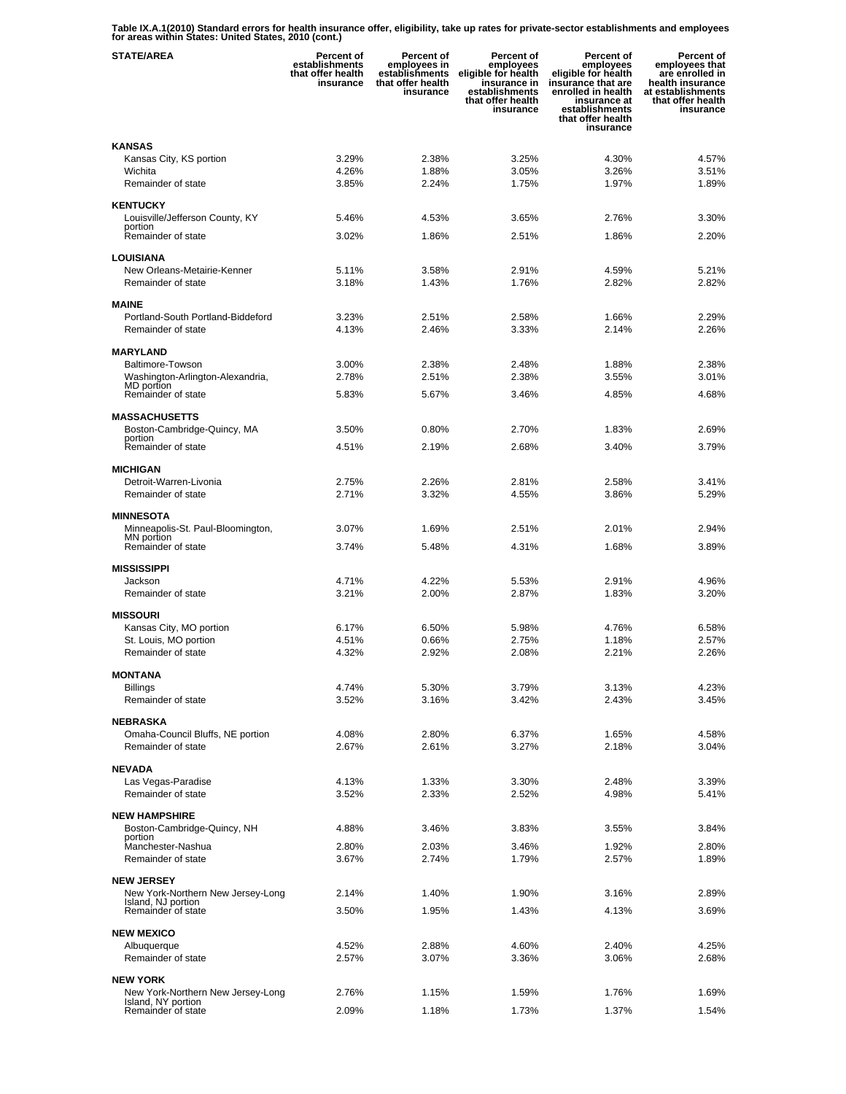**Table IX.A.1(2010) Standard errors for health insurance offer, eligibility, take up rates for private-sector establishments and employees for areas within States: United States, 2010 (cont.)** 

| <b>STATE/AREA</b>                                     | Percent of<br>establishments<br>that offer health<br>insurance | <b>Percent of</b><br>employees in<br>establishments<br>that offer health<br>insurance | Percent of<br>employees<br>eligible for health<br>insurance in<br>establishments<br>that offer health<br>insurance | Percent of<br>employees<br>eligible for health<br>insurance that are<br>enrolled in health<br>insurance at<br>establishments<br>that offer health<br>insurance | Percent of<br>employees that<br>are enrolled in<br>health insurance<br>at establishments<br>that offer health<br>insurance |
|-------------------------------------------------------|----------------------------------------------------------------|---------------------------------------------------------------------------------------|--------------------------------------------------------------------------------------------------------------------|----------------------------------------------------------------------------------------------------------------------------------------------------------------|----------------------------------------------------------------------------------------------------------------------------|
| <b>KANSAS</b>                                         |                                                                |                                                                                       |                                                                                                                    |                                                                                                                                                                |                                                                                                                            |
| Kansas City, KS portion                               | 3.29%                                                          | 2.38%                                                                                 | 3.25%                                                                                                              | 4.30%                                                                                                                                                          | 4.57%                                                                                                                      |
| Wichita                                               | 4.26%                                                          | 1.88%                                                                                 | 3.05%                                                                                                              | 3.26%                                                                                                                                                          | 3.51%                                                                                                                      |
| Remainder of state                                    | 3.85%                                                          | 2.24%                                                                                 | 1.75%                                                                                                              | 1.97%                                                                                                                                                          | 1.89%                                                                                                                      |
| <b>KENTUCKY</b>                                       |                                                                |                                                                                       |                                                                                                                    |                                                                                                                                                                |                                                                                                                            |
| Louisville/Jefferson County, KY<br>portion            | 5.46%                                                          | 4.53%                                                                                 | 3.65%                                                                                                              | 2.76%                                                                                                                                                          | 3.30%                                                                                                                      |
| Remainder of state                                    | 3.02%                                                          | 1.86%                                                                                 | 2.51%                                                                                                              | 1.86%                                                                                                                                                          | 2.20%                                                                                                                      |
| <b>LOUISIANA</b>                                      |                                                                |                                                                                       |                                                                                                                    |                                                                                                                                                                |                                                                                                                            |
| New Orleans-Metairie-Kenner                           | 5.11%                                                          | 3.58%                                                                                 | 2.91%                                                                                                              | 4.59%                                                                                                                                                          | 5.21%                                                                                                                      |
| Remainder of state                                    | 3.18%                                                          | 1.43%                                                                                 | 1.76%                                                                                                              | 2.82%                                                                                                                                                          | 2.82%                                                                                                                      |
| <b>MAINE</b>                                          |                                                                |                                                                                       |                                                                                                                    |                                                                                                                                                                |                                                                                                                            |
| Portland-South Portland-Biddeford                     | 3.23%                                                          | 2.51%                                                                                 | 2.58%                                                                                                              | 1.66%                                                                                                                                                          | 2.29%                                                                                                                      |
| Remainder of state                                    | 4.13%                                                          | 2.46%                                                                                 | 3.33%                                                                                                              | 2.14%                                                                                                                                                          | 2.26%                                                                                                                      |
| <b>MARYLAND</b>                                       |                                                                |                                                                                       |                                                                                                                    |                                                                                                                                                                |                                                                                                                            |
| Baltimore-Towson                                      | 3.00%                                                          | 2.38%                                                                                 | 2.48%                                                                                                              | 1.88%                                                                                                                                                          | 2.38%                                                                                                                      |
| Washington-Arlington-Alexandria,<br>MD portion        | 2.78%                                                          | 2.51%                                                                                 | 2.38%                                                                                                              | 3.55%                                                                                                                                                          | 3.01%                                                                                                                      |
| Remainder of state                                    | 5.83%                                                          | 5.67%                                                                                 | 3.46%                                                                                                              | 4.85%                                                                                                                                                          | 4.68%                                                                                                                      |
| <b>MASSACHUSETTS</b>                                  |                                                                |                                                                                       |                                                                                                                    |                                                                                                                                                                |                                                                                                                            |
| Boston-Cambridge-Quincy, MA                           | 3.50%                                                          | $0.80\%$                                                                              | 2.70%                                                                                                              | 1.83%                                                                                                                                                          | 2.69%                                                                                                                      |
| portion<br>Remainder of state                         | 4.51%                                                          | 2.19%                                                                                 | 2.68%                                                                                                              | 3.40%                                                                                                                                                          | 3.79%                                                                                                                      |
|                                                       |                                                                |                                                                                       |                                                                                                                    |                                                                                                                                                                |                                                                                                                            |
| <b>MICHIGAN</b><br>Detroit-Warren-Livonia             | 2.75%                                                          | 2.26%                                                                                 | 2.81%                                                                                                              | 2.58%                                                                                                                                                          | 3.41%                                                                                                                      |
| Remainder of state                                    | 2.71%                                                          | 3.32%                                                                                 | 4.55%                                                                                                              | 3.86%                                                                                                                                                          | 5.29%                                                                                                                      |
|                                                       |                                                                |                                                                                       |                                                                                                                    |                                                                                                                                                                |                                                                                                                            |
| <b>MINNESOTA</b><br>Minneapolis-St. Paul-Bloomington, | 3.07%                                                          | 1.69%                                                                                 | 2.51%                                                                                                              | 2.01%                                                                                                                                                          | 2.94%                                                                                                                      |
| MN portion<br>Remainder of state                      | 3.74%                                                          | 5.48%                                                                                 | 4.31%                                                                                                              | 1.68%                                                                                                                                                          | 3.89%                                                                                                                      |
|                                                       |                                                                |                                                                                       |                                                                                                                    |                                                                                                                                                                |                                                                                                                            |
| <b>MISSISSIPPI</b>                                    |                                                                |                                                                                       |                                                                                                                    |                                                                                                                                                                |                                                                                                                            |
| Jackson<br>Remainder of state                         | 4.71%<br>3.21%                                                 | 4.22%<br>2.00%                                                                        | 5.53%<br>2.87%                                                                                                     | 2.91%<br>1.83%                                                                                                                                                 | 4.96%<br>3.20%                                                                                                             |
|                                                       |                                                                |                                                                                       |                                                                                                                    |                                                                                                                                                                |                                                                                                                            |
| <b>MISSOURI</b>                                       | 6.17%                                                          |                                                                                       |                                                                                                                    |                                                                                                                                                                |                                                                                                                            |
| Kansas City, MO portion<br>St. Louis, MO portion      | 4.51%                                                          | 6.50%<br>0.66%                                                                        | 5.98%<br>2.75%                                                                                                     | 4.76%<br>1.18%                                                                                                                                                 | 6.58%<br>2.57%                                                                                                             |
| Remainder of state                                    | 4.32%                                                          | 2.92%                                                                                 | 2.08%                                                                                                              | 2.21%                                                                                                                                                          | 2.26%                                                                                                                      |
| <b>MONTANA</b>                                        |                                                                |                                                                                       |                                                                                                                    |                                                                                                                                                                |                                                                                                                            |
| Billings                                              | 4.74%                                                          | 5.30%                                                                                 | 3.79%                                                                                                              | 3.13%                                                                                                                                                          | 4.23%                                                                                                                      |
| Remainder of state                                    | 3.52%                                                          | 3.16%                                                                                 | 3.42%                                                                                                              | 2.43%                                                                                                                                                          | 3.45%                                                                                                                      |
| <b>NEBRASKA</b>                                       |                                                                |                                                                                       |                                                                                                                    |                                                                                                                                                                |                                                                                                                            |
| Omaha-Council Bluffs, NE portion                      | 4.08%                                                          | 2.80%                                                                                 | 6.37%                                                                                                              | 1.65%                                                                                                                                                          | 4.58%                                                                                                                      |
| Remainder of state                                    | 2.67%                                                          | 2.61%                                                                                 | 3.27%                                                                                                              | 2.18%                                                                                                                                                          | 3.04%                                                                                                                      |
| <b>NEVADA</b>                                         |                                                                |                                                                                       |                                                                                                                    |                                                                                                                                                                |                                                                                                                            |
| Las Vegas-Paradise                                    | 4.13%                                                          | 1.33%                                                                                 | 3.30%                                                                                                              | 2.48%                                                                                                                                                          | 3.39%                                                                                                                      |
| Remainder of state                                    | 3.52%                                                          | 2.33%                                                                                 | 2.52%                                                                                                              | 4.98%                                                                                                                                                          | 5.41%                                                                                                                      |
| <b>NEW HAMPSHIRE</b>                                  |                                                                |                                                                                       |                                                                                                                    |                                                                                                                                                                |                                                                                                                            |
| Boston-Cambridge-Quincy, NH                           | 4.88%                                                          | 3.46%                                                                                 | 3.83%                                                                                                              | 3.55%                                                                                                                                                          | 3.84%                                                                                                                      |
| portion<br>Manchester-Nashua                          | 2.80%                                                          | 2.03%                                                                                 | 3.46%                                                                                                              | 1.92%                                                                                                                                                          | 2.80%                                                                                                                      |
| Remainder of state                                    | 3.67%                                                          | 2.74%                                                                                 | 1.79%                                                                                                              | 2.57%                                                                                                                                                          | 1.89%                                                                                                                      |
| <b>NEW JERSEY</b>                                     |                                                                |                                                                                       |                                                                                                                    |                                                                                                                                                                |                                                                                                                            |
| New York-Northern New Jersey-Long                     | 2.14%                                                          | 1.40%                                                                                 | 1.90%                                                                                                              | 3.16%                                                                                                                                                          | 2.89%                                                                                                                      |
| Island, NJ portion<br>Remainder of state              | 3.50%                                                          | 1.95%                                                                                 | 1.43%                                                                                                              | 4.13%                                                                                                                                                          | 3.69%                                                                                                                      |
| <b>NEW MEXICO</b>                                     |                                                                |                                                                                       |                                                                                                                    |                                                                                                                                                                |                                                                                                                            |
| Albuquerque                                           | 4.52%                                                          | 2.88%                                                                                 | 4.60%                                                                                                              | 2.40%                                                                                                                                                          | 4.25%                                                                                                                      |
| Remainder of state                                    | 2.57%                                                          | 3.07%                                                                                 | 3.36%                                                                                                              | 3.06%                                                                                                                                                          | 2.68%                                                                                                                      |
| <b>NEW YORK</b>                                       |                                                                |                                                                                       |                                                                                                                    |                                                                                                                                                                |                                                                                                                            |
| New York-Northern New Jersey-Long                     | 2.76%                                                          | 1.15%                                                                                 | 1.59%                                                                                                              | 1.76%                                                                                                                                                          | 1.69%                                                                                                                      |
| Island, NY portion<br>Remainder of state              | 2.09%                                                          | 1.18%                                                                                 | 1.73%                                                                                                              | 1.37%                                                                                                                                                          | 1.54%                                                                                                                      |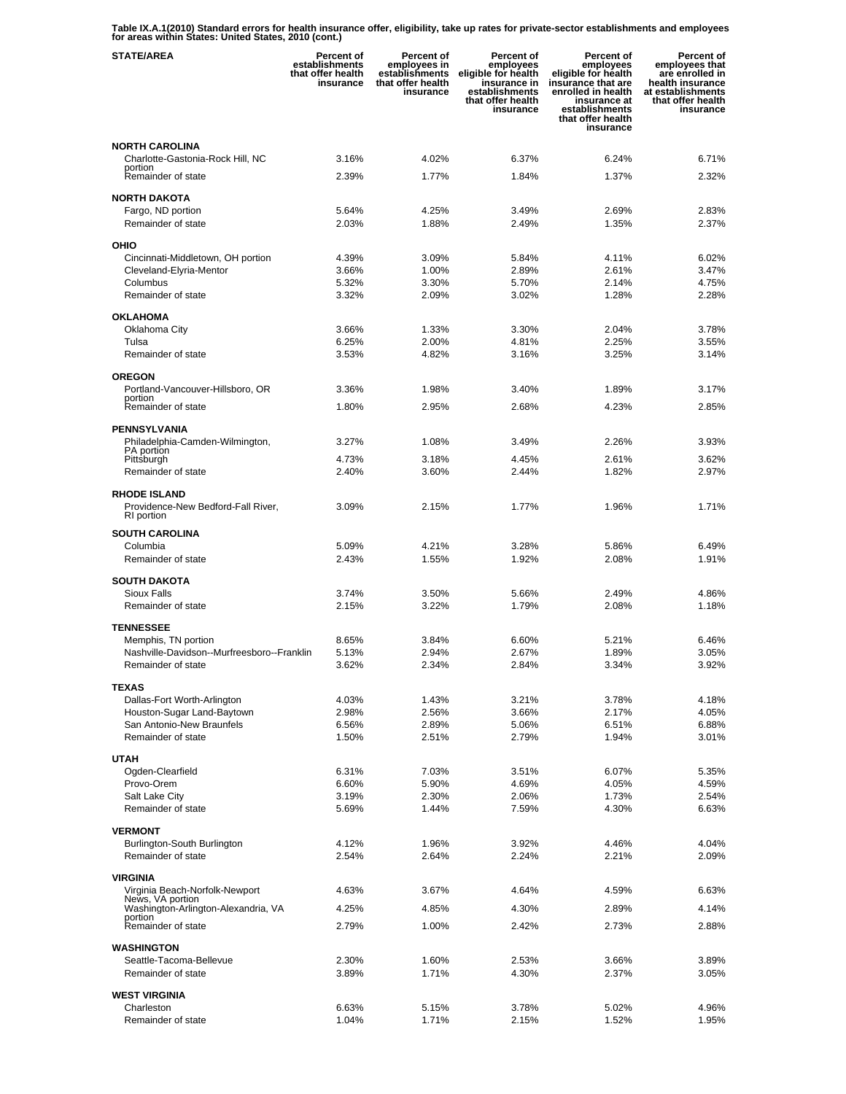**Table IX.A.1(2010) Standard errors for health insurance offer, eligibility, take up rates for private-sector establishments and employees for areas within States: United States, 2010 (cont.)** 

| <b>STATE/AREA</b>                                  | <b>Percent of</b><br>establishments<br>that offer health<br>insurance | <b>Percent of</b><br>employees in<br>establishments<br>that offer health<br>insurance | Percent of<br>employees<br>eligible for health<br>insurance in<br>establishments<br>that offer health<br>insurance | Percent of<br>employees<br>eligible for health<br>insurance that are<br>enrolled in health<br>insurance at<br>establishments<br>that offer health<br>insurance | Percent of<br>employees that<br>are enrolled in<br>health insurance<br>at establishments<br>that offer health<br>insurance |
|----------------------------------------------------|-----------------------------------------------------------------------|---------------------------------------------------------------------------------------|--------------------------------------------------------------------------------------------------------------------|----------------------------------------------------------------------------------------------------------------------------------------------------------------|----------------------------------------------------------------------------------------------------------------------------|
| <b>NORTH CAROLINA</b>                              |                                                                       |                                                                                       |                                                                                                                    |                                                                                                                                                                |                                                                                                                            |
| Charlotte-Gastonia-Rock Hill, NC                   | 3.16%                                                                 | 4.02%                                                                                 | 6.37%                                                                                                              | 6.24%                                                                                                                                                          | 6.71%                                                                                                                      |
| portion<br>Remainder of state                      | 2.39%                                                                 | 1.77%                                                                                 | 1.84%                                                                                                              | 1.37%                                                                                                                                                          | 2.32%                                                                                                                      |
|                                                    |                                                                       |                                                                                       |                                                                                                                    |                                                                                                                                                                |                                                                                                                            |
| <b>NORTH DAKOTA</b>                                |                                                                       |                                                                                       |                                                                                                                    |                                                                                                                                                                | 2.83%                                                                                                                      |
| Fargo, ND portion<br>Remainder of state            | 5.64%<br>2.03%                                                        | 4.25%<br>1.88%                                                                        | 3.49%<br>2.49%                                                                                                     | 2.69%<br>1.35%                                                                                                                                                 | 2.37%                                                                                                                      |
|                                                    |                                                                       |                                                                                       |                                                                                                                    |                                                                                                                                                                |                                                                                                                            |
| OHIO                                               |                                                                       |                                                                                       |                                                                                                                    |                                                                                                                                                                |                                                                                                                            |
| Cincinnati-Middletown, OH portion                  | 4.39%<br>3.66%                                                        | 3.09%<br>1.00%                                                                        | 5.84%<br>2.89%                                                                                                     | 4.11%<br>2.61%                                                                                                                                                 | 6.02%<br>3.47%                                                                                                             |
| Cleveland-Elyria-Mentor<br>Columbus                | 5.32%                                                                 | 3.30%                                                                                 | 5.70%                                                                                                              | 2.14%                                                                                                                                                          | 4.75%                                                                                                                      |
| Remainder of state                                 | 3.32%                                                                 | 2.09%                                                                                 | 3.02%                                                                                                              | 1.28%                                                                                                                                                          | 2.28%                                                                                                                      |
|                                                    |                                                                       |                                                                                       |                                                                                                                    |                                                                                                                                                                |                                                                                                                            |
| <b>OKLAHOMA</b><br>Oklahoma City                   | 3.66%                                                                 | 1.33%                                                                                 | 3.30%                                                                                                              | 2.04%                                                                                                                                                          | 3.78%                                                                                                                      |
| Tulsa                                              | 6.25%                                                                 | 2.00%                                                                                 | 4.81%                                                                                                              | 2.25%                                                                                                                                                          | 3.55%                                                                                                                      |
| Remainder of state                                 | 3.53%                                                                 | 4.82%                                                                                 | 3.16%                                                                                                              | 3.25%                                                                                                                                                          | 3.14%                                                                                                                      |
|                                                    |                                                                       |                                                                                       |                                                                                                                    |                                                                                                                                                                |                                                                                                                            |
| <b>OREGON</b><br>Portland-Vancouver-Hillsboro, OR  | 3.36%                                                                 | 1.98%                                                                                 | 3.40%                                                                                                              | 1.89%                                                                                                                                                          | 3.17%                                                                                                                      |
| portion                                            |                                                                       |                                                                                       |                                                                                                                    |                                                                                                                                                                |                                                                                                                            |
| Remainder of state                                 | 1.80%                                                                 | 2.95%                                                                                 | 2.68%                                                                                                              | 4.23%                                                                                                                                                          | 2.85%                                                                                                                      |
| <b>PENNSYLVANIA</b>                                |                                                                       |                                                                                       |                                                                                                                    |                                                                                                                                                                |                                                                                                                            |
| Philadelphia-Camden-Wilmington,                    | 3.27%                                                                 | 1.08%                                                                                 | 3.49%                                                                                                              | 2.26%                                                                                                                                                          | 3.93%                                                                                                                      |
| PA portion<br>Pittsburgh                           | 4.73%                                                                 | 3.18%                                                                                 | 4.45%                                                                                                              | 2.61%                                                                                                                                                          | 3.62%                                                                                                                      |
| Remainder of state                                 | 2.40%                                                                 | 3.60%                                                                                 | 2.44%                                                                                                              | 1.82%                                                                                                                                                          | 2.97%                                                                                                                      |
| <b>RHODE ISLAND</b>                                |                                                                       |                                                                                       |                                                                                                                    |                                                                                                                                                                |                                                                                                                            |
| Providence-New Bedford-Fall River,                 | 3.09%                                                                 | 2.15%                                                                                 | 1.77%                                                                                                              | 1.96%                                                                                                                                                          | 1.71%                                                                                                                      |
| RI portion                                         |                                                                       |                                                                                       |                                                                                                                    |                                                                                                                                                                |                                                                                                                            |
| <b>SOUTH CAROLINA</b>                              |                                                                       |                                                                                       |                                                                                                                    |                                                                                                                                                                |                                                                                                                            |
| Columbia                                           | 5.09%                                                                 | 4.21%                                                                                 | 3.28%                                                                                                              | 5.86%                                                                                                                                                          | 6.49%                                                                                                                      |
| Remainder of state                                 | 2.43%                                                                 | 1.55%                                                                                 | 1.92%                                                                                                              | 2.08%                                                                                                                                                          | 1.91%                                                                                                                      |
| <b>SOUTH DAKOTA</b>                                |                                                                       |                                                                                       |                                                                                                                    |                                                                                                                                                                |                                                                                                                            |
| Sioux Falls                                        | 3.74%                                                                 | 3.50%                                                                                 | 5.66%                                                                                                              | 2.49%                                                                                                                                                          | 4.86%                                                                                                                      |
| Remainder of state                                 | 2.15%                                                                 | 3.22%                                                                                 | 1.79%                                                                                                              | 2.08%                                                                                                                                                          | 1.18%                                                                                                                      |
| <b>TENNESSEE</b>                                   |                                                                       |                                                                                       |                                                                                                                    |                                                                                                                                                                |                                                                                                                            |
| Memphis, TN portion                                | 8.65%                                                                 | 3.84%                                                                                 | 6.60%                                                                                                              | 5.21%                                                                                                                                                          | 6.46%                                                                                                                      |
| Nashville-Davidson--Murfreesboro--Franklin         | 5.13%                                                                 | 2.94%                                                                                 | 2.67%                                                                                                              | 1.89%                                                                                                                                                          | 3.05%                                                                                                                      |
| Remainder of state                                 | 3.62%                                                                 | 2.34%                                                                                 | 2.84%                                                                                                              | 3.34%                                                                                                                                                          | 3.92%                                                                                                                      |
| <b>TEXAS</b>                                       |                                                                       |                                                                                       |                                                                                                                    |                                                                                                                                                                |                                                                                                                            |
| Dallas-Fort Worth-Arlington                        | 4.03%                                                                 | 1.43%                                                                                 | 3.21%                                                                                                              | 3.78%                                                                                                                                                          | 4.18%                                                                                                                      |
| Houston-Sugar Land-Baytown                         | 2.98%                                                                 | 2.56%                                                                                 | 3.66%                                                                                                              | 2.17%                                                                                                                                                          | 4.05%                                                                                                                      |
| San Antonio-New Braunfels                          | 6.56%                                                                 | 2.89%                                                                                 | 5.06%                                                                                                              | 6.51%                                                                                                                                                          | 6.88%                                                                                                                      |
| Remainder of state                                 | 1.50%                                                                 | 2.51%                                                                                 | 2.79%                                                                                                              | 1.94%                                                                                                                                                          | 3.01%                                                                                                                      |
| <b>UTAH</b>                                        |                                                                       |                                                                                       |                                                                                                                    |                                                                                                                                                                |                                                                                                                            |
| Ogden-Clearfield                                   | 6.31%                                                                 | 7.03%                                                                                 | 3.51%                                                                                                              | 6.07%                                                                                                                                                          | 5.35%                                                                                                                      |
| Provo-Orem                                         | 6.60%                                                                 | 5.90%                                                                                 | 4.69%                                                                                                              | 4.05%                                                                                                                                                          | 4.59%                                                                                                                      |
| Salt Lake City<br>Remainder of state               | 3.19%<br>5.69%                                                        | 2.30%<br>1.44%                                                                        | 2.06%<br>7.59%                                                                                                     | 1.73%<br>4.30%                                                                                                                                                 | 2.54%<br>6.63%                                                                                                             |
|                                                    |                                                                       |                                                                                       |                                                                                                                    |                                                                                                                                                                |                                                                                                                            |
| <b>VERMONT</b>                                     |                                                                       |                                                                                       |                                                                                                                    |                                                                                                                                                                |                                                                                                                            |
| Burlington-South Burlington                        | 4.12%                                                                 | 1.96%                                                                                 | 3.92%                                                                                                              | 4.46%                                                                                                                                                          | 4.04%                                                                                                                      |
| Remainder of state                                 | 2.54%                                                                 | 2.64%                                                                                 | 2.24%                                                                                                              | 2.21%                                                                                                                                                          | 2.09%                                                                                                                      |
| <b>VIRGINIA</b>                                    |                                                                       |                                                                                       |                                                                                                                    |                                                                                                                                                                |                                                                                                                            |
| Virginia Beach-Norfolk-Newport<br>News, VA portion | 4.63%                                                                 | 3.67%                                                                                 | 4.64%                                                                                                              | 4.59%                                                                                                                                                          | 6.63%                                                                                                                      |
| Washington-Arlington-Alexandria, VA                | 4.25%                                                                 | 4.85%                                                                                 | 4.30%                                                                                                              | 2.89%                                                                                                                                                          | 4.14%                                                                                                                      |
| portion<br>Remainder of state                      | 2.79%                                                                 | 1.00%                                                                                 | 2.42%                                                                                                              | 2.73%                                                                                                                                                          | 2.88%                                                                                                                      |
|                                                    |                                                                       |                                                                                       |                                                                                                                    |                                                                                                                                                                |                                                                                                                            |
| <b>WASHINGTON</b><br>Seattle-Tacoma-Bellevue       | 2.30%                                                                 | 1.60%                                                                                 | 2.53%                                                                                                              | 3.66%                                                                                                                                                          | 3.89%                                                                                                                      |
| Remainder of state                                 | 3.89%                                                                 | 1.71%                                                                                 | 4.30%                                                                                                              | 2.37%                                                                                                                                                          | 3.05%                                                                                                                      |
|                                                    |                                                                       |                                                                                       |                                                                                                                    |                                                                                                                                                                |                                                                                                                            |
| <b>WEST VIRGINIA</b>                               |                                                                       |                                                                                       |                                                                                                                    |                                                                                                                                                                |                                                                                                                            |
| Charleston<br>Remainder of state                   | 6.63%<br>1.04%                                                        | 5.15%<br>1.71%                                                                        | 3.78%<br>2.15%                                                                                                     | 5.02%<br>1.52%                                                                                                                                                 | 4.96%<br>1.95%                                                                                                             |
|                                                    |                                                                       |                                                                                       |                                                                                                                    |                                                                                                                                                                |                                                                                                                            |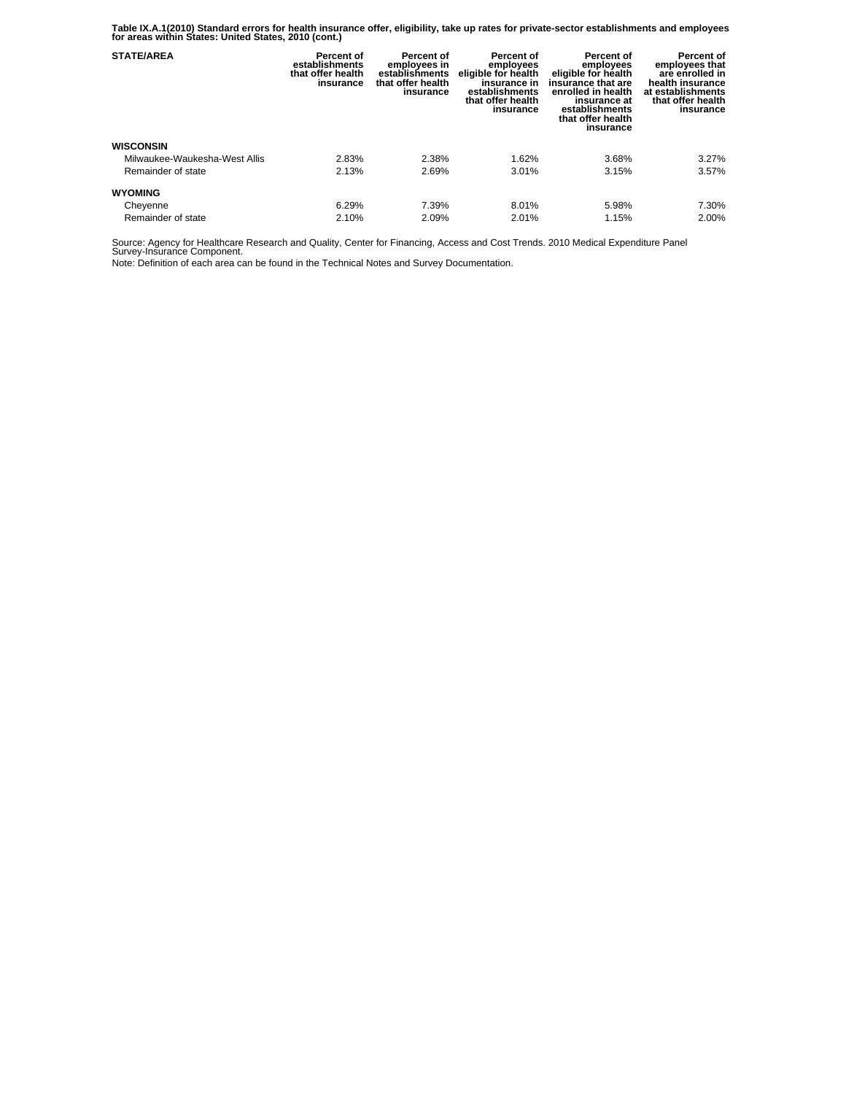**Table IX.A.1(2010) Standard errors for health insurance offer, eligibility, take up rates for private-sector establishments and employees for areas within States: United States, 2010 (cont.)** 

| <b>STATE/AREA</b>             | Percent of<br>establishments<br>that offer health<br>insurance | <b>Percent of</b><br>employees in<br>establishments<br>that offer health<br>insurance | Percent of<br>employees<br>eligible for health<br>insurance in<br>establishments<br>that offer health<br>insurance | Percent of<br>employees<br>eligible for health<br>insurance that are<br>enrolled in health<br>insurance at<br>establishments<br>that offer health<br>insurance | Percent of<br>employees that<br>are enrolled in<br>health insurance<br>at establishments<br>that offer health<br>insurance |
|-------------------------------|----------------------------------------------------------------|---------------------------------------------------------------------------------------|--------------------------------------------------------------------------------------------------------------------|----------------------------------------------------------------------------------------------------------------------------------------------------------------|----------------------------------------------------------------------------------------------------------------------------|
| <b>WISCONSIN</b>              |                                                                |                                                                                       |                                                                                                                    |                                                                                                                                                                |                                                                                                                            |
| Milwaukee-Waukesha-West Allis | 2.83%                                                          | 2.38%                                                                                 | 1.62%                                                                                                              | 3.68%                                                                                                                                                          | 3.27%                                                                                                                      |
| Remainder of state            | 2.13%                                                          | 2.69%                                                                                 | 3.01%                                                                                                              | 3.15%                                                                                                                                                          | 3.57%                                                                                                                      |
| <b>WYOMING</b>                |                                                                |                                                                                       |                                                                                                                    |                                                                                                                                                                |                                                                                                                            |
| Cheyenne                      | 6.29%                                                          | 7.39%                                                                                 | 8.01%                                                                                                              | 5.98%                                                                                                                                                          | 7.30%                                                                                                                      |
| Remainder of state            | 2.10%                                                          | 2.09%                                                                                 | 2.01%                                                                                                              | 1.15%                                                                                                                                                          | 2.00%                                                                                                                      |

Source: Agency for Healthcare Research and Quality, Center for Financing, Access and Cost Trends. 2010 Medical Expenditure Panel Survey-Insurance Component.

Note: Definition of each area can be found in the Technical Notes and Survey Documentation.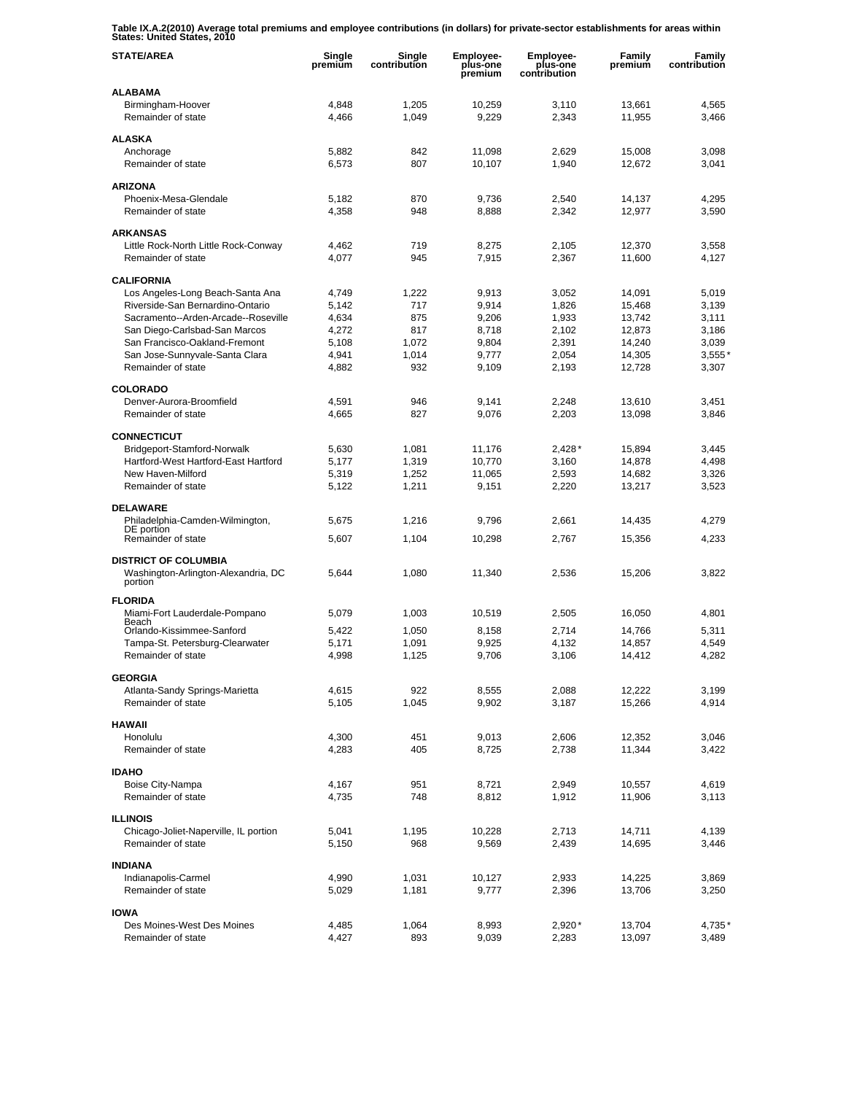**Table IX.A.2(2010) Average total premiums and employee contributions (in dollars) for private-sector establishments for areas within States: United States, 2010** 

| <b>STATE/AREA</b>                                              | Single<br>premium | Single<br>contribution | Employee-<br>plus-one<br>premium | Employee-<br>plus-one<br>contribution | Family<br>premium | Family<br>contribution |
|----------------------------------------------------------------|-------------------|------------------------|----------------------------------|---------------------------------------|-------------------|------------------------|
| <b>ALABAMA</b>                                                 |                   |                        |                                  |                                       |                   |                        |
| Birmingham-Hoover<br>Remainder of state                        | 4,848<br>4,466    | 1,205<br>1,049         | 10,259<br>9,229                  | 3,110<br>2,343                        | 13,661<br>11,955  | 4,565<br>3,466         |
| <b>ALASKA</b>                                                  |                   |                        |                                  |                                       |                   |                        |
| Anchorage                                                      | 5,882             | 842                    | 11,098                           | 2,629                                 | 15,008            | 3,098                  |
| Remainder of state                                             | 6,573             | 807                    | 10,107                           | 1,940                                 | 12,672            | 3,041                  |
| <b>ARIZONA</b>                                                 |                   |                        |                                  |                                       |                   |                        |
| Phoenix-Mesa-Glendale                                          | 5,182             | 870                    | 9,736                            | 2,540                                 | 14,137            | 4,295                  |
| Remainder of state                                             | 4,358             | 948                    | 8,888                            | 2,342                                 | 12,977            | 3,590                  |
| <b>ARKANSAS</b>                                                |                   |                        |                                  |                                       |                   |                        |
| Little Rock-North Little Rock-Conway                           | 4,462             | 719                    | 8,275                            | 2,105                                 | 12,370            | 3,558                  |
| Remainder of state                                             | 4,077             | 945                    | 7,915                            | 2,367                                 | 11,600            | 4,127                  |
| <b>CALIFORNIA</b>                                              |                   |                        |                                  |                                       |                   |                        |
| Los Angeles-Long Beach-Santa Ana                               | 4,749             | 1,222                  | 9,913                            | 3,052                                 | 14,091            | 5,019                  |
| Riverside-San Bernardino-Ontario                               | 5,142             | 717                    | 9,914                            | 1,826                                 | 15,468            | 3,139                  |
| Sacramento--Arden-Arcade--Roseville                            | 4,634             | 875                    | 9,206                            | 1.933                                 | 13,742            | 3,111                  |
| San Diego-Carlsbad-San Marcos<br>San Francisco-Oakland-Fremont | 4,272<br>5,108    | 817<br>1.072           | 8,718<br>9,804                   | 2,102<br>2,391                        | 12,873<br>14,240  | 3,186<br>3,039         |
| San Jose-Sunnyvale-Santa Clara                                 | 4,941             | 1,014                  | 9,777                            | 2,054                                 | 14,305            | 3,555'                 |
| Remainder of state                                             | 4,882             | 932                    | 9,109                            | 2,193                                 | 12,728            | 3,307                  |
|                                                                |                   |                        |                                  |                                       |                   |                        |
| <b>COLORADO</b>                                                |                   |                        |                                  |                                       |                   |                        |
| Denver-Aurora-Broomfield<br>Remainder of state                 | 4,591             | 946<br>827             | 9,141<br>9,076                   | 2,248<br>2,203                        | 13,610<br>13,098  | 3,451<br>3,846         |
|                                                                | 4,665             |                        |                                  |                                       |                   |                        |
| <b>CONNECTICUT</b>                                             |                   |                        |                                  |                                       |                   |                        |
| Bridgeport-Stamford-Norwalk                                    | 5,630             | 1,081                  | 11,176                           | $2,428*$                              | 15,894            | 3,445                  |
| Hartford-West Hartford-East Hartford<br>New Haven-Milford      | 5,177<br>5,319    | 1,319<br>1,252         | 10,770<br>11,065                 | 3,160<br>2,593                        | 14,878<br>14,682  | 4,498<br>3,326         |
| Remainder of state                                             | 5,122             | 1,211                  | 9,151                            | 2,220                                 | 13,217            | 3,523                  |
|                                                                |                   |                        |                                  |                                       |                   |                        |
| <b>DELAWARE</b>                                                |                   |                        |                                  |                                       |                   |                        |
| Philadelphia-Camden-Wilmington,<br>DE portion                  | 5,675             | 1,216                  | 9,796                            | 2,661                                 | 14,435            | 4,279                  |
| Remainder of state                                             | 5,607             | 1,104                  | 10,298                           | 2,767                                 | 15,356            | 4,233                  |
| <b>DISTRICT OF COLUMBIA</b>                                    |                   |                        |                                  |                                       |                   |                        |
| Washington-Arlington-Alexandria, DC<br>portion                 | 5,644             | 1,080                  | 11,340                           | 2,536                                 | 15,206            | 3,822                  |
| <b>FLORIDA</b>                                                 |                   |                        |                                  |                                       |                   |                        |
| Miami-Fort Lauderdale-Pompano                                  | 5,079             | 1,003                  | 10,519                           | 2,505                                 | 16,050            | 4,801                  |
| Beach                                                          |                   |                        |                                  |                                       |                   |                        |
| Orlando-Kissimmee-Sanford<br>Tampa-St. Petersburg-Clearwater   | 5,422<br>5,171    | 1,050<br>1,091         | 8,158<br>9,925                   | 2,714<br>4,132                        | 14,766<br>14,857  | 5,311<br>4,549         |
| Remainder of state                                             | 4,998             | 1,125                  | 9,706                            | 3,106                                 | 14,412            | 4,282                  |
|                                                                |                   |                        |                                  |                                       |                   |                        |
| <b>GEORGIA</b><br>Atlanta-Sandy Springs-Marietta               |                   |                        |                                  |                                       |                   |                        |
| Remainder of state                                             | 4,615<br>5,105    | 922<br>1,045           | 8,555<br>9,902                   | 2,088<br>3,187                        | 12,222<br>15,266  | 3,199<br>4,914         |
|                                                                |                   |                        |                                  |                                       |                   |                        |
| <b>HAWAII</b>                                                  |                   |                        |                                  |                                       |                   |                        |
| Honolulu                                                       | 4,300             | 451                    | 9,013                            | 2,606                                 | 12,352            | 3,046                  |
| Remainder of state                                             | 4,283             | 405                    | 8,725                            | 2,738                                 | 11,344            | 3,422                  |
| <b>IDAHO</b>                                                   |                   |                        |                                  |                                       |                   |                        |
| Boise City-Nampa                                               | 4,167             | 951                    | 8,721                            | 2,949                                 | 10,557            | 4,619                  |
| Remainder of state                                             | 4,735             | 748                    | 8,812                            | 1,912                                 | 11,906            | 3,113                  |
| <b>ILLINOIS</b>                                                |                   |                        |                                  |                                       |                   |                        |
| Chicago-Joliet-Naperville, IL portion                          | 5,041             | 1,195                  | 10,228                           | 2,713                                 | 14,711            | 4,139                  |
| Remainder of state                                             | 5,150             | 968                    | 9,569                            | 2,439                                 | 14,695            | 3,446                  |
| <b>INDIANA</b>                                                 |                   |                        |                                  |                                       |                   |                        |
| Indianapolis-Carmel                                            | 4,990             | 1,031                  | 10,127                           | 2,933                                 | 14,225            | 3,869                  |
| Remainder of state                                             | 5,029             | 1,181                  | 9,777                            | 2,396                                 | 13,706            | 3,250                  |
|                                                                |                   |                        |                                  |                                       |                   |                        |
| <b>IOWA</b><br>Des Moines-West Des Moines                      | 4,485             | 1,064                  | 8,993                            | $2,920*$                              | 13,704            | 4,735*                 |
| Remainder of state                                             | 4,427             | 893                    | 9,039                            | 2,283                                 | 13,097            | 3,489                  |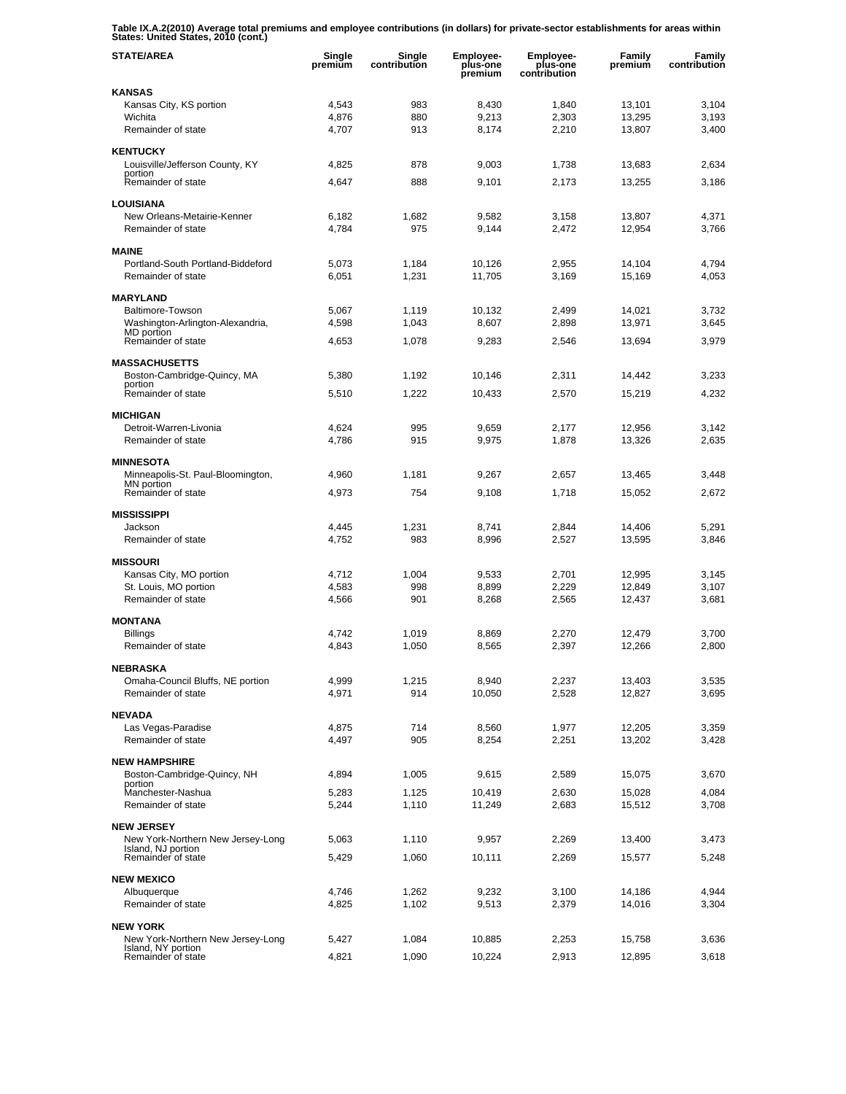**Table IX.A.2(2010) Average total premiums and employee contributions (in dollars) for private-sector establishments for areas within States: United States, 2010 (cont.)** 

| <b>STATE/AREA</b>                                       | Single<br>premium | Single<br>contribution | <b>Employee-</b><br>plus-one<br>premium | <b>Employee-</b><br>plus-one<br>contribution | <b>Family</b><br>premium | Family<br>contribution |
|---------------------------------------------------------|-------------------|------------------------|-----------------------------------------|----------------------------------------------|--------------------------|------------------------|
| <b>KANSAS</b>                                           |                   |                        |                                         |                                              |                          |                        |
| Kansas City, KS portion                                 | 4,543             | 983                    | 8,430                                   | 1,840                                        | 13,101                   | 3,104                  |
| Wichita<br>Remainder of state                           | 4,876<br>4,707    | 880<br>913             | 9,213<br>8,174                          | 2,303<br>2,210                               | 13,295<br>13,807         | 3,193<br>3,400         |
|                                                         |                   |                        |                                         |                                              |                          |                        |
| <b>KENTUCKY</b>                                         |                   |                        |                                         |                                              |                          |                        |
| Louisville/Jefferson County, KY<br>portion              | 4,825             | 878                    | 9,003                                   | 1,738                                        | 13,683                   | 2,634                  |
| Remainder of state                                      | 4,647             | 888                    | 9,101                                   | 2,173                                        | 13,255                   | 3,186                  |
| <b>LOUISIANA</b>                                        |                   |                        |                                         |                                              |                          |                        |
| New Orleans-Metairie-Kenner                             | 6,182             | 1,682                  | 9,582                                   | 3,158                                        | 13,807                   | 4,371                  |
| Remainder of state                                      | 4,784             | 975                    | 9,144                                   | 2,472                                        | 12,954                   | 3,766                  |
| <b>MAINE</b>                                            |                   |                        |                                         |                                              |                          |                        |
| Portland-South Portland-Biddeford                       | 5,073             | 1,184                  | 10,126                                  | 2,955                                        | 14,104                   | 4,794                  |
| Remainder of state                                      | 6,051             | 1,231                  | 11,705                                  | 3,169                                        | 15,169                   | 4,053                  |
| <b>MARYLAND</b>                                         |                   |                        |                                         |                                              |                          |                        |
| Baltimore-Towson                                        | 5,067             | 1,119                  | 10,132                                  | 2,499                                        | 14,021                   | 3,732                  |
| Washington-Arlington-Alexandria,                        | 4,598             | 1,043                  | 8,607                                   | 2,898                                        | 13,971                   | 3,645                  |
| MD portion<br>Remainder of state                        | 4,653             | 1,078                  | 9,283                                   | 2,546                                        | 13.694                   | 3.979                  |
|                                                         |                   |                        |                                         |                                              |                          |                        |
| <b>MASSACHUSETTS</b><br>Boston-Cambridge-Quincy, MA     | 5,380             | 1,192                  | 10,146                                  | 2,311                                        | 14,442                   | 3,233                  |
| portion                                                 |                   |                        |                                         |                                              |                          |                        |
| Remainder of state                                      | 5,510             | 1,222                  | 10,433                                  | 2,570                                        | 15,219                   | 4,232                  |
| <b>MICHIGAN</b>                                         |                   |                        |                                         |                                              |                          |                        |
| Detroit-Warren-Livonia                                  | 4,624             | 995                    | 9,659                                   | 2.177                                        | 12,956                   | 3,142                  |
| Remainder of state                                      | 4,786             | 915                    | 9,975                                   | 1,878                                        | 13,326                   | 2,635                  |
| <b>MINNESOTA</b>                                        |                   |                        |                                         |                                              |                          |                        |
| Minneapolis-St. Paul-Bloomington,                       | 4,960             | 1,181                  | 9,267                                   | 2,657                                        | 13,465                   | 3,448                  |
| MN portion<br>Remainder of state                        | 4,973             | 754                    | 9,108                                   | 1,718                                        | 15,052                   | 2,672                  |
| <b>MISSISSIPPI</b>                                      |                   |                        |                                         |                                              |                          |                        |
| Jackson                                                 | 4,445             | 1,231                  | 8,741                                   | 2,844                                        | 14,406                   | 5,291                  |
| Remainder of state                                      | 4,752             | 983                    | 8,996                                   | 2,527                                        | 13,595                   | 3,846                  |
| <b>MISSOURI</b>                                         |                   |                        |                                         |                                              |                          |                        |
| Kansas City, MO portion                                 | 4,712             | 1,004                  | 9,533                                   | 2,701                                        | 12,995                   | 3,145                  |
| St. Louis, MO portion                                   | 4,583             | 998                    | 8,899                                   | 2,229                                        | 12,849                   | 3,107                  |
| Remainder of state                                      | 4,566             | 901                    | 8,268                                   | 2,565                                        | 12,437                   | 3,681                  |
| <b>MONTANA</b>                                          |                   |                        |                                         |                                              |                          |                        |
| <b>Billings</b>                                         | 4,742             | 1,019                  | 8,869                                   | 2,270                                        | 12.479                   | 3,700                  |
| Remainder of state                                      | 4,843             | 1,050                  | 8,565                                   | 2,397                                        | 12,266                   | 2,800                  |
|                                                         |                   |                        |                                         |                                              |                          |                        |
| <b>NEBRASKA</b><br>Omaha-Council Bluffs, NE portion     | 4,999             | 1,215                  | 8,940                                   | 2,237                                        | 13,403                   | 3,535                  |
| Remainder of state                                      | 4,971             | 914                    | 10,050                                  | 2,528                                        | 12,827                   | 3,695                  |
|                                                         |                   |                        |                                         |                                              |                          |                        |
| <b>NEVADA</b><br>Las Vegas-Paradise                     | 4,875             | 714                    | 8,560                                   | 1,977                                        | 12,205                   | 3,359                  |
| Remainder of state                                      | 4,497             | 905                    | 8,254                                   | 2,251                                        | 13,202                   | 3,428                  |
|                                                         |                   |                        |                                         |                                              |                          |                        |
| <b>NEW HAMPSHIRE</b><br>Boston-Cambridge-Quincy, NH     | 4,894             | 1,005                  | 9,615                                   | 2,589                                        | 15,075                   | 3,670                  |
| portion                                                 |                   |                        |                                         |                                              |                          |                        |
| Manchester-Nashua<br>Remainder of state                 | 5,283<br>5,244    | 1,125<br>1,110         | 10,419<br>11,249                        | 2,630<br>2,683                               | 15,028<br>15,512         | 4,084<br>3,708         |
|                                                         |                   |                        |                                         |                                              |                          |                        |
| <b>NEW JERSEY</b>                                       |                   |                        |                                         |                                              |                          |                        |
| New York-Northern New Jersey-Long<br>Island, NJ portion | 5,063             | 1,110                  | 9,957                                   | 2,269                                        | 13,400                   | 3,473                  |
| Remainder of state                                      | 5,429             | 1,060                  | 10,111                                  | 2,269                                        | 15,577                   | 5,248                  |
| <b>NEW MEXICO</b>                                       |                   |                        |                                         |                                              |                          |                        |
| Albuquerque                                             | 4,746             | 1,262                  | 9,232                                   | 3,100                                        | 14,186                   | 4,944                  |
| Remainder of state                                      | 4,825             | 1,102                  | 9,513                                   | 2,379                                        | 14,016                   | 3,304                  |
| <b>NEW YORK</b>                                         |                   |                        |                                         |                                              |                          |                        |
| New York-Northern New Jersey-Long                       | 5,427             | 1,084                  | 10,885                                  | 2,253                                        | 15,758                   | 3,636                  |
| Island, NY portion<br>Remainder of state                | 4,821             | 1,090                  | 10,224                                  | 2,913                                        | 12,895                   | 3,618                  |
|                                                         |                   |                        |                                         |                                              |                          |                        |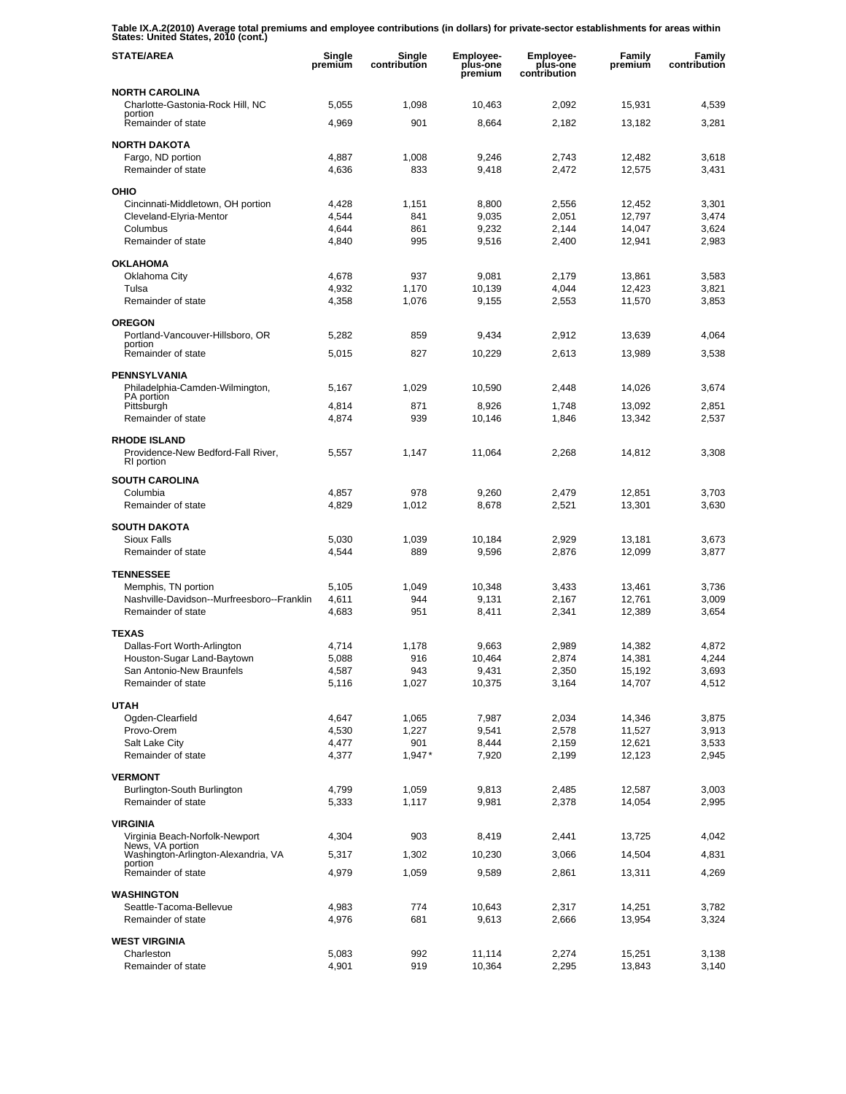**Table IX.A.2(2010) Average total premiums and employee contributions (in dollars) for private-sector establishments for areas within States: United States, 2010 (cont.)** 

| <b>STATE/AREA</b>                                                       | Single<br>premium | Single<br>contribution | Employee-<br>plus-one<br>premium | <b>Employee-</b><br>plus-one<br>contribution | Family<br>premium | Family<br>contribution |
|-------------------------------------------------------------------------|-------------------|------------------------|----------------------------------|----------------------------------------------|-------------------|------------------------|
| <b>NORTH CAROLINA</b>                                                   |                   |                        |                                  |                                              |                   |                        |
| Charlotte-Gastonia-Rock Hill, NC<br>portion                             | 5,055             | 1,098                  | 10,463                           | 2,092                                        | 15,931            | 4,539                  |
| Remainder of state                                                      | 4,969             | 901                    | 8,664                            | 2,182                                        | 13,182            | 3,281                  |
| <b>NORTH DAKOTA</b>                                                     |                   |                        |                                  |                                              |                   |                        |
| Fargo, ND portion<br>Remainder of state                                 | 4,887<br>4,636    | 1,008<br>833           | 9,246<br>9,418                   | 2,743<br>2,472                               | 12,482<br>12,575  | 3,618<br>3,431         |
|                                                                         |                   |                        |                                  |                                              |                   |                        |
| OHIO<br>Cincinnati-Middletown, OH portion                               | 4,428             | 1,151                  | 8,800                            | 2,556                                        | 12,452            | 3,301                  |
| Cleveland-Elyria-Mentor                                                 | 4,544             | 841                    | 9,035                            | 2.051                                        | 12,797            | 3,474                  |
| Columbus<br>Remainder of state                                          | 4,644<br>4,840    | 861<br>995             | 9,232<br>9,516                   | 2,144<br>2,400                               | 14,047<br>12,941  | 3,624<br>2,983         |
|                                                                         |                   |                        |                                  |                                              |                   |                        |
| <b>OKLAHOMA</b><br>Oklahoma City                                        | 4,678             | 937                    | 9,081                            | 2,179                                        | 13,861            | 3,583                  |
| Tulsa                                                                   | 4,932             | 1,170                  | 10,139                           | 4,044                                        | 12,423            | 3,821                  |
| Remainder of state                                                      | 4,358             | 1,076                  | 9,155                            | 2,553                                        | 11,570            | 3,853                  |
| <b>OREGON</b>                                                           |                   |                        |                                  |                                              |                   |                        |
| Portland-Vancouver-Hillsboro, OR                                        | 5,282             | 859                    | 9,434                            | 2,912                                        | 13,639            | 4,064                  |
| portion<br>Remainder of state                                           | 5,015             | 827                    | 10,229                           | 2,613                                        | 13,989            | 3,538                  |
| <b>PENNSYLVANIA</b>                                                     |                   |                        |                                  |                                              |                   |                        |
| Philadelphia-Camden-Wilmington,                                         | 5,167             | 1,029                  | 10,590                           | 2,448                                        | 14,026            | 3,674                  |
| PA portion<br>Pittsburgh                                                | 4,814             | 871                    | 8,926                            | 1,748                                        | 13,092            | 2,851                  |
| Remainder of state                                                      | 4,874             | 939                    | 10,146                           | 1,846                                        | 13,342            | 2,537                  |
| <b>RHODE ISLAND</b><br>Providence-New Bedford-Fall River,<br>RI portion | 5,557             | 1,147                  | 11,064                           | 2,268                                        | 14,812            | 3,308                  |
| <b>SOUTH CAROLINA</b>                                                   |                   |                        |                                  |                                              |                   |                        |
| Columbia                                                                | 4,857             | 978                    | 9,260                            | 2,479                                        | 12,851            | 3,703                  |
| Remainder of state                                                      | 4,829             | 1,012                  | 8,678                            | 2,521                                        | 13,301            | 3,630                  |
| <b>SOUTH DAKOTA</b>                                                     |                   |                        |                                  |                                              |                   |                        |
| Sioux Falls<br>Remainder of state                                       | 5,030<br>4,544    | 1,039<br>889           | 10,184<br>9,596                  | 2,929<br>2,876                               | 13,181<br>12,099  | 3,673<br>3,877         |
|                                                                         |                   |                        |                                  |                                              |                   |                        |
| <b>TENNESSEE</b><br>Memphis, TN portion                                 | 5,105             | 1,049                  | 10,348                           | 3,433                                        | 13,461            | 3,736                  |
| Nashville-Davidson--Murfreesboro--Franklin                              | 4,611             | 944                    | 9,131                            | 2,167                                        | 12,761            | 3,009                  |
| Remainder of state                                                      | 4,683             | 951                    | 8,411                            | 2,341                                        | 12,389            | 3,654                  |
| <b>TEXAS</b>                                                            |                   |                        |                                  |                                              |                   |                        |
| Dallas-Fort Worth-Arlington                                             | 4,714             | 1,178                  | 9,663                            | 2,989                                        | 14,382            | 4,872                  |
| Houston-Sugar Land-Baytown<br>San Antonio-New Braunfels                 | 5,088<br>4,587    | 916<br>943             | 10,464<br>9,431                  | 2,874<br>2,350                               | 14,381<br>15,192  | 4,244<br>3,693         |
| Remainder of state                                                      | 5,116             | 1,027                  | 10,375                           | 3,164                                        | 14,707            | 4,512                  |
| <b>UTAH</b>                                                             |                   |                        |                                  |                                              |                   |                        |
| Ogden-Clearfield                                                        | 4,647             | 1,065                  | 7,987                            | 2,034                                        | 14,346            | 3,875                  |
| Provo-Orem                                                              | 4,530             | 1,227                  | 9,541                            | 2,578                                        | 11,527            | 3,913                  |
| Salt Lake City<br>Remainder of state                                    | 4,477<br>4,377    | 901<br>$1,947*$        | 8,444<br>7,920                   | 2,159<br>2,199                               | 12,621<br>12,123  | 3,533<br>2,945         |
|                                                                         |                   |                        |                                  |                                              |                   |                        |
| <b>VERMONT</b><br>Burlington-South Burlington                           | 4,799             | 1,059                  | 9,813                            | 2,485                                        | 12,587            | 3,003                  |
| Remainder of state                                                      | 5,333             | 1,117                  | 9,981                            | 2,378                                        | 14,054            | 2,995                  |
| <b>VIRGINIA</b>                                                         |                   |                        |                                  |                                              |                   |                        |
| Virginia Beach-Norfolk-Newport                                          | 4,304             | 903                    | 8,419                            | 2,441                                        | 13,725            | 4,042                  |
| News, VA portion<br>Washington-Arlington-Alexandria, VA                 | 5,317             | 1,302                  | 10,230                           | 3,066                                        | 14,504            | 4,831                  |
| portion<br>Remainder of state                                           | 4,979             | 1,059                  | 9,589                            | 2,861                                        | 13,311            | 4,269                  |
| <b>WASHINGTON</b>                                                       |                   |                        |                                  |                                              |                   |                        |
| Seattle-Tacoma-Bellevue                                                 | 4,983             | 774                    | 10,643                           | 2,317                                        | 14,251            | 3,782                  |
| Remainder of state                                                      | 4,976             | 681                    | 9,613                            | 2,666                                        | 13,954            | 3,324                  |
| <b>WEST VIRGINIA</b>                                                    |                   |                        |                                  |                                              |                   |                        |
| Charleston                                                              | 5,083             | 992                    | 11,114                           | 2,274                                        | 15,251            | 3,138                  |
| Remainder of state                                                      | 4,901             | 919                    | 10,364                           | 2,295                                        | 13,843            | 3,140                  |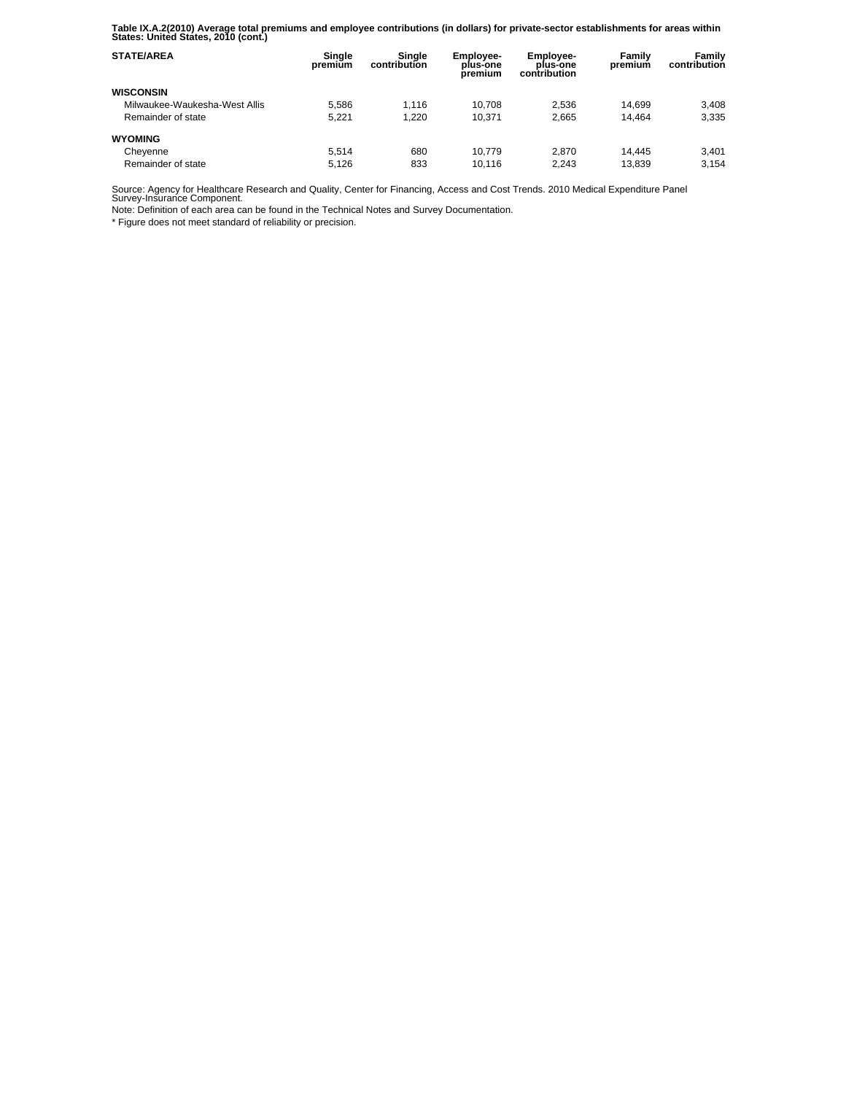**Table IX.A.2(2010) Average total premiums and employee contributions (in dollars) for private-sector establishments for areas within States: United States, 2010 (cont.)** 

| <b>STATE/AREA</b>             | Single<br>premium | Sinale<br>contribution | <b>Employee-</b><br>plus-one<br>premium | <b>Employee-</b><br>plus-one<br>contribution | Family<br>premium | Family<br>contribution |
|-------------------------------|-------------------|------------------------|-----------------------------------------|----------------------------------------------|-------------------|------------------------|
| <b>WISCONSIN</b>              |                   |                        |                                         |                                              |                   |                        |
| Milwaukee-Waukesha-West Allis | 5.586             | 1.116                  | 10.708                                  | 2.536                                        | 14.699            | 3.408                  |
| Remainder of state            | 5.221             | 1.220                  | 10.371                                  | 2.665                                        | 14.464            | 3,335                  |
| <b>WYOMING</b>                |                   |                        |                                         |                                              |                   |                        |
| Cheyenne                      | 5.514             | 680                    | 10.779                                  | 2.870                                        | 14.445            | 3.401                  |
| Remainder of state            | 5.126             | 833                    | 10.116                                  | 2.243                                        | 13.839            | 3.154                  |

Source: Agency for Healthcare Research and Quality, Center for Financing, Access and Cost Trends. 2010 Medical Expenditure Panel Survey-Insurance Component.

Note: Definition of each area can be found in the Technical Notes and Survey Documentation.

\* Figure does not meet standard of reliability or precision.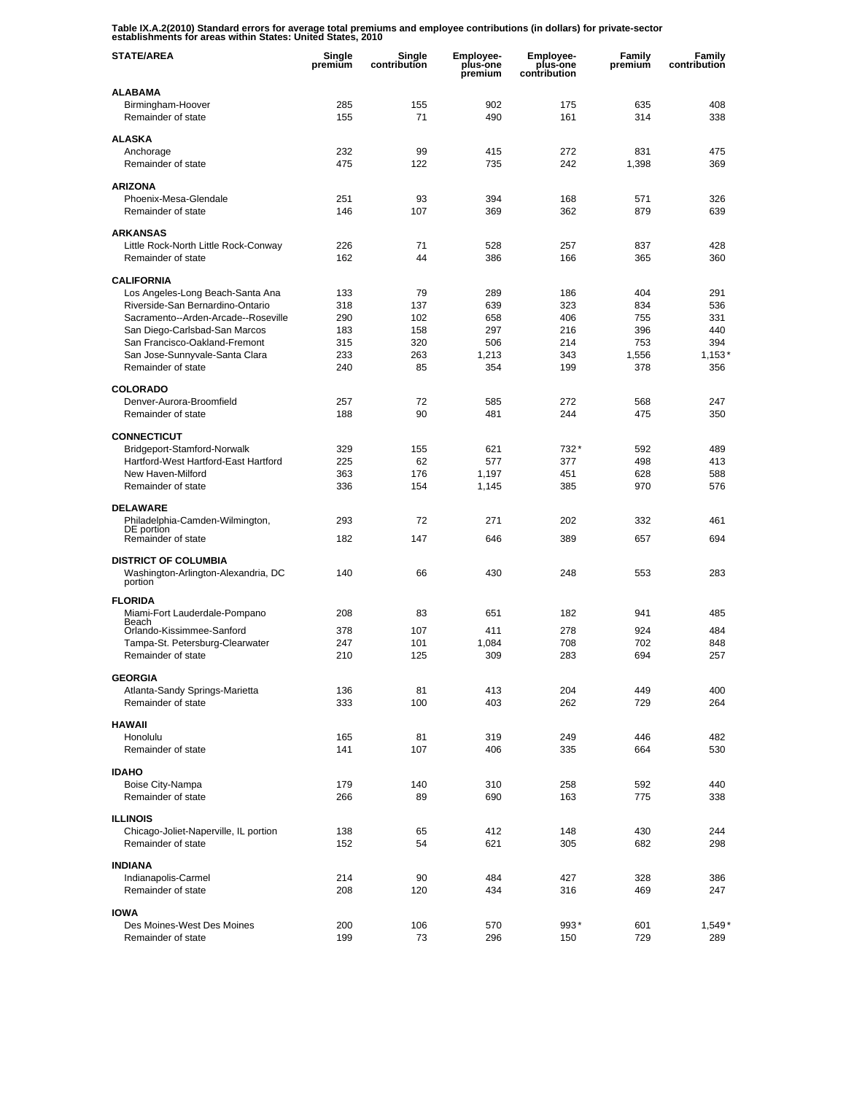**Table IX.A.2(2010) Standard errors for average total premiums and employee contributions (in dollars) for private-sector establishments for areas within States: United States, 2010** 

| <b>STATE/AREA</b>                                                  | Single<br>premium | Single<br>contribution | Employee-<br>plus-one<br>premium | <b>Employee-</b><br>plus-one<br>contribution | Family<br>premium | Family<br>contribution |
|--------------------------------------------------------------------|-------------------|------------------------|----------------------------------|----------------------------------------------|-------------------|------------------------|
| <b>ALABAMA</b>                                                     |                   |                        |                                  |                                              |                   |                        |
| Birmingham-Hoover                                                  | 285               | 155                    | 902                              | 175                                          | 635               | 408                    |
| Remainder of state                                                 | 155               | 71                     | 490                              | 161                                          | 314               | 338                    |
| <b>ALASKA</b>                                                      |                   |                        |                                  |                                              |                   |                        |
| Anchorage                                                          | 232               | 99                     | 415                              | 272                                          | 831               | 475                    |
| Remainder of state                                                 | 475               | 122                    | 735                              | 242                                          | 1,398             | 369                    |
| <b>ARIZONA</b>                                                     |                   |                        |                                  |                                              |                   |                        |
| Phoenix-Mesa-Glendale                                              | 251               | 93                     | 394                              | 168                                          | 571               | 326                    |
| Remainder of state                                                 | 146               | 107                    | 369                              | 362                                          | 879               | 639                    |
| <b>ARKANSAS</b>                                                    |                   |                        |                                  |                                              |                   |                        |
| Little Rock-North Little Rock-Conway                               | 226               | 71                     | 528                              | 257                                          | 837               | 428                    |
| Remainder of state                                                 | 162               | 44                     | 386                              | 166                                          | 365               | 360                    |
| <b>CALIFORNIA</b>                                                  |                   |                        |                                  |                                              |                   |                        |
| Los Angeles-Long Beach-Santa Ana                                   | 133               | 79                     | 289                              | 186                                          | 404               | 291                    |
| Riverside-San Bernardino-Ontario                                   | 318               | 137                    | 639                              | 323                                          | 834               | 536                    |
| Sacramento--Arden-Arcade--Roseville                                | 290               | 102                    | 658                              | 406                                          | 755               | 331                    |
| San Diego-Carlsbad-San Marcos                                      | 183               | 158                    | 297                              | 216                                          | 396               | 440                    |
| San Francisco-Oakland-Fremont                                      | 315               | 320                    | 506                              | 214                                          | 753               | 394                    |
| San Jose-Sunnyvale-Santa Clara<br>Remainder of state               | 233<br>240        | 263<br>85              | 1,213<br>354                     | 343<br>199                                   | 1,556<br>378      | $1,153*$<br>356        |
|                                                                    |                   |                        |                                  |                                              |                   |                        |
| <b>COLORADO</b>                                                    |                   |                        |                                  |                                              |                   |                        |
| Denver-Aurora-Broomfield                                           | 257               | 72                     | 585                              | 272                                          | 568               | 247                    |
| Remainder of state                                                 | 188               | 90                     | 481                              | 244                                          | 475               | 350                    |
| <b>CONNECTICUT</b>                                                 |                   |                        |                                  |                                              |                   |                        |
| Bridgeport-Stamford-Norwalk                                        | 329               | 155                    | 621                              | 732*                                         | 592               | 489                    |
| Hartford-West Hartford-East Hartford                               | 225               | 62                     | 577                              | 377                                          | 498               | 413                    |
| New Haven-Milford                                                  | 363               | 176                    | 1,197                            | 451                                          | 628               | 588                    |
| Remainder of state                                                 | 336               | 154                    | 1,145                            | 385                                          | 970               | 576                    |
| <b>DELAWARE</b>                                                    |                   |                        |                                  |                                              |                   |                        |
| Philadelphia-Camden-Wilmington,                                    | 293               | 72                     | 271                              | 202                                          | 332               | 461                    |
| DE portion<br>Remainder of state                                   | 182               | 147                    | 646                              | 389                                          | 657               | 694                    |
|                                                                    |                   |                        |                                  |                                              |                   |                        |
| <b>DISTRICT OF COLUMBIA</b><br>Washington-Arlington-Alexandria, DC | 140               | 66                     | 430                              | 248                                          | 553               | 283                    |
| portion                                                            |                   |                        |                                  |                                              |                   |                        |
| <b>FLORIDA</b>                                                     |                   |                        |                                  |                                              |                   |                        |
| Miami-Fort Lauderdale-Pompano                                      | 208               | 83                     | 651                              | 182                                          | 941               | 485                    |
| Beach<br>Orlando-Kissimmee-Sanford                                 | 378               | 107                    | 411                              | 278                                          | 924               | 484                    |
| Tampa-St. Petersburg-Clearwater                                    | 247               | 101                    | 1,084                            | 708                                          | 702               | 848                    |
| Remainder of state                                                 | 210               | 125                    | 309                              | 283                                          | 694               | 257                    |
| <b>GEORGIA</b>                                                     |                   |                        |                                  |                                              |                   |                        |
| Atlanta-Sandy Springs-Marietta                                     | 136               | 81                     | 413                              | 204                                          | 449               | 400                    |
| Remainder of state                                                 | 333               | 100                    | 403                              | 262                                          | 729               | 264                    |
|                                                                    |                   |                        |                                  |                                              |                   |                        |
| <b>HAWAII</b>                                                      |                   |                        |                                  |                                              |                   |                        |
| Honolulu<br>Remainder of state                                     | 165<br>141        | 81<br>107              | 319<br>406                       | 249<br>335                                   | 446<br>664        | 482<br>530             |
|                                                                    |                   |                        |                                  |                                              |                   |                        |
| <b>IDAHO</b>                                                       |                   |                        |                                  |                                              |                   |                        |
| Boise City-Nampa                                                   | 179               | 140                    | 310                              | 258                                          | 592               | 440                    |
| Remainder of state                                                 | 266               | 89                     | 690                              | 163                                          | 775               | 338                    |
| <b>ILLINOIS</b>                                                    |                   |                        |                                  |                                              |                   |                        |
| Chicago-Joliet-Naperville, IL portion                              | 138               | 65                     | 412                              | 148                                          | 430               | 244                    |
| Remainder of state                                                 | 152               | 54                     | 621                              | 305                                          | 682               | 298                    |
| <b>INDIANA</b>                                                     |                   |                        |                                  |                                              |                   |                        |
| Indianapolis-Carmel                                                | 214               | 90                     | 484                              | 427                                          | 328               | 386                    |
| Remainder of state                                                 | 208               | 120                    | 434                              | 316                                          | 469               | 247                    |
| <b>IOWA</b>                                                        |                   |                        |                                  |                                              |                   |                        |
| Des Moines-West Des Moines                                         | 200               | 106                    | 570                              | 993*                                         | 601               | $1,549*$               |
| Remainder of state                                                 | 199               | 73                     | 296                              | 150                                          | 729               | 289                    |
|                                                                    |                   |                        |                                  |                                              |                   |                        |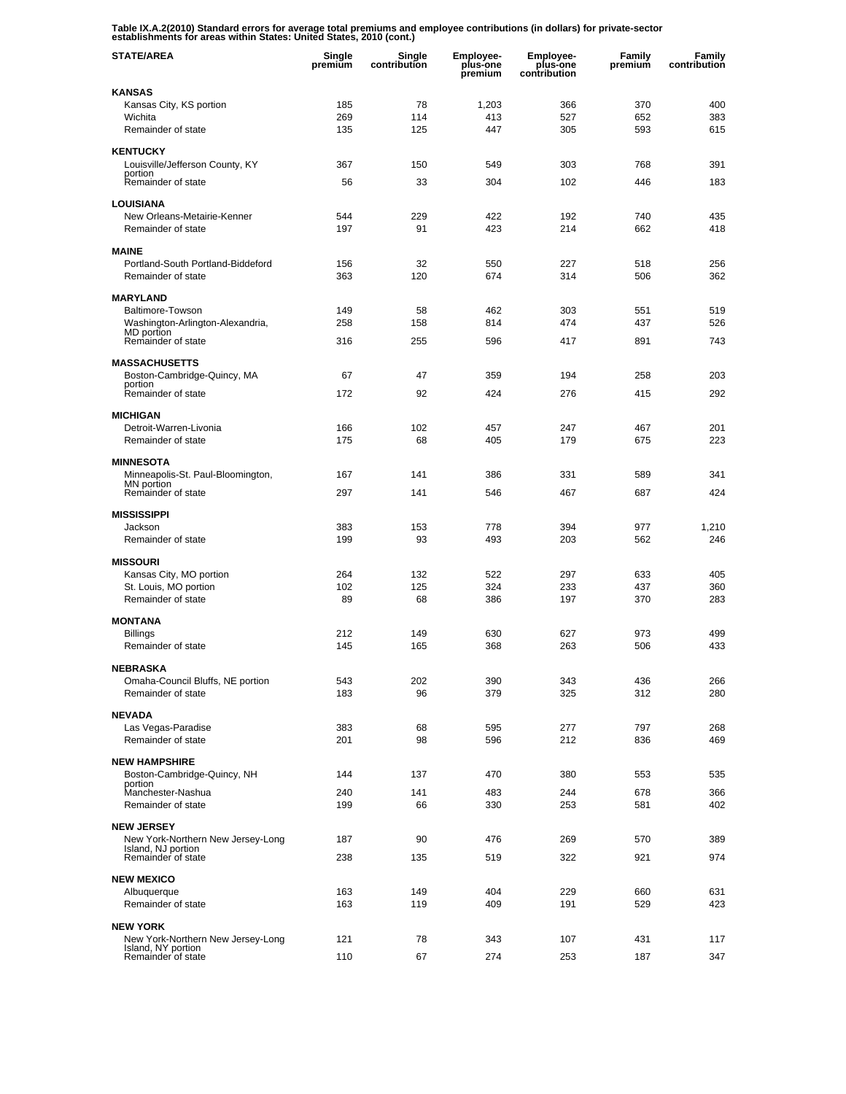**Table IX.A.2(2010) Standard errors for average total premiums and employee contributions (in dollars) for private-sector establishments for areas within States: United States, 2010 (cont.)** 

| <b>STATE/AREA</b>                                       | Single<br>premium | Single<br>contribution | <b>Employee-</b><br>plus-one<br>premium | <b>Employee-</b><br>plus-one<br>contribution | Family<br>premium | Family<br>contribution |
|---------------------------------------------------------|-------------------|------------------------|-----------------------------------------|----------------------------------------------|-------------------|------------------------|
| KANSAS                                                  |                   |                        |                                         |                                              |                   |                        |
| Kansas City, KS portion                                 | 185               | 78                     | 1,203                                   | 366                                          | 370               | 400                    |
| Wichita<br>Remainder of state                           | 269<br>135        | 114<br>125             | 413<br>447                              | 527<br>305                                   | 652<br>593        | 383<br>615             |
|                                                         |                   |                        |                                         |                                              |                   |                        |
| <b>KENTUCKY</b>                                         |                   |                        |                                         |                                              |                   |                        |
| Louisville/Jefferson County, KY<br>portion              | 367               | 150                    | 549                                     | 303                                          | 768               | 391                    |
| Remainder of state                                      | 56                | 33                     | 304                                     | 102                                          | 446               | 183                    |
| <b>LOUISIANA</b>                                        |                   |                        |                                         |                                              |                   |                        |
| New Orleans-Metairie-Kenner                             | 544               | 229                    | 422                                     | 192                                          | 740               | 435                    |
| Remainder of state                                      | 197               | 91                     | 423                                     | 214                                          | 662               | 418                    |
| <b>MAINE</b>                                            |                   |                        |                                         |                                              |                   |                        |
| Portland-South Portland-Biddeford                       | 156               | 32                     | 550                                     | 227                                          | 518               | 256                    |
| Remainder of state                                      | 363               | 120                    | 674                                     | 314                                          | 506               | 362                    |
| <b>MARYLAND</b>                                         |                   |                        |                                         |                                              |                   |                        |
| Baltimore-Towson                                        | 149               | 58                     | 462                                     | 303                                          | 551               | 519                    |
| Washington-Arlington-Alexandria,                        | 258               | 158                    | 814                                     | 474                                          | 437               | 526                    |
| MD portion<br>Remainder of state                        | 316               | 255                    | 596                                     | 417                                          | 891               | 743                    |
| <b>MASSACHUSETTS</b>                                    |                   |                        |                                         |                                              |                   |                        |
| Boston-Cambridge-Quincy, MA                             | 67                | 47                     | 359                                     | 194                                          | 258               | 203                    |
| portion<br>Remainder of state                           | 172               | 92                     | 424                                     | 276                                          | 415               | 292                    |
|                                                         |                   |                        |                                         |                                              |                   |                        |
| <b>MICHIGAN</b>                                         |                   |                        |                                         |                                              |                   |                        |
| Detroit-Warren-Livonia                                  | 166               | 102                    | 457                                     | 247                                          | 467               | 201                    |
| Remainder of state                                      | 175               | 68                     | 405                                     | 179                                          | 675               | 223                    |
| <b>MINNESOTA</b>                                        |                   |                        |                                         |                                              |                   |                        |
| Minneapolis-St. Paul-Bloomington,<br>MN portion         | 167               | 141                    | 386                                     | 331                                          | 589               | 341                    |
| Remainder of state                                      | 297               | 141                    | 546                                     | 467                                          | 687               | 424                    |
| <b>MISSISSIPPI</b>                                      |                   |                        |                                         |                                              |                   |                        |
| Jackson                                                 | 383               | 153                    | 778                                     | 394                                          | 977               | 1,210                  |
| Remainder of state                                      | 199               | 93                     | 493                                     | 203                                          | 562               | 246                    |
| <b>MISSOURI</b>                                         |                   |                        |                                         |                                              |                   |                        |
| Kansas City, MO portion                                 | 264               | 132                    | 522                                     | 297                                          | 633               | 405                    |
| St. Louis, MO portion                                   | 102               | 125                    | 324                                     | 233                                          | 437               | 360                    |
| Remainder of state                                      | 89                | 68                     | 386                                     | 197                                          | 370               | 283                    |
| <b>MONTANA</b>                                          |                   |                        |                                         |                                              |                   |                        |
| <b>Billings</b>                                         | 212               | 149                    | 630                                     | 627                                          | 973               | 499                    |
| Remainder of state                                      | 145               | 165                    | 368                                     | 263                                          | 506               | 433                    |
| NEBRASKA                                                |                   |                        |                                         |                                              |                   |                        |
| Omaha-Council Bluffs, NE portion                        | 543               | 202                    | 390                                     | 343                                          | 436               | 266                    |
| Remainder of state                                      | 183               | 96                     | 379                                     | 325                                          | 312               | 280                    |
| <b>NEVADA</b>                                           |                   |                        |                                         |                                              |                   |                        |
| Las Vegas-Paradise                                      | 383               | 68                     | 595                                     | 277                                          | 797               | 268                    |
| Remainder of state                                      | 201               | 98                     | 596                                     | 212                                          | 836               | 469                    |
| <b>NEW HAMPSHIRE</b>                                    |                   |                        |                                         |                                              |                   |                        |
| Boston-Cambridge-Quincy, NH                             | 144               | 137                    | 470                                     | 380                                          | 553               | 535                    |
| portion<br>Manchester-Nashua                            | 240               | 141                    | 483                                     | 244                                          | 678               | 366                    |
| Remainder of state                                      | 199               | 66                     | 330                                     | 253                                          | 581               | 402                    |
| <b>NEW JERSEY</b>                                       |                   |                        |                                         |                                              |                   |                        |
| New York-Northern New Jersey-Long                       | 187               | 90                     | 476                                     | 269                                          | 570               | 389                    |
| Island, NJ portion<br>Remainder of state                | 238               | 135                    | 519                                     | 322                                          | 921               | 974                    |
|                                                         |                   |                        |                                         |                                              |                   |                        |
| <b>NEW MEXICO</b>                                       |                   |                        |                                         |                                              |                   |                        |
| Albuquerque                                             | 163               | 149                    | 404                                     | 229                                          | 660               | 631                    |
| Remainder of state                                      | 163               | 119                    | 409                                     | 191                                          | 529               | 423                    |
| <b>NEW YORK</b>                                         |                   |                        |                                         |                                              |                   |                        |
| New York-Northern New Jersey-Long<br>Island, NY portion | 121               | 78                     | 343                                     | 107                                          | 431               | 117                    |
| Remainder of state                                      | 110               | 67                     | 274                                     | 253                                          | 187               | 347                    |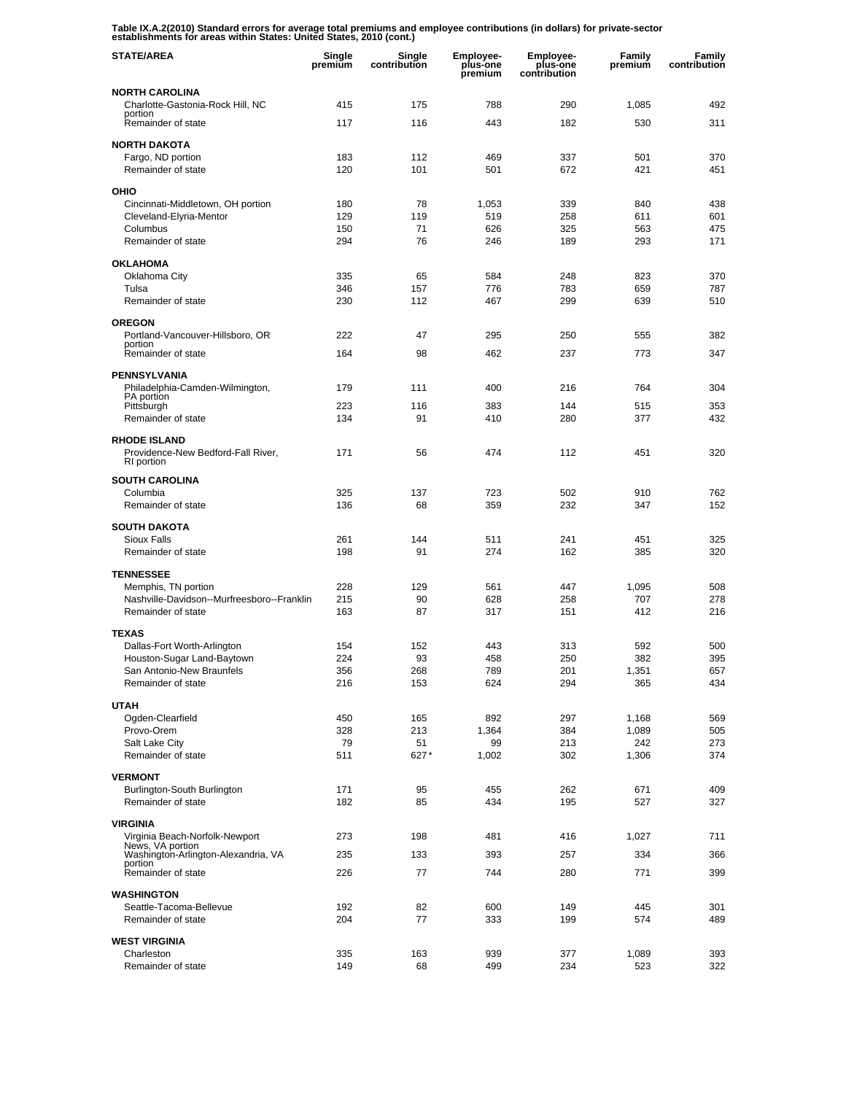**Table IX.A.2(2010) Standard errors for average total premiums and employee contributions (in dollars) for private-sector establishments for areas within States: United States, 2010 (cont.)** 

| <b>STATE/AREA</b>                                                       | Single<br>premium | Single<br>contribution | <b>Employee-</b><br>plus-one<br>premium | <b>Employee-</b><br>plus-one<br>contribution | Family<br>premium | Family<br>contribution |
|-------------------------------------------------------------------------|-------------------|------------------------|-----------------------------------------|----------------------------------------------|-------------------|------------------------|
| <b>NORTH CAROLINA</b>                                                   |                   |                        |                                         |                                              |                   |                        |
| Charlotte-Gastonia-Rock Hill, NC<br>portion                             | 415               | 175                    | 788                                     | 290                                          | 1,085             | 492                    |
| Remainder of state                                                      | 117               | 116                    | 443                                     | 182                                          | 530               | 311                    |
| <b>NORTH DAKOTA</b>                                                     |                   |                        |                                         |                                              |                   |                        |
| Fargo, ND portion                                                       | 183               | 112                    | 469                                     | 337                                          | 501               | 370<br>451             |
| Remainder of state                                                      | 120               | 101                    | 501                                     | 672                                          | 421               |                        |
| OHIO                                                                    |                   |                        |                                         |                                              |                   |                        |
| Cincinnati-Middletown, OH portion<br>Cleveland-Elyria-Mentor            | 180<br>129        | 78<br>119              | 1,053<br>519                            | 339<br>258                                   | 840<br>611        | 438<br>601             |
| Columbus                                                                | 150               | 71                     | 626                                     | 325                                          | 563               | 475                    |
| Remainder of state                                                      | 294               | 76                     | 246                                     | 189                                          | 293               | 171                    |
| <b>OKLAHOMA</b>                                                         |                   |                        |                                         |                                              |                   |                        |
| Oklahoma City                                                           | 335               | 65                     | 584                                     | 248                                          | 823               | 370                    |
| Tulsa                                                                   | 346               | 157                    | 776                                     | 783                                          | 659               | 787                    |
| Remainder of state                                                      | 230               | 112                    | 467                                     | 299                                          | 639               | 510                    |
| <b>OREGON</b>                                                           |                   |                        |                                         |                                              |                   |                        |
| Portland-Vancouver-Hillsboro, OR<br>portion                             | 222               | 47                     | 295                                     | 250                                          | 555               | 382                    |
| Remainder of state                                                      | 164               | 98                     | 462                                     | 237                                          | 773               | 347                    |
| PENNSYLVANIA                                                            |                   |                        |                                         |                                              |                   |                        |
| Philadelphia-Camden-Wilmington,<br>PA portion                           | 179               | 111                    | 400                                     | 216                                          | 764               | 304                    |
| Pittsburgh                                                              | 223               | 116                    | 383                                     | 144                                          | 515               | 353                    |
| Remainder of state                                                      | 134               | 91                     | 410                                     | 280                                          | 377               | 432                    |
| <b>RHODE ISLAND</b><br>Providence-New Bedford-Fall River,<br>RI portion | 171               | 56                     | 474                                     | 112                                          | 451               | 320                    |
| <b>SOUTH CAROLINA</b>                                                   |                   |                        |                                         |                                              |                   |                        |
| Columbia                                                                | 325               | 137                    | 723                                     | 502                                          | 910               | 762                    |
| Remainder of state                                                      | 136               | 68                     | 359                                     | 232                                          | 347               | 152                    |
| <b>SOUTH DAKOTA</b>                                                     |                   |                        |                                         |                                              |                   |                        |
| Sioux Falls                                                             | 261               | 144                    | 511                                     | 241                                          | 451               | 325                    |
| Remainder of state                                                      | 198               | 91                     | 274                                     | 162                                          | 385               | 320                    |
| <b>TENNESSEE</b>                                                        |                   |                        |                                         |                                              |                   |                        |
| Memphis, TN portion<br>Nashville-Davidson--Murfreesboro--Franklin       | 228<br>215        | 129<br>90              | 561<br>628                              | 447<br>258                                   | 1,095<br>707      | 508<br>278             |
| Remainder of state                                                      | 163               | 87                     | 317                                     | 151                                          | 412               | 216                    |
| <b>TEXAS</b>                                                            |                   |                        |                                         |                                              |                   |                        |
| Dallas-Fort Worth-Arlington                                             | 154               | 152                    | 443                                     | 313                                          | 592               | 500                    |
| Houston-Sugar Land-Baytown                                              | 224               | 93                     | 458                                     | 250                                          | 382               | 395                    |
| San Antonio-New Braunfels                                               | 356               | 268                    | 789                                     | 201                                          | 1,351             | 657                    |
| Remainder of state                                                      | 216               | 153                    | 624                                     | 294                                          | 365               | 434                    |
| <b>UTAH</b>                                                             |                   |                        |                                         |                                              |                   |                        |
| Ogden-Clearfield                                                        | 450               | 165                    | 892                                     | 297                                          | 1,168             | 569                    |
| Provo-Orem<br>Salt Lake City                                            | 328<br>79         | 213<br>51              | 1,364<br>99                             | 384<br>213                                   | 1,089<br>242      | 505<br>273             |
| Remainder of state                                                      | 511               | 627*                   | 1,002                                   | 302                                          | 1,306             | 374                    |
| <b>VERMONT</b>                                                          |                   |                        |                                         |                                              |                   |                        |
| Burlington-South Burlington                                             | 171               | 95                     | 455                                     | 262                                          | 671               | 409                    |
| Remainder of state                                                      | 182               | 85                     | 434                                     | 195                                          | 527               | 327                    |
| <b>VIRGINIA</b>                                                         |                   |                        |                                         |                                              |                   |                        |
| Virginia Beach-Norfolk-Newport                                          | 273               | 198                    | 481                                     | 416                                          | 1,027             | 711                    |
| News, VA portion<br>Washington-Arlington-Alexandria, VA                 | 235               | 133                    | 393                                     | 257                                          | 334               | 366                    |
| portion<br>Remainder of state                                           | 226               | 77                     | 744                                     | 280                                          | 771               | 399                    |
| <b>WASHINGTON</b>                                                       |                   |                        |                                         |                                              |                   |                        |
| Seattle-Tacoma-Bellevue                                                 | 192               | 82                     | 600                                     | 149                                          | 445               | 301                    |
| Remainder of state                                                      | 204               | 77                     | 333                                     | 199                                          | 574               | 489                    |
| <b>WEST VIRGINIA</b>                                                    |                   |                        |                                         |                                              |                   |                        |
| Charleston                                                              | 335               | 163                    | 939                                     | 377                                          | 1,089             | 393                    |
| Remainder of state                                                      | 149               | 68                     | 499                                     | 234                                          | 523               | 322                    |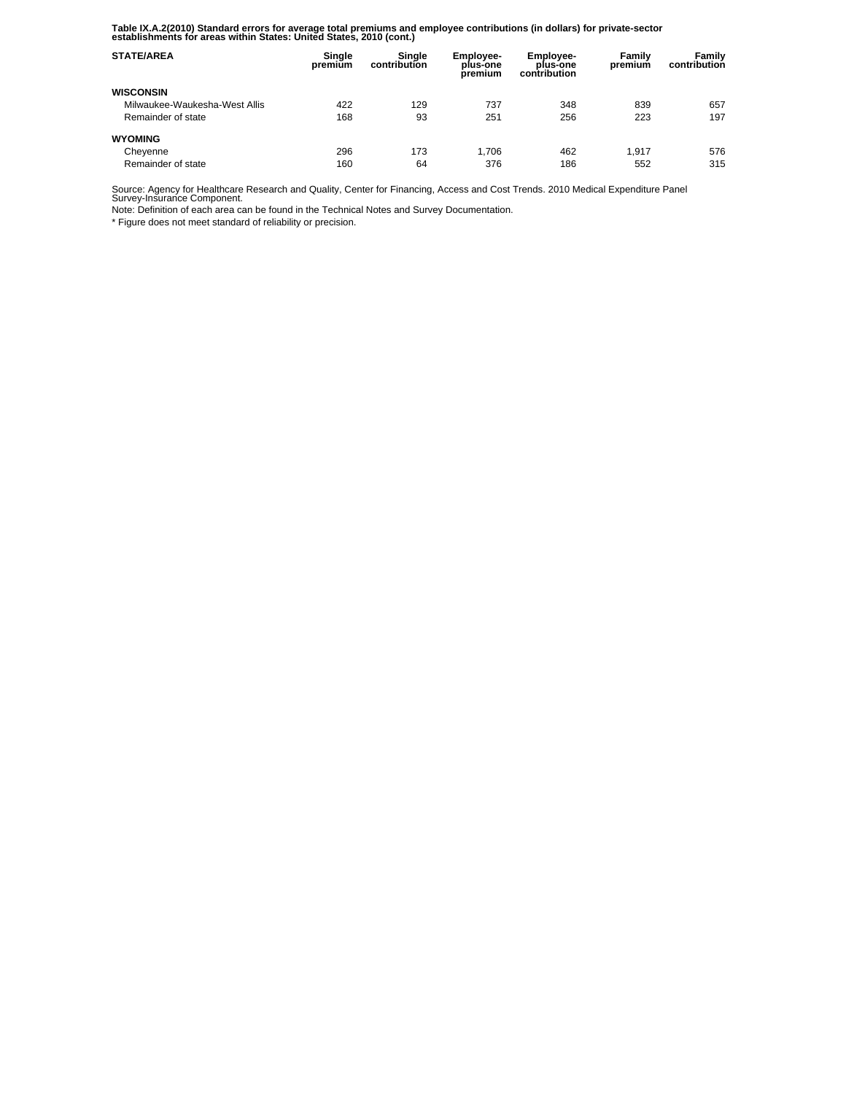**Table IX.A.2(2010) Standard errors for average total premiums and employee contributions (in dollars) for private-sector establishments for areas within States: United States, 2010 (cont.)** 

| <b>STATE/AREA</b>             | Single<br>premium | Sinale<br>contribution | <b>Employee-</b><br>plus-one<br>premium | <b>Employee-</b><br>plus-one<br>contribution | Family<br>premium | Family<br>contribution |
|-------------------------------|-------------------|------------------------|-----------------------------------------|----------------------------------------------|-------------------|------------------------|
| <b>WISCONSIN</b>              |                   |                        |                                         |                                              |                   |                        |
| Milwaukee-Waukesha-West Allis | 422               | 129                    | 737                                     | 348                                          | 839               | 657                    |
| Remainder of state            | 168               | 93                     | 251                                     | 256                                          | 223               | 197                    |
| <b>WYOMING</b>                |                   |                        |                                         |                                              |                   |                        |
| Cheyenne                      | 296               | 173                    | 1.706                                   | 462                                          | 1.917             | 576                    |
| Remainder of state            | 160               | 64                     | 376                                     | 186                                          | 552               | 315                    |

Source: Agency for Healthcare Research and Quality, Center for Financing, Access and Cost Trends. 2010 Medical Expenditure Panel Survey-Insurance Component.

Note: Definition of each area can be found in the Technical Notes and Survey Documentation.

\* Figure does not meet standard of reliability or precision.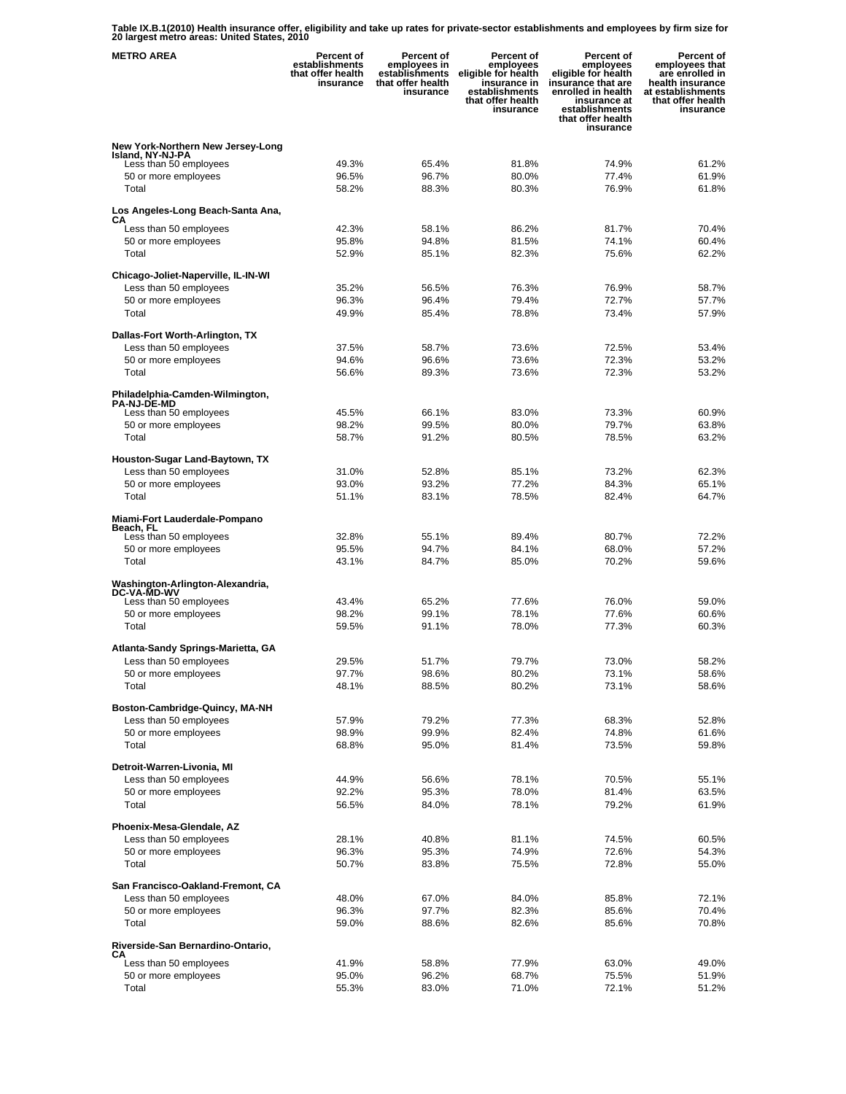**Table IX.B.1(2010) Health insurance offer, eligibility and take up rates for private-sector establishments and employees by firm size for 20 largest metro areas: United States, 2010** 

| <b>METRO AREA</b>                                             | <b>Percent of</b><br>establishments<br>that offer health<br>insurance | <b>Percent of</b><br>employees in<br>establishments<br>that offer health<br>insurance | Percent of<br>employees<br>eligible for health<br>insurance in<br>establishments<br>that offer health<br>insurance | <b>Percent of</b><br>employees<br>eligible for health<br>insurance that are<br>enrolled in health<br>insurance at<br>establishments<br>that offer health<br>insurance | Percent of<br>employees that<br>are enrolled in<br>health insurance<br>at establishments<br>that offer health<br>insurance |
|---------------------------------------------------------------|-----------------------------------------------------------------------|---------------------------------------------------------------------------------------|--------------------------------------------------------------------------------------------------------------------|-----------------------------------------------------------------------------------------------------------------------------------------------------------------------|----------------------------------------------------------------------------------------------------------------------------|
| New York-Northern New Jersey-Long                             |                                                                       |                                                                                       |                                                                                                                    |                                                                                                                                                                       |                                                                                                                            |
| Island, NY-NJ-PA<br>Less than 50 employees                    | 49.3%                                                                 | 65.4%                                                                                 | 81.8%                                                                                                              | 74.9%                                                                                                                                                                 | 61.2%                                                                                                                      |
| 50 or more employees                                          | 96.5%                                                                 | 96.7%                                                                                 | 80.0%                                                                                                              | 77.4%                                                                                                                                                                 | 61.9%                                                                                                                      |
| Total                                                         | 58.2%                                                                 | 88.3%                                                                                 | 80.3%                                                                                                              | 76.9%                                                                                                                                                                 | 61.8%                                                                                                                      |
| Los Angeles-Long Beach-Santa Ana,<br>CА                       |                                                                       |                                                                                       |                                                                                                                    |                                                                                                                                                                       |                                                                                                                            |
| Less than 50 employees                                        | 42.3%                                                                 | 58.1%                                                                                 | 86.2%                                                                                                              | 81.7%                                                                                                                                                                 | 70.4%                                                                                                                      |
| 50 or more employees<br>Total                                 | 95.8%<br>52.9%                                                        | 94.8%<br>85.1%                                                                        | 81.5%<br>82.3%                                                                                                     | 74.1%<br>75.6%                                                                                                                                                        | 60.4%<br>62.2%                                                                                                             |
|                                                               |                                                                       |                                                                                       |                                                                                                                    |                                                                                                                                                                       |                                                                                                                            |
| Chicago-Joliet-Naperville, IL-IN-WI<br>Less than 50 employees | 35.2%                                                                 | 56.5%                                                                                 | 76.3%                                                                                                              | 76.9%                                                                                                                                                                 | 58.7%                                                                                                                      |
| 50 or more employees                                          | 96.3%                                                                 | 96.4%                                                                                 | 79.4%                                                                                                              | 72.7%                                                                                                                                                                 | 57.7%                                                                                                                      |
| Total                                                         | 49.9%                                                                 | 85.4%                                                                                 | 78.8%                                                                                                              | 73.4%                                                                                                                                                                 | 57.9%                                                                                                                      |
| Dallas-Fort Worth-Arlington, TX                               |                                                                       |                                                                                       |                                                                                                                    |                                                                                                                                                                       |                                                                                                                            |
| Less than 50 employees                                        | 37.5%                                                                 | 58.7%                                                                                 | 73.6%                                                                                                              | 72.5%                                                                                                                                                                 | 53.4%                                                                                                                      |
| 50 or more employees                                          | 94.6%                                                                 | 96.6%                                                                                 | 73.6%                                                                                                              | 72.3%                                                                                                                                                                 | 53.2%                                                                                                                      |
| Total                                                         | 56.6%                                                                 | 89.3%                                                                                 | 73.6%                                                                                                              | 72.3%                                                                                                                                                                 | 53.2%                                                                                                                      |
| Philadelphia-Camden-Wilmington,<br><b>PA-NJ-DE-MD</b>         |                                                                       |                                                                                       |                                                                                                                    |                                                                                                                                                                       |                                                                                                                            |
| Less than 50 employees                                        | 45.5%                                                                 | 66.1%                                                                                 | 83.0%                                                                                                              | 73.3%                                                                                                                                                                 | 60.9%                                                                                                                      |
| 50 or more employees                                          | 98.2%                                                                 | 99.5%                                                                                 | 80.0%                                                                                                              | 79.7%                                                                                                                                                                 | 63.8%                                                                                                                      |
| Total                                                         | 58.7%                                                                 | 91.2%                                                                                 | 80.5%                                                                                                              | 78.5%                                                                                                                                                                 | 63.2%                                                                                                                      |
| Houston-Sugar Land-Baytown, TX                                |                                                                       |                                                                                       |                                                                                                                    |                                                                                                                                                                       |                                                                                                                            |
| Less than 50 employees<br>50 or more employees                | 31.0%<br>93.0%                                                        | 52.8%<br>93.2%                                                                        | 85.1%<br>77.2%                                                                                                     | 73.2%<br>84.3%                                                                                                                                                        | 62.3%<br>65.1%                                                                                                             |
| Total                                                         | 51.1%                                                                 | 83.1%                                                                                 | 78.5%                                                                                                              | 82.4%                                                                                                                                                                 | 64.7%                                                                                                                      |
|                                                               |                                                                       |                                                                                       |                                                                                                                    |                                                                                                                                                                       |                                                                                                                            |
| Miami-Fort Lauderdale-Pompano<br>Beach, FL                    |                                                                       |                                                                                       |                                                                                                                    |                                                                                                                                                                       |                                                                                                                            |
| Less than 50 employees<br>50 or more employees                | 32.8%<br>95.5%                                                        | 55.1%<br>94.7%                                                                        | 89.4%<br>84.1%                                                                                                     | 80.7%<br>68.0%                                                                                                                                                        | 72.2%<br>57.2%                                                                                                             |
| Total                                                         | 43.1%                                                                 | 84.7%                                                                                 | 85.0%                                                                                                              | 70.2%                                                                                                                                                                 | 59.6%                                                                                                                      |
|                                                               |                                                                       |                                                                                       |                                                                                                                    |                                                                                                                                                                       |                                                                                                                            |
| Washington-Arlington-Alexandria,<br><b>DC-VA-MD-WV</b>        |                                                                       |                                                                                       |                                                                                                                    |                                                                                                                                                                       |                                                                                                                            |
| Less than 50 employees<br>50 or more employees                | 43.4%<br>98.2%                                                        | 65.2%<br>99.1%                                                                        | 77.6%<br>78.1%                                                                                                     | 76.0%<br>77.6%                                                                                                                                                        | 59.0%<br>60.6%                                                                                                             |
| Total                                                         | 59.5%                                                                 | 91.1%                                                                                 | 78.0%                                                                                                              | 77.3%                                                                                                                                                                 | 60.3%                                                                                                                      |
|                                                               |                                                                       |                                                                                       |                                                                                                                    |                                                                                                                                                                       |                                                                                                                            |
| Atlanta-Sandy Springs-Marietta, GA<br>Less than 50 employees  | 29.5%                                                                 | 51.7%                                                                                 | 79.7%                                                                                                              | 73.0%                                                                                                                                                                 | 58.2%                                                                                                                      |
| 50 or more employees                                          | 97.7%                                                                 | 98.6%                                                                                 | 80.2%                                                                                                              | 73.1%                                                                                                                                                                 | 58.6%                                                                                                                      |
| Total                                                         | 48.1%                                                                 | 88.5%                                                                                 | 80.2%                                                                                                              | 73.1%                                                                                                                                                                 | 58.6%                                                                                                                      |
| Boston-Cambridge-Quincy, MA-NH                                |                                                                       |                                                                                       |                                                                                                                    |                                                                                                                                                                       |                                                                                                                            |
| Less than 50 employees                                        | 57.9%                                                                 | 79.2%                                                                                 | 77.3%                                                                                                              | 68.3%                                                                                                                                                                 | 52.8%                                                                                                                      |
| 50 or more employees                                          | 98.9%                                                                 | 99.9%                                                                                 | 82.4%                                                                                                              | 74.8%                                                                                                                                                                 | 61.6%                                                                                                                      |
| Total                                                         | 68.8%                                                                 | 95.0%                                                                                 | 81.4%                                                                                                              | 73.5%                                                                                                                                                                 | 59.8%                                                                                                                      |
| Detroit-Warren-Livonia, MI                                    |                                                                       |                                                                                       |                                                                                                                    |                                                                                                                                                                       |                                                                                                                            |
| Less than 50 employees<br>50 or more employees                | 44.9%<br>92.2%                                                        | 56.6%<br>95.3%                                                                        | 78.1%<br>78.0%                                                                                                     | 70.5%<br>81.4%                                                                                                                                                        | 55.1%<br>63.5%                                                                                                             |
| Total                                                         | 56.5%                                                                 | 84.0%                                                                                 | 78.1%                                                                                                              | 79.2%                                                                                                                                                                 | 61.9%                                                                                                                      |
| Phoenix-Mesa-Glendale, AZ                                     |                                                                       |                                                                                       |                                                                                                                    |                                                                                                                                                                       |                                                                                                                            |
| Less than 50 employees                                        | 28.1%                                                                 | 40.8%                                                                                 | 81.1%                                                                                                              | 74.5%                                                                                                                                                                 | 60.5%                                                                                                                      |
| 50 or more employees                                          | 96.3%                                                                 | 95.3%                                                                                 | 74.9%                                                                                                              | 72.6%                                                                                                                                                                 | 54.3%                                                                                                                      |
| Total                                                         | 50.7%                                                                 | 83.8%                                                                                 | 75.5%                                                                                                              | 72.8%                                                                                                                                                                 | 55.0%                                                                                                                      |
| San Francisco-Oakland-Fremont, CA                             |                                                                       |                                                                                       |                                                                                                                    |                                                                                                                                                                       |                                                                                                                            |
| Less than 50 employees                                        | 48.0%                                                                 | 67.0%                                                                                 | 84.0%                                                                                                              | 85.8%                                                                                                                                                                 | 72.1%                                                                                                                      |
| 50 or more employees<br>Total                                 | 96.3%<br>59.0%                                                        | 97.7%<br>88.6%                                                                        | 82.3%<br>82.6%                                                                                                     | 85.6%<br>85.6%                                                                                                                                                        | 70.4%<br>70.8%                                                                                                             |
|                                                               |                                                                       |                                                                                       |                                                                                                                    |                                                                                                                                                                       |                                                                                                                            |
| Riverside-San Bernardino-Ontario,<br>CА                       |                                                                       |                                                                                       |                                                                                                                    |                                                                                                                                                                       |                                                                                                                            |
| Less than 50 employees                                        | 41.9%                                                                 | 58.8%                                                                                 | 77.9%                                                                                                              | 63.0%                                                                                                                                                                 | 49.0%                                                                                                                      |
| 50 or more employees<br>Total                                 | 95.0%<br>55.3%                                                        | 96.2%<br>83.0%                                                                        | 68.7%<br>71.0%                                                                                                     | 75.5%<br>72.1%                                                                                                                                                        | 51.9%<br>51.2%                                                                                                             |
|                                                               |                                                                       |                                                                                       |                                                                                                                    |                                                                                                                                                                       |                                                                                                                            |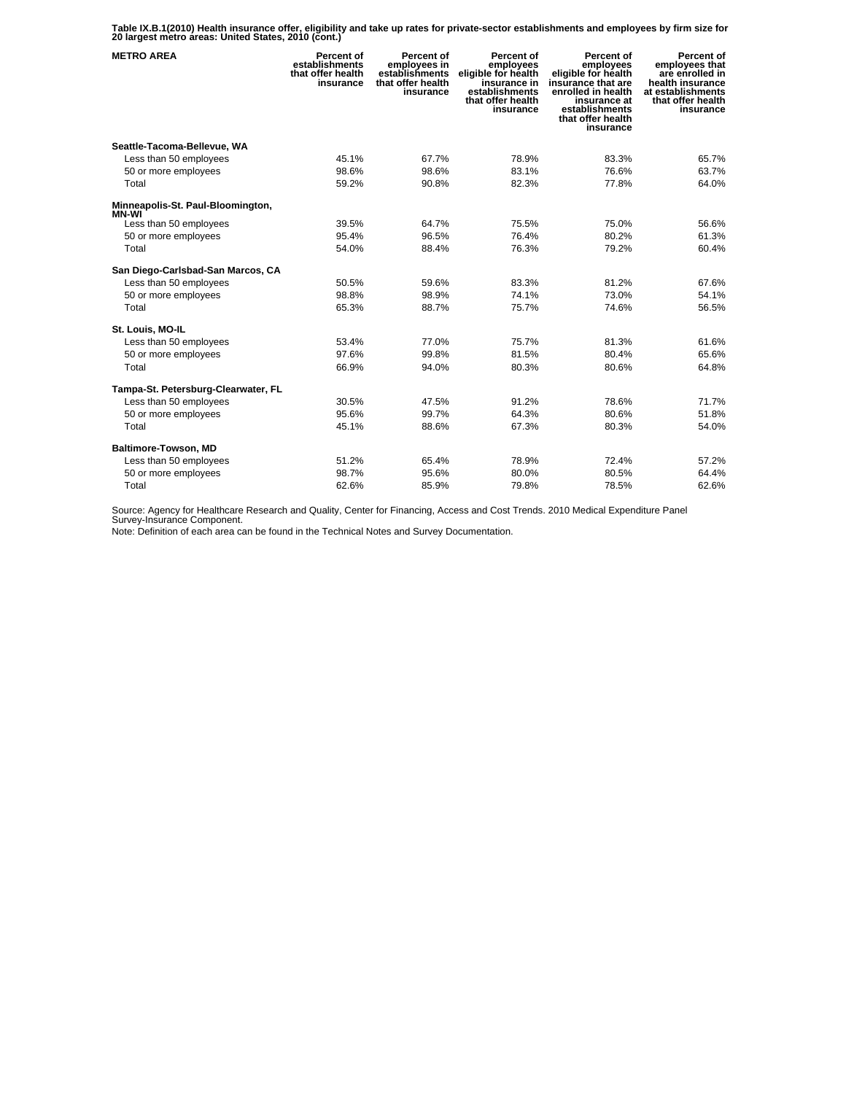**Table IX.B.1(2010) Health insurance offer, eligibility and take up rates for private-sector establishments and employees by firm size for 20 largest metro areas: United States, 2010 (cont.)** 

| <b>METRO AREA</b>                      | Percent of<br>establishments<br>that offer health<br>insurance | Percent of<br>employees in<br>establishments<br>that offer health<br>insurance | Percent of<br>employees<br>eligible for health<br>insurance in<br>establishments<br>that offer health<br>insurance | Percent of<br>employees<br>eligible for health<br>insurance that are<br>enrolled in health<br>insurance at<br>establishments<br>that offer health<br>insurance | Percent of<br>employees that<br>are enrolled in<br>health insurance<br>at establishments<br>that offer health<br>insurance |
|----------------------------------------|----------------------------------------------------------------|--------------------------------------------------------------------------------|--------------------------------------------------------------------------------------------------------------------|----------------------------------------------------------------------------------------------------------------------------------------------------------------|----------------------------------------------------------------------------------------------------------------------------|
| Seattle-Tacoma-Bellevue, WA            |                                                                |                                                                                |                                                                                                                    |                                                                                                                                                                |                                                                                                                            |
| Less than 50 employees                 | 45.1%                                                          | 67.7%                                                                          | 78.9%                                                                                                              | 83.3%                                                                                                                                                          | 65.7%                                                                                                                      |
| 50 or more employees                   | 98.6%                                                          | 98.6%                                                                          | 83.1%                                                                                                              | 76.6%                                                                                                                                                          | 63.7%                                                                                                                      |
| Total                                  | 59.2%                                                          | 90.8%                                                                          | 82.3%                                                                                                              | 77.8%                                                                                                                                                          | 64.0%                                                                                                                      |
| Minneapolis-St. Paul-Bloomington,      |                                                                |                                                                                |                                                                                                                    |                                                                                                                                                                |                                                                                                                            |
| <b>MN-WI</b><br>Less than 50 employees | 39.5%                                                          | 64.7%                                                                          | 75.5%                                                                                                              | 75.0%                                                                                                                                                          | 56.6%                                                                                                                      |
| 50 or more employees                   | 95.4%                                                          | 96.5%                                                                          | 76.4%                                                                                                              | 80.2%                                                                                                                                                          | 61.3%                                                                                                                      |
| Total                                  | 54.0%                                                          | 88.4%                                                                          | 76.3%                                                                                                              | 79.2%                                                                                                                                                          | 60.4%                                                                                                                      |
| San Diego-Carlsbad-San Marcos, CA      |                                                                |                                                                                |                                                                                                                    |                                                                                                                                                                |                                                                                                                            |
| Less than 50 employees                 | 50.5%                                                          | 59.6%                                                                          | 83.3%                                                                                                              | 81.2%                                                                                                                                                          | 67.6%                                                                                                                      |
| 50 or more employees                   | 98.8%                                                          | 98.9%                                                                          | 74.1%                                                                                                              | 73.0%                                                                                                                                                          | 54.1%                                                                                                                      |
| Total                                  | 65.3%                                                          | 88.7%                                                                          | 75.7%                                                                                                              | 74.6%                                                                                                                                                          | 56.5%                                                                                                                      |
| St. Louis, MO-IL                       |                                                                |                                                                                |                                                                                                                    |                                                                                                                                                                |                                                                                                                            |
| Less than 50 employees                 | 53.4%                                                          | 77.0%                                                                          | 75.7%                                                                                                              | 81.3%                                                                                                                                                          | 61.6%                                                                                                                      |
| 50 or more employees                   | 97.6%                                                          | 99.8%                                                                          | 81.5%                                                                                                              | 80.4%                                                                                                                                                          | 65.6%                                                                                                                      |
| Total                                  | 66.9%                                                          | 94.0%                                                                          | 80.3%                                                                                                              | 80.6%                                                                                                                                                          | 64.8%                                                                                                                      |
| Tampa-St. Petersburg-Clearwater, FL    |                                                                |                                                                                |                                                                                                                    |                                                                                                                                                                |                                                                                                                            |
| Less than 50 employees                 | 30.5%                                                          | 47.5%                                                                          | 91.2%                                                                                                              | 78.6%                                                                                                                                                          | 71.7%                                                                                                                      |
| 50 or more employees                   | 95.6%                                                          | 99.7%                                                                          | 64.3%                                                                                                              | 80.6%                                                                                                                                                          | 51.8%                                                                                                                      |
| Total                                  | 45.1%                                                          | 88.6%                                                                          | 67.3%                                                                                                              | 80.3%                                                                                                                                                          | 54.0%                                                                                                                      |
| Baltimore-Towson, MD                   |                                                                |                                                                                |                                                                                                                    |                                                                                                                                                                |                                                                                                                            |
| Less than 50 employees                 | 51.2%                                                          | 65.4%                                                                          | 78.9%                                                                                                              | 72.4%                                                                                                                                                          | 57.2%                                                                                                                      |
| 50 or more employees                   | 98.7%                                                          | 95.6%                                                                          | 80.0%                                                                                                              | 80.5%                                                                                                                                                          | 64.4%                                                                                                                      |
| Total                                  | 62.6%                                                          | 85.9%                                                                          | 79.8%                                                                                                              | 78.5%                                                                                                                                                          | 62.6%                                                                                                                      |

Source: Agency for Healthcare Research and Quality, Center for Financing, Access and Cost Trends. 2010 Medical Expenditure Panel Survey-Insurance Component.

Note: Definition of each area can be found in the Technical Notes and Survey Documentation.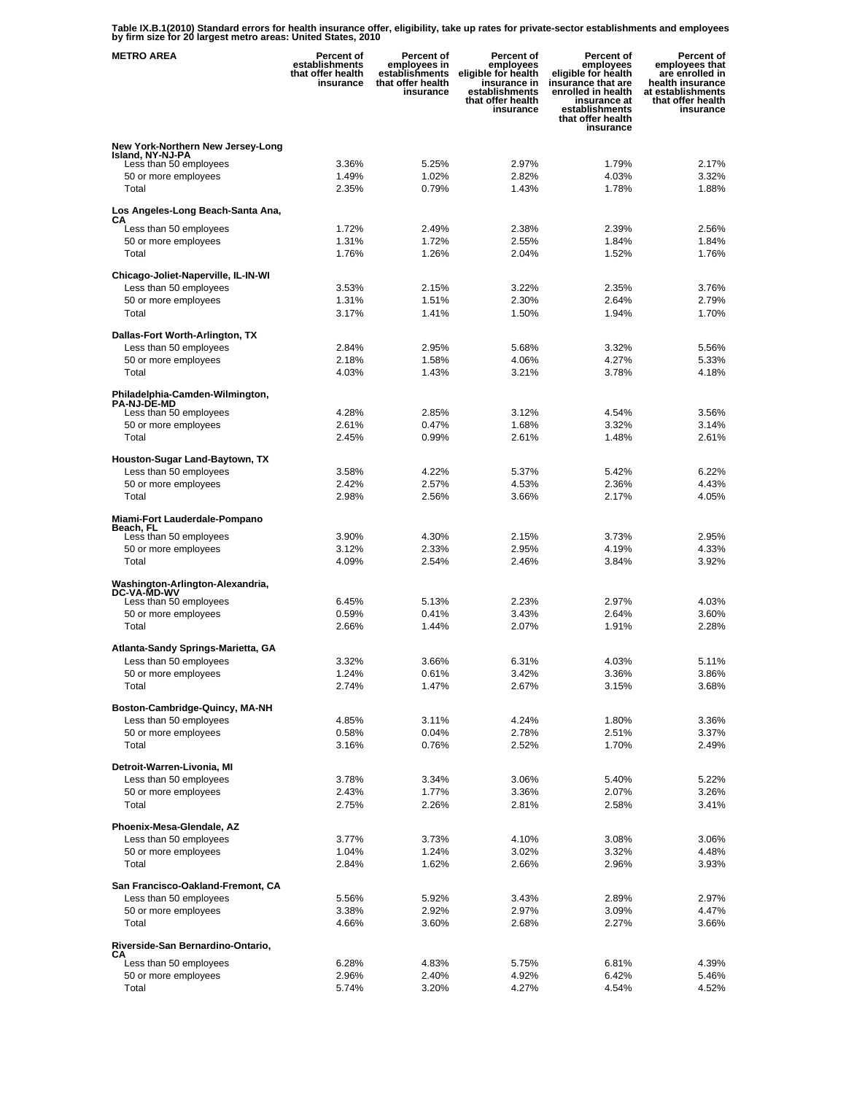**Table IX.B.1(2010) Standard errors for health insurance offer, eligibility, take up rates for private-sector establishments and employees by firm size for 20 largest metro areas: United States, 2010** 

| <b>METRO AREA</b>                              | <b>Percent of</b><br>establishments<br>that offer health<br>insurance | <b>Percent of</b><br>employees in<br>establishments<br>that offer health<br>insurance | Percent of<br>employees<br>eligible for health<br>insurance in<br>establishments<br>that offer health<br>insurance | Percent of<br>employees<br>eligible for health<br>insurance that are<br>enrolled in health<br>insurance at<br>establishments<br>that offer health<br>insurance | Percent of<br>employees that<br>are enrolled in<br>health insurance<br>at establishments<br>that offer health<br>insurance |
|------------------------------------------------|-----------------------------------------------------------------------|---------------------------------------------------------------------------------------|--------------------------------------------------------------------------------------------------------------------|----------------------------------------------------------------------------------------------------------------------------------------------------------------|----------------------------------------------------------------------------------------------------------------------------|
| New York-Northern New Jersey-Long              |                                                                       |                                                                                       |                                                                                                                    |                                                                                                                                                                |                                                                                                                            |
| Island, NY-NJ-PA<br>Less than 50 employees     | 3.36%                                                                 | 5.25%                                                                                 | 2.97%                                                                                                              | 1.79%                                                                                                                                                          | 2.17%                                                                                                                      |
| 50 or more employees                           | 1.49%                                                                 | 1.02%                                                                                 | 2.82%                                                                                                              | 4.03%                                                                                                                                                          | 3.32%                                                                                                                      |
| Total                                          | 2.35%                                                                 | 0.79%                                                                                 | 1.43%                                                                                                              | 1.78%                                                                                                                                                          | 1.88%                                                                                                                      |
| Los Angeles-Long Beach-Santa Ana,              |                                                                       |                                                                                       |                                                                                                                    |                                                                                                                                                                |                                                                                                                            |
| СA<br>Less than 50 employees                   | 1.72%                                                                 | 2.49%                                                                                 | 2.38%                                                                                                              | 2.39%                                                                                                                                                          | 2.56%                                                                                                                      |
| 50 or more employees                           | 1.31%                                                                 | 1.72%                                                                                 | 2.55%                                                                                                              | 1.84%                                                                                                                                                          | 1.84%                                                                                                                      |
| Total                                          | 1.76%                                                                 | 1.26%                                                                                 | 2.04%                                                                                                              | 1.52%                                                                                                                                                          | 1.76%                                                                                                                      |
| Chicago-Joliet-Naperville, IL-IN-WI            |                                                                       |                                                                                       |                                                                                                                    |                                                                                                                                                                |                                                                                                                            |
| Less than 50 employees                         | 3.53%                                                                 | 2.15%                                                                                 | 3.22%                                                                                                              | 2.35%                                                                                                                                                          | 3.76%                                                                                                                      |
| 50 or more employees                           | 1.31%                                                                 | 1.51%                                                                                 | 2.30%                                                                                                              | 2.64%                                                                                                                                                          | 2.79%                                                                                                                      |
| Total                                          | 3.17%                                                                 | 1.41%                                                                                 | 1.50%                                                                                                              | 1.94%                                                                                                                                                          | 1.70%                                                                                                                      |
| Dallas-Fort Worth-Arlington, TX                |                                                                       |                                                                                       |                                                                                                                    |                                                                                                                                                                |                                                                                                                            |
| Less than 50 employees                         | 2.84%                                                                 | 2.95%                                                                                 | 5.68%                                                                                                              | 3.32%                                                                                                                                                          | 5.56%                                                                                                                      |
| 50 or more employees                           | 2.18%                                                                 | 1.58%                                                                                 | 4.06%                                                                                                              | 4.27%                                                                                                                                                          | 5.33%                                                                                                                      |
| Total                                          | 4.03%                                                                 | 1.43%                                                                                 | 3.21%                                                                                                              | 3.78%                                                                                                                                                          | 4.18%                                                                                                                      |
| Philadelphia-Camden-Wilmington,                |                                                                       |                                                                                       |                                                                                                                    |                                                                                                                                                                |                                                                                                                            |
| <b>PA-NJ-DE-MD</b><br>Less than 50 employees   | 4.28%                                                                 | 2.85%                                                                                 | 3.12%                                                                                                              | 4.54%                                                                                                                                                          | 3.56%                                                                                                                      |
| 50 or more employees                           | 2.61%                                                                 | 0.47%                                                                                 | 1.68%                                                                                                              | 3.32%                                                                                                                                                          | 3.14%                                                                                                                      |
| Total                                          | 2.45%                                                                 | 0.99%                                                                                 | 2.61%                                                                                                              | 1.48%                                                                                                                                                          | 2.61%                                                                                                                      |
| Houston-Sugar Land-Baytown, TX                 |                                                                       |                                                                                       |                                                                                                                    |                                                                                                                                                                |                                                                                                                            |
| Less than 50 employees                         | 3.58%                                                                 | 4.22%                                                                                 | 5.37%                                                                                                              | 5.42%                                                                                                                                                          | 6.22%                                                                                                                      |
| 50 or more employees                           | 2.42%                                                                 | 2.57%                                                                                 | 4.53%                                                                                                              | 2.36%                                                                                                                                                          | 4.43%                                                                                                                      |
| Total                                          | 2.98%                                                                 | 2.56%                                                                                 | 3.66%                                                                                                              | 2.17%                                                                                                                                                          | 4.05%                                                                                                                      |
| Miami-Fort Lauderdale-Pompano                  |                                                                       |                                                                                       |                                                                                                                    |                                                                                                                                                                |                                                                                                                            |
| Beach, FL<br>Less than 50 employees            | 3.90%                                                                 | 4.30%                                                                                 | 2.15%                                                                                                              | 3.73%                                                                                                                                                          | 2.95%                                                                                                                      |
| 50 or more employees                           | 3.12%                                                                 | 2.33%                                                                                 | 2.95%                                                                                                              | 4.19%                                                                                                                                                          | 4.33%                                                                                                                      |
| Total                                          | 4.09%                                                                 | 2.54%                                                                                 | 2.46%                                                                                                              | 3.84%                                                                                                                                                          | 3.92%                                                                                                                      |
| Washington-Arlington-Alexandria,               |                                                                       |                                                                                       |                                                                                                                    |                                                                                                                                                                |                                                                                                                            |
| <b>DC-VA-MD-WV</b><br>Less than 50 employees   | 6.45%                                                                 | 5.13%                                                                                 | 2.23%                                                                                                              | 2.97%                                                                                                                                                          | 4.03%                                                                                                                      |
| 50 or more employees                           | 0.59%                                                                 | 0.41%                                                                                 | 3.43%                                                                                                              | 2.64%                                                                                                                                                          | 3.60%                                                                                                                      |
| Total                                          | 2.66%                                                                 | 1.44%                                                                                 | 2.07%                                                                                                              | 1.91%                                                                                                                                                          | 2.28%                                                                                                                      |
| Atlanta-Sandy Springs-Marietta, GA             |                                                                       |                                                                                       |                                                                                                                    |                                                                                                                                                                |                                                                                                                            |
| Less than 50 employees                         | 3.32%                                                                 | 3.66%                                                                                 | 6.31%                                                                                                              | 4.03%                                                                                                                                                          | 5.11%                                                                                                                      |
| 50 or more employees                           | 1.24%                                                                 | 0.61%                                                                                 | 3.42%                                                                                                              | 3.36%                                                                                                                                                          | 3.86%                                                                                                                      |
| Total                                          | 2.74%                                                                 | 1.47%                                                                                 | 2.67%                                                                                                              | 3.15%                                                                                                                                                          | 3.68%                                                                                                                      |
| Boston-Cambridge-Quincy, MA-NH                 |                                                                       |                                                                                       |                                                                                                                    |                                                                                                                                                                |                                                                                                                            |
| Less than 50 employees                         | 4.85%                                                                 | 3.11%                                                                                 | 4.24%                                                                                                              | 1.80%                                                                                                                                                          | 3.36%                                                                                                                      |
| 50 or more employees                           | 0.58%                                                                 | 0.04%                                                                                 | 2.78%                                                                                                              | 2.51%                                                                                                                                                          | 3.37%                                                                                                                      |
| Total                                          | 3.16%                                                                 | 0.76%                                                                                 | 2.52%                                                                                                              | 1.70%                                                                                                                                                          | 2.49%                                                                                                                      |
| Detroit-Warren-Livonia, MI                     |                                                                       |                                                                                       |                                                                                                                    |                                                                                                                                                                |                                                                                                                            |
| Less than 50 employees                         | 3.78%                                                                 | 3.34%                                                                                 | 3.06%                                                                                                              | 5.40%                                                                                                                                                          | 5.22%                                                                                                                      |
| 50 or more employees                           | 2.43%                                                                 | 1.77%                                                                                 | 3.36%                                                                                                              | 2.07%                                                                                                                                                          | 3.26%                                                                                                                      |
| Total                                          | 2.75%                                                                 | 2.26%                                                                                 | 2.81%                                                                                                              | 2.58%                                                                                                                                                          | 3.41%                                                                                                                      |
| Phoenix-Mesa-Glendale, AZ                      |                                                                       |                                                                                       |                                                                                                                    |                                                                                                                                                                |                                                                                                                            |
| Less than 50 employees                         | 3.77%                                                                 | 3.73%                                                                                 | 4.10%                                                                                                              | 3.08%                                                                                                                                                          | 3.06%                                                                                                                      |
| 50 or more employees<br>Total                  | 1.04%<br>2.84%                                                        | 1.24%<br>1.62%                                                                        | 3.02%<br>2.66%                                                                                                     | 3.32%<br>2.96%                                                                                                                                                 | 4.48%<br>3.93%                                                                                                             |
|                                                |                                                                       |                                                                                       |                                                                                                                    |                                                                                                                                                                |                                                                                                                            |
| San Francisco-Oakland-Fremont, CA              |                                                                       |                                                                                       |                                                                                                                    |                                                                                                                                                                |                                                                                                                            |
| Less than 50 employees<br>50 or more employees | 5.56%<br>3.38%                                                        | 5.92%<br>2.92%                                                                        | 3.43%<br>2.97%                                                                                                     | 2.89%<br>3.09%                                                                                                                                                 | 2.97%<br>4.47%                                                                                                             |
| Total                                          | 4.66%                                                                 | 3.60%                                                                                 | 2.68%                                                                                                              | 2.27%                                                                                                                                                          | 3.66%                                                                                                                      |
| Riverside-San Bernardino-Ontario,              |                                                                       |                                                                                       |                                                                                                                    |                                                                                                                                                                |                                                                                                                            |
| CА                                             |                                                                       |                                                                                       |                                                                                                                    |                                                                                                                                                                |                                                                                                                            |
| Less than 50 employees<br>50 or more employees | 6.28%<br>2.96%                                                        | 4.83%<br>2.40%                                                                        | 5.75%<br>4.92%                                                                                                     | 6.81%<br>6.42%                                                                                                                                                 | 4.39%<br>5.46%                                                                                                             |
| Total                                          | 5.74%                                                                 | 3.20%                                                                                 | 4.27%                                                                                                              | 4.54%                                                                                                                                                          | 4.52%                                                                                                                      |
|                                                |                                                                       |                                                                                       |                                                                                                                    |                                                                                                                                                                |                                                                                                                            |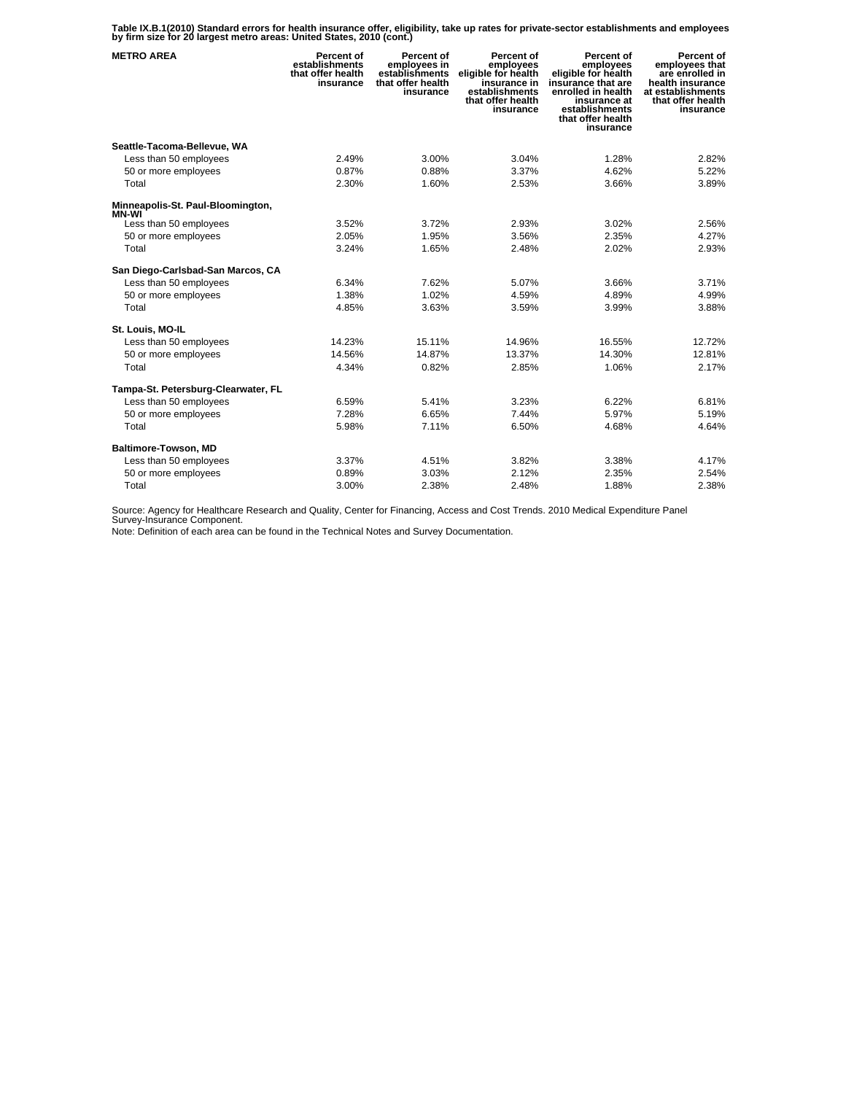**Table IX.B.1(2010) Standard errors for health insurance offer, eligibility, take up rates for private-sector establishments and employees by firm size for 20 largest metro areas: United States, 2010 (cont.)** 

| <b>METRO AREA</b>                      | Percent of<br>establishments<br>that offer health<br>insurance | Percent of<br>employees in<br>establishments<br>that offer health<br>insurance | Percent of<br>employees<br>eligible for health<br>insurance in<br>establishments<br>that offer health<br>insurance | Percent of<br>employees<br>eligible for health<br>insurance that are<br>enrolled in health<br>insurance at<br>establishments<br>that offer health<br>insurance | Percent of<br>employees that<br>are enrolled in<br>health insurance<br>at establishments<br>that offer health<br>insurance |
|----------------------------------------|----------------------------------------------------------------|--------------------------------------------------------------------------------|--------------------------------------------------------------------------------------------------------------------|----------------------------------------------------------------------------------------------------------------------------------------------------------------|----------------------------------------------------------------------------------------------------------------------------|
| Seattle-Tacoma-Bellevue, WA            |                                                                |                                                                                |                                                                                                                    |                                                                                                                                                                |                                                                                                                            |
| Less than 50 employees                 | 2.49%                                                          | 3.00%                                                                          | 3.04%                                                                                                              | 1.28%                                                                                                                                                          | 2.82%                                                                                                                      |
| 50 or more employees                   | 0.87%                                                          | 0.88%                                                                          | 3.37%                                                                                                              | 4.62%                                                                                                                                                          | 5.22%                                                                                                                      |
| Total                                  | 2.30%                                                          | 1.60%                                                                          | 2.53%                                                                                                              | 3.66%                                                                                                                                                          | 3.89%                                                                                                                      |
| Minneapolis-St. Paul-Bloomington,      |                                                                |                                                                                |                                                                                                                    |                                                                                                                                                                |                                                                                                                            |
| <b>MN-WI</b><br>Less than 50 employees | 3.52%                                                          | 3.72%                                                                          | 2.93%                                                                                                              | 3.02%                                                                                                                                                          | 2.56%                                                                                                                      |
| 50 or more employees                   | 2.05%                                                          | 1.95%                                                                          | 3.56%                                                                                                              | 2.35%                                                                                                                                                          | 4.27%                                                                                                                      |
| Total                                  | 3.24%                                                          | 1.65%                                                                          | 2.48%                                                                                                              | 2.02%                                                                                                                                                          | 2.93%                                                                                                                      |
| San Diego-Carlsbad-San Marcos, CA      |                                                                |                                                                                |                                                                                                                    |                                                                                                                                                                |                                                                                                                            |
| Less than 50 employees                 | 6.34%                                                          | 7.62%                                                                          | 5.07%                                                                                                              | 3.66%                                                                                                                                                          | 3.71%                                                                                                                      |
| 50 or more employees                   | 1.38%                                                          | 1.02%                                                                          | 4.59%                                                                                                              | 4.89%                                                                                                                                                          | 4.99%                                                                                                                      |
| Total                                  | 4.85%                                                          | 3.63%                                                                          | 3.59%                                                                                                              | 3.99%                                                                                                                                                          | 3.88%                                                                                                                      |
| St. Louis, MO-IL                       |                                                                |                                                                                |                                                                                                                    |                                                                                                                                                                |                                                                                                                            |
| Less than 50 employees                 | 14.23%                                                         | 15.11%                                                                         | 14.96%                                                                                                             | 16.55%                                                                                                                                                         | 12.72%                                                                                                                     |
| 50 or more employees                   | 14.56%                                                         | 14.87%                                                                         | 13.37%                                                                                                             | 14.30%                                                                                                                                                         | 12.81%                                                                                                                     |
| Total                                  | 4.34%                                                          | 0.82%                                                                          | 2.85%                                                                                                              | 1.06%                                                                                                                                                          | 2.17%                                                                                                                      |
| Tampa-St. Petersburg-Clearwater, FL    |                                                                |                                                                                |                                                                                                                    |                                                                                                                                                                |                                                                                                                            |
| Less than 50 employees                 | 6.59%                                                          | 5.41%                                                                          | 3.23%                                                                                                              | 6.22%                                                                                                                                                          | 6.81%                                                                                                                      |
| 50 or more employees                   | 7.28%                                                          | 6.65%                                                                          | 7.44%                                                                                                              | 5.97%                                                                                                                                                          | 5.19%                                                                                                                      |
| Total                                  | 5.98%                                                          | 7.11%                                                                          | 6.50%                                                                                                              | 4.68%                                                                                                                                                          | 4.64%                                                                                                                      |
| Baltimore-Towson, MD                   |                                                                |                                                                                |                                                                                                                    |                                                                                                                                                                |                                                                                                                            |
| Less than 50 employees                 | 3.37%                                                          | 4.51%                                                                          | 3.82%                                                                                                              | 3.38%                                                                                                                                                          | 4.17%                                                                                                                      |
| 50 or more employees                   | 0.89%                                                          | 3.03%                                                                          | 2.12%                                                                                                              | 2.35%                                                                                                                                                          | 2.54%                                                                                                                      |
| Total                                  | 3.00%                                                          | 2.38%                                                                          | 2.48%                                                                                                              | 1.88%                                                                                                                                                          | 2.38%                                                                                                                      |

Source: Agency for Healthcare Research and Quality, Center for Financing, Access and Cost Trends. 2010 Medical Expenditure Panel Survey-Insurance Component.

Note: Definition of each area can be found in the Technical Notes and Survey Documentation.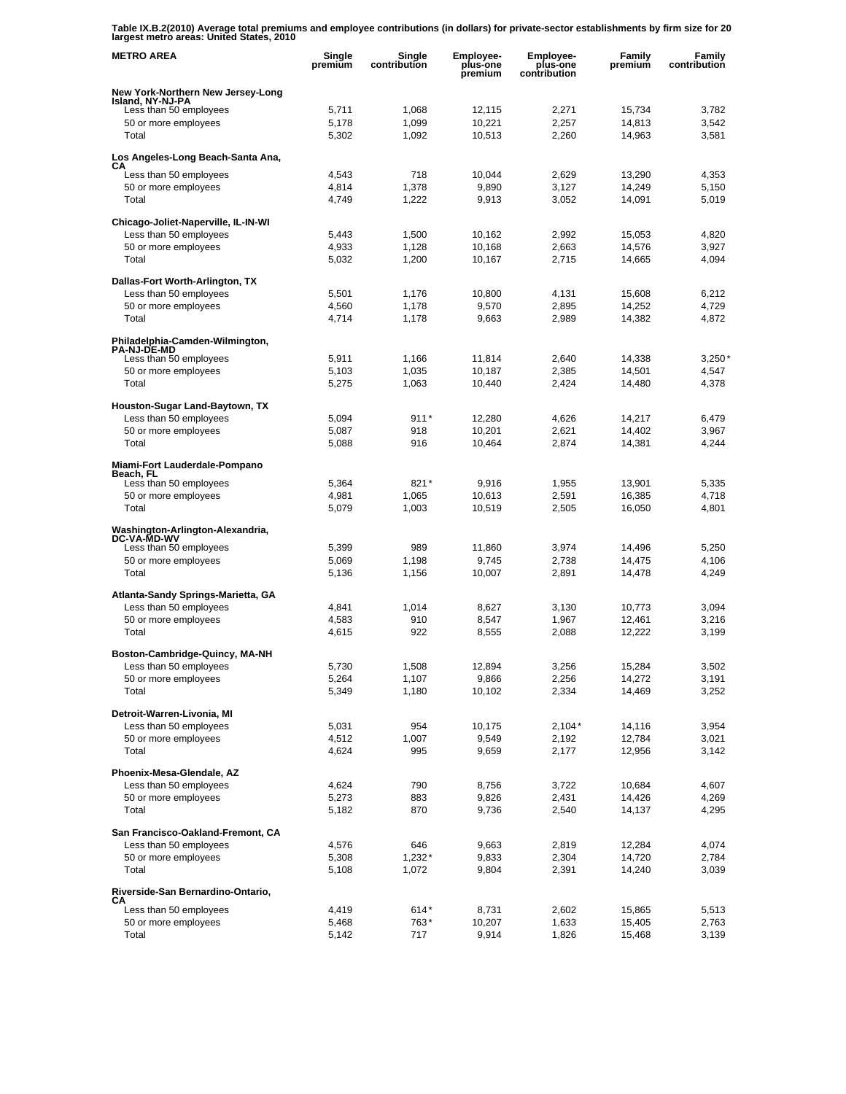**Table IX.B.2(2010) Average total premiums and employee contributions (in dollars) for private-sector establishments by firm size for 20 largest metro areas: United States, 2010** 

| <b>METRO AREA</b>                                     | Single<br>premium | Single<br>contribution | Employee-<br>plus-one<br>premium | Employee-<br>plus-one<br>contribution | Family<br>premium | Family<br>contribution |
|-------------------------------------------------------|-------------------|------------------------|----------------------------------|---------------------------------------|-------------------|------------------------|
| New York-Northern New Jersey-Long                     |                   |                        |                                  |                                       |                   |                        |
| Island, NY-NJ-PA<br>Less than 50 employees            | 5,711             | 1,068                  | 12,115                           | 2,271                                 | 15,734            | 3,782                  |
| 50 or more employees                                  | 5,178             | 1,099                  | 10,221                           | 2,257                                 | 14,813            | 3,542                  |
| Total                                                 | 5,302             | 1,092                  | 10,513                           | 2,260                                 | 14,963            | 3,581                  |
| Los Angeles-Long Beach-Santa Ana,                     |                   |                        |                                  |                                       |                   |                        |
| CА<br>Less than 50 employees                          | 4,543             | 718                    | 10,044                           | 2,629                                 | 13,290            | 4,353                  |
| 50 or more employees                                  | 4,814             | 1,378                  | 9,890                            | 3,127                                 | 14,249            | 5,150                  |
| Total                                                 | 4,749             | 1,222                  | 9,913                            | 3,052                                 | 14,091            | 5,019                  |
| Chicago-Joliet-Naperville, IL-IN-WI                   |                   |                        |                                  |                                       |                   |                        |
| Less than 50 employees                                | 5,443             | 1,500                  | 10,162                           | 2,992                                 | 15,053            | 4,820                  |
| 50 or more employees                                  | 4,933             | 1,128                  | 10,168                           | 2,663                                 | 14,576            | 3,927                  |
| Total                                                 | 5,032             | 1,200                  | 10,167                           | 2,715                                 | 14,665            | 4,094                  |
| Dallas-Fort Worth-Arlington, TX                       |                   |                        |                                  |                                       |                   |                        |
| Less than 50 employees                                | 5,501             | 1,176                  | 10,800                           | 4,131                                 | 15,608            | 6,212                  |
| 50 or more employees                                  | 4,560             | 1,178                  | 9,570                            | 2,895                                 | 14,252            | 4,729                  |
| Total                                                 | 4,714             | 1,178                  | 9,663                            | 2,989                                 | 14,382            | 4,872                  |
| Philadelphia-Camden-Wilmington,<br><b>PA-NJ-DE-MD</b> |                   |                        |                                  |                                       |                   |                        |
| Less than 50 employees                                | 5,911             | 1,166                  | 11,814                           | 2,640                                 | 14,338            | $3,250*$               |
| 50 or more employees                                  | 5,103             | 1,035                  | 10,187                           | 2,385                                 | 14,501            | 4,547                  |
| Total                                                 | 5,275             | 1,063                  | 10,440                           | 2,424                                 | 14,480            | 4,378                  |
| Houston-Sugar Land-Baytown, TX                        |                   |                        |                                  |                                       |                   |                        |
| Less than 50 employees                                | 5,094             | $911*$                 | 12,280                           | 4,626                                 | 14,217            | 6,479                  |
| 50 or more employees                                  | 5,087             | 918                    | 10,201                           | 2,621                                 | 14,402            | 3,967                  |
| Total                                                 | 5,088             | 916                    | 10,464                           | 2,874                                 | 14,381            | 4,244                  |
| Miami-Fort Lauderdale-Pompano<br>Beach, FL            |                   |                        |                                  |                                       |                   |                        |
| Less than 50 employees                                | 5,364             | 821*                   | 9,916                            | 1,955                                 | 13,901            | 5,335                  |
| 50 or more employees                                  | 4,981             | 1,065                  | 10,613                           | 2,591                                 | 16,385            | 4,718                  |
| Total                                                 | 5,079             | 1,003                  | 10,519                           | 2,505                                 | 16,050            | 4,801                  |
| Washington-Arlington-Alexandria,<br>DC-VA-MD-WV       |                   |                        |                                  |                                       |                   |                        |
| Less than 50 employees                                | 5,399             | 989                    | 11,860                           | 3,974                                 | 14,496            | 5,250                  |
| 50 or more employees                                  | 5,069             | 1,198                  | 9,745                            | 2,738                                 | 14,475            | 4,106                  |
| Total                                                 | 5,136             | 1,156                  | 10,007                           | 2,891                                 | 14,478            | 4,249                  |
| Atlanta-Sandy Springs-Marietta, GA                    |                   |                        |                                  |                                       |                   |                        |
| Less than 50 employees                                | 4,841             | 1,014                  | 8,627                            | 3,130                                 | 10,773            | 3,094                  |
| 50 or more employees                                  | 4,583             | 910                    | 8,547                            | 1,967                                 | 12,461            | 3,216                  |
| Total                                                 | 4,615             | 922                    | 8,555                            | 2,088                                 | 12,222            | 3,199                  |
| Boston-Cambridge-Quincy, MA-NH                        |                   |                        |                                  |                                       |                   |                        |
| Less than 50 employees                                | 5,730             | 1,508                  | 12,894                           | 3,256                                 | 15,284            | 3,502                  |
| 50 or more employees                                  | 5,264             | 1,107                  | 9,866                            | 2,256                                 | 14,272            | 3,191                  |
| Total                                                 | 5,349             | 1,180                  | 10,102                           | 2,334                                 | 14,469            | 3,252                  |
| Detroit-Warren-Livonia, MI                            |                   |                        |                                  |                                       |                   |                        |
| Less than 50 employees<br>50 or more employees        | 5,031<br>4,512    | 954<br>1,007           | 10,175<br>9,549                  | $2,104*$<br>2,192                     | 14,116<br>12,784  | 3,954<br>3,021         |
| Total                                                 | 4,624             | 995                    | 9,659                            | 2,177                                 | 12,956            | 3,142                  |
| Phoenix-Mesa-Glendale, AZ                             |                   |                        |                                  |                                       |                   |                        |
| Less than 50 employees                                | 4,624             | 790                    | 8,756                            | 3,722                                 | 10,684            | 4,607                  |
| 50 or more employees                                  | 5,273             | 883                    | 9,826                            | 2,431                                 | 14,426            | 4,269                  |
| Total                                                 | 5,182             | 870                    | 9,736                            | 2,540                                 | 14,137            | 4,295                  |
| San Francisco-Oakland-Fremont, CA                     |                   |                        |                                  |                                       |                   |                        |
| Less than 50 employees                                | 4,576             | 646                    | 9,663                            | 2,819                                 | 12,284            | 4,074                  |
| 50 or more employees                                  | 5,308             | $1,232*$               | 9,833                            | 2,304                                 | 14,720            | 2,784                  |
| Total                                                 | 5,108             | 1,072                  | 9,804                            | 2,391                                 | 14,240            | 3,039                  |
| Riverside-San Bernardino-Ontario,                     |                   |                        |                                  |                                       |                   |                        |
| CА<br>Less than 50 employees                          | 4,419             | $614*$                 | 8,731                            | 2,602                                 | 15,865            | 5,513                  |
| 50 or more employees                                  | 5,468             | 763*                   | 10,207                           | 1,633                                 | 15,405            | 2,763                  |
| Total                                                 | 5,142             | 717                    | 9,914                            | 1,826                                 | 15,468            | 3,139                  |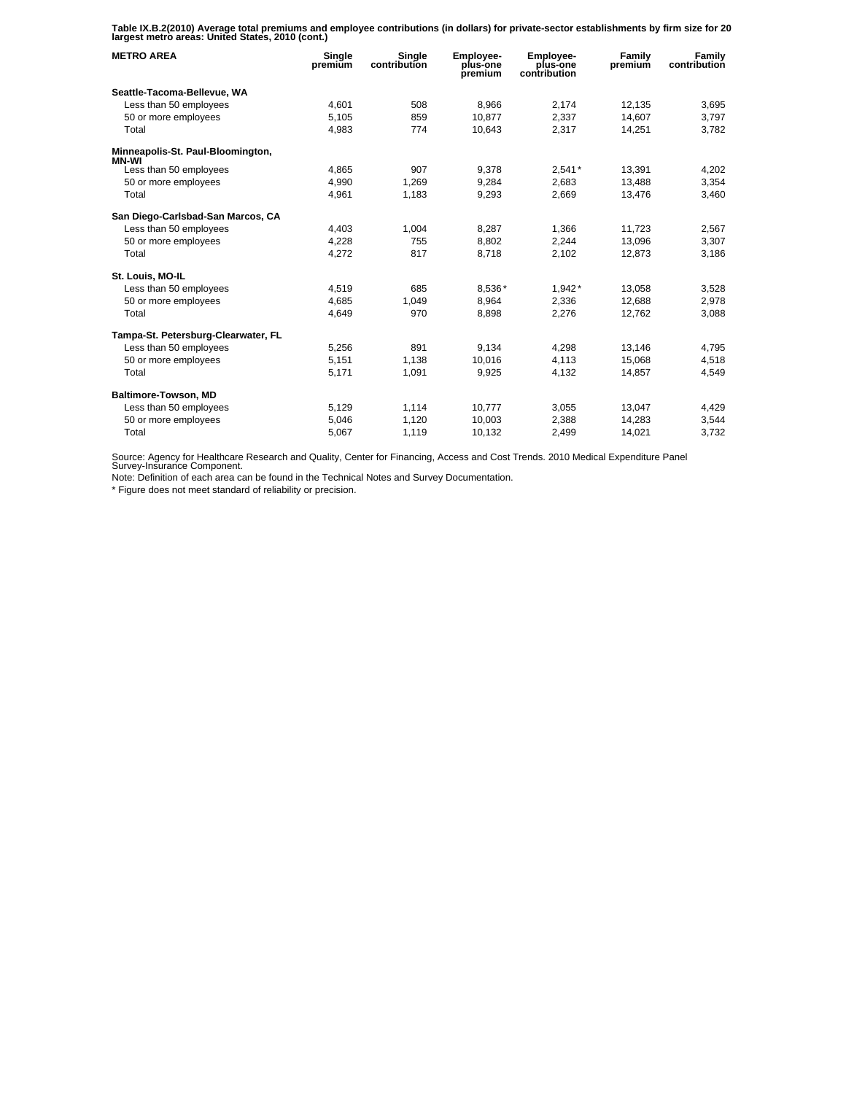**Table IX.B.2(2010) Average total premiums and employee contributions (in dollars) for private-sector establishments by firm size for 20 largest metro areas: United States, 2010 (cont.)** 

| <b>METRO AREA</b>                          | Single<br>premium | Single<br>contribution | Employee-<br>plus-one<br>premium | Employee-<br>plus-one<br>contribution | Family<br>premium | Family<br>contribution |
|--------------------------------------------|-------------------|------------------------|----------------------------------|---------------------------------------|-------------------|------------------------|
| Seattle-Tacoma-Bellevue, WA                |                   |                        |                                  |                                       |                   |                        |
| Less than 50 employees                     | 4,601             | 508                    | 8.966                            | 2,174                                 | 12,135            | 3,695                  |
| 50 or more employees                       | 5.105             | 859                    | 10.877                           | 2.337                                 | 14.607            | 3,797                  |
| Total                                      | 4,983             | 774                    | 10,643                           | 2,317                                 | 14,251            | 3,782                  |
| Minneapolis-St. Paul-Bloomington,<br>MN-WI |                   |                        |                                  |                                       |                   |                        |
| Less than 50 employees                     | 4,865             | 907                    | 9.378                            | $2,541*$                              | 13,391            | 4,202                  |
| 50 or more employees                       | 4,990             | 1,269                  | 9,284                            | 2,683                                 | 13,488            | 3,354                  |
| Total                                      | 4,961             | 1,183                  | 9,293                            | 2,669                                 | 13,476            | 3,460                  |
| San Diego-Carlsbad-San Marcos, CA          |                   |                        |                                  |                                       |                   |                        |
| Less than 50 employees                     | 4,403             | 1,004                  | 8,287                            | 1,366                                 | 11,723            | 2,567                  |
| 50 or more employees                       | 4.228             | 755                    | 8.802                            | 2,244                                 | 13.096            | 3,307                  |
| Total                                      | 4,272             | 817                    | 8,718                            | 2,102                                 | 12,873            | 3,186                  |
| St. Louis, MO-IL                           |                   |                        |                                  |                                       |                   |                        |
| Less than 50 employees                     | 4,519             | 685                    | 8,536*                           | 1,942*                                | 13,058            | 3,528                  |
| 50 or more employees                       | 4.685             | 1.049                  | 8.964                            | 2,336                                 | 12.688            | 2,978                  |
| Total                                      | 4,649             | 970                    | 8,898                            | 2,276                                 | 12,762            | 3,088                  |
| Tampa-St. Petersburg-Clearwater, FL        |                   |                        |                                  |                                       |                   |                        |
| Less than 50 employees                     | 5,256             | 891                    | 9.134                            | 4,298                                 | 13,146            | 4,795                  |
| 50 or more employees                       | 5,151             | 1,138                  | 10,016                           | 4,113                                 | 15,068            | 4,518                  |
| Total                                      | 5,171             | 1,091                  | 9,925                            | 4,132                                 | 14,857            | 4,549                  |
| Baltimore-Towson, MD                       |                   |                        |                                  |                                       |                   |                        |
| Less than 50 employees                     | 5,129             | 1,114                  | 10,777                           | 3,055                                 | 13,047            | 4,429                  |
| 50 or more employees                       | 5.046             | 1.120                  | 10.003                           | 2.388                                 | 14.283            | 3,544                  |
| Total                                      | 5,067             | 1,119                  | 10,132                           | 2,499                                 | 14,021            | 3,732                  |

Source: Agency for Healthcare Research and Quality, Center for Financing, Access and Cost Trends. 2010 Medical Expenditure Panel Survey-Insurance Component.

Note: Definition of each area can be found in the Technical Notes and Survey Documentation.

\* Figure does not meet standard of reliability or precision.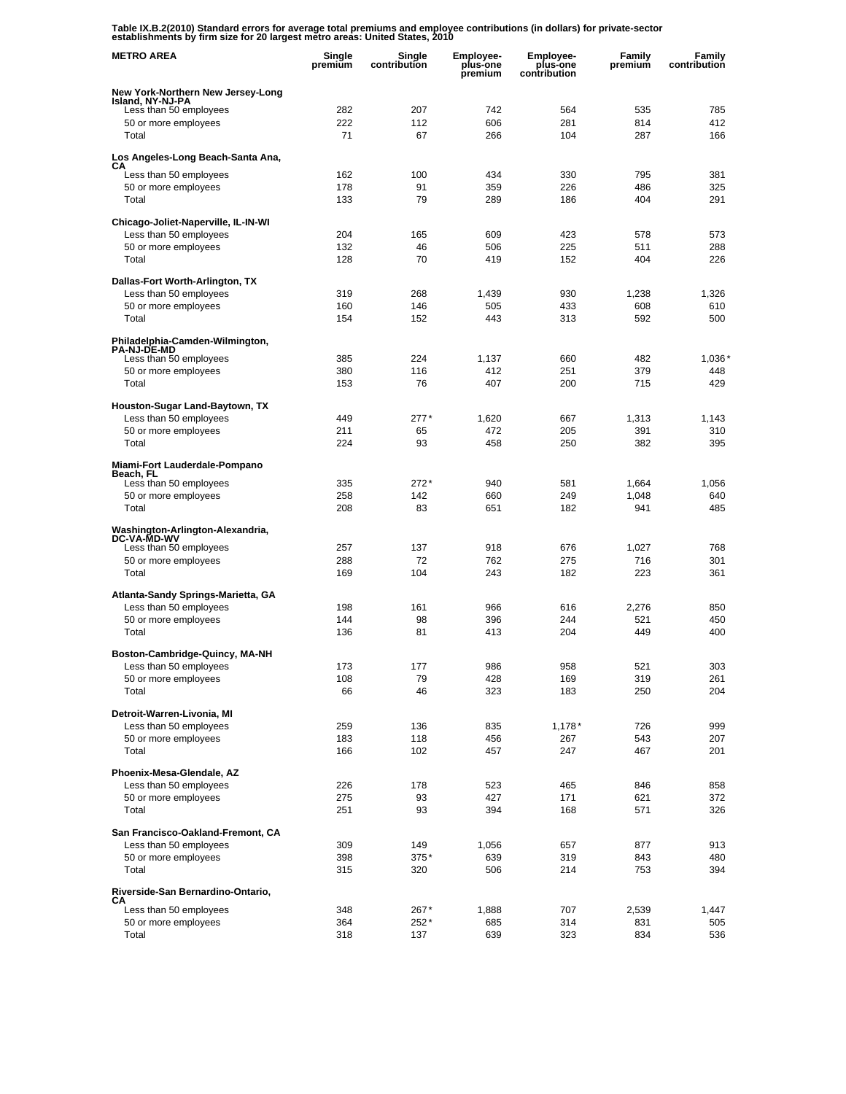**Table IX.B.2(2010) Standard errors for average total premiums and employee contributions (in dollars) for private-sector establishments by firm size for 20 largest metro areas: United States, 2010** 

| <b>METRO AREA</b>                                            | Single<br>premium | Single<br>contribution | <b>Employee-</b><br>plus-one<br>premium | <b>Employee-</b><br>plus-one<br>contribution | Family<br>premium | Family<br>contribution |
|--------------------------------------------------------------|-------------------|------------------------|-----------------------------------------|----------------------------------------------|-------------------|------------------------|
| New York-Northern New Jersey-Long                            |                   |                        |                                         |                                              |                   |                        |
| Island, NY-NJ-PA<br>Less than 50 employees                   | 282               | 207                    | 742                                     | 564                                          | 535               | 785                    |
| 50 or more employees                                         | 222               | 112                    | 606                                     | 281                                          | 814               | 412                    |
| Total                                                        | 71                | 67                     | 266                                     | 104                                          | 287               | 166                    |
| Los Angeles-Long Beach-Santa Ana,                            |                   |                        |                                         |                                              |                   |                        |
| CА<br>Less than 50 employees                                 | 162               | 100                    | 434                                     | 330                                          | 795               | 381                    |
| 50 or more employees                                         | 178               | 91                     | 359                                     | 226                                          | 486               | 325                    |
| Total                                                        | 133               | 79                     | 289                                     | 186                                          | 404               | 291                    |
| Chicago-Joliet-Naperville, IL-IN-WI                          |                   |                        |                                         |                                              |                   |                        |
| Less than 50 employees                                       | 204               | 165                    | 609                                     | 423                                          | 578               | 573                    |
| 50 or more employees                                         | 132               | 46                     | 506                                     | 225                                          | 511               | 288                    |
| Total                                                        | 128               | 70                     | 419                                     | 152                                          | 404               | 226                    |
| Dallas-Fort Worth-Arlington, TX                              |                   |                        |                                         |                                              |                   |                        |
| Less than 50 employees                                       | 319               | 268                    | 1,439                                   | 930                                          | 1,238             | 1,326                  |
| 50 or more employees                                         | 160               | 146                    | 505                                     | 433                                          | 608               | 610                    |
| Total                                                        | 154               | 152                    | 443                                     | 313                                          | 592               | 500                    |
| Philadelphia-Camden-Wilmington,<br><b>PA-NJ-DE-MD</b>        |                   |                        |                                         |                                              |                   |                        |
| Less than 50 employees                                       | 385               | 224                    | 1,137                                   | 660                                          | 482               | 1,036'                 |
| 50 or more employees<br>Total                                | 380<br>153        | 116<br>76              | 412<br>407                              | 251<br>200                                   | 379<br>715        | 448<br>429             |
|                                                              |                   |                        |                                         |                                              |                   |                        |
| Houston-Sugar Land-Baytown, TX                               |                   |                        |                                         |                                              |                   |                        |
| Less than 50 employees                                       | 449<br>211        | $277*$                 | 1,620<br>472                            | 667                                          | 1,313<br>391      | 1,143                  |
| 50 or more employees<br>Total                                | 224               | 65<br>93               | 458                                     | 205<br>250                                   | 382               | 310<br>395             |
|                                                              |                   |                        |                                         |                                              |                   |                        |
| Miami-Fort Lauderdale-Pompano<br>Beach, FL                   |                   |                        |                                         |                                              |                   |                        |
| Less than 50 employees                                       | 335               | $272*$                 | 940                                     | 581                                          | 1,664             | 1,056                  |
| 50 or more employees                                         | 258               | 142                    | 660                                     | 249                                          | 1,048             | 640                    |
| Total                                                        | 208               | 83                     | 651                                     | 182                                          | 941               | 485                    |
| Washington-Arlington-Alexandria,<br><b>DC-VA-MD-WV</b>       |                   |                        |                                         |                                              |                   |                        |
| Less than 50 employees                                       | 257<br>288        | 137<br>72              | 918<br>762                              | 676<br>275                                   | 1,027<br>716      | 768<br>301             |
| 50 or more employees<br>Total                                | 169               | 104                    | 243                                     | 182                                          | 223               | 361                    |
|                                                              |                   |                        |                                         |                                              |                   |                        |
| Atlanta-Sandy Springs-Marietta, GA<br>Less than 50 employees | 198               | 161                    | 966                                     | 616                                          | 2,276             | 850                    |
| 50 or more employees                                         | 144               | 98                     | 396                                     | 244                                          | 521               | 450                    |
| Total                                                        | 136               | 81                     | 413                                     | 204                                          | 449               | 400                    |
|                                                              |                   |                        |                                         |                                              |                   |                        |
| Boston-Cambridge-Quincy, MA-NH<br>Less than 50 employees     | 173               | 177                    | 986                                     | 958                                          | 521               | 303                    |
| 50 or more employees                                         | 108               | 79                     | 428                                     | 169                                          | 319               | 261                    |
| Total                                                        | 66                | 46                     | 323                                     | 183                                          | 250               | 204                    |
| Detroit-Warren-Livonia, MI                                   |                   |                        |                                         |                                              |                   |                        |
| Less than 50 employees                                       | 259               | 136                    | 835                                     | $1,178*$                                     | 726               | 999                    |
| 50 or more employees                                         | 183               | 118                    | 456                                     | 267                                          | 543               | 207                    |
| Total                                                        | 166               | 102                    | 457                                     | 247                                          | 467               | 201                    |
| Phoenix-Mesa-Glendale, AZ                                    |                   |                        |                                         |                                              |                   |                        |
| Less than 50 employees                                       | 226               | 178                    | 523                                     | 465                                          | 846               | 858                    |
| 50 or more employees                                         | 275               | 93                     | 427                                     | 171                                          | 621               | 372                    |
| Total                                                        | 251               | 93                     | 394                                     | 168                                          | 571               | 326                    |
| San Francisco-Oakland-Fremont, CA                            |                   |                        |                                         |                                              |                   |                        |
| Less than 50 employees                                       | 309               | 149                    | 1,056                                   | 657                                          | 877               | 913                    |
| 50 or more employees                                         | 398               | 375*                   | 639                                     | 319                                          | 843               | 480                    |
| Total                                                        | 315               | 320                    | 506                                     | 214                                          | 753               | 394                    |
| Riverside-San Bernardino-Ontario,<br>CА                      |                   |                        |                                         |                                              |                   |                        |
| Less than 50 employees                                       | 348               | 267*                   | 1,888                                   | 707                                          | 2,539             | 1,447                  |
| 50 or more employees                                         | 364               | 252*                   | 685                                     | 314                                          | 831               | 505                    |
| Total                                                        | 318               | 137                    | 639                                     | 323                                          | 834               | 536                    |